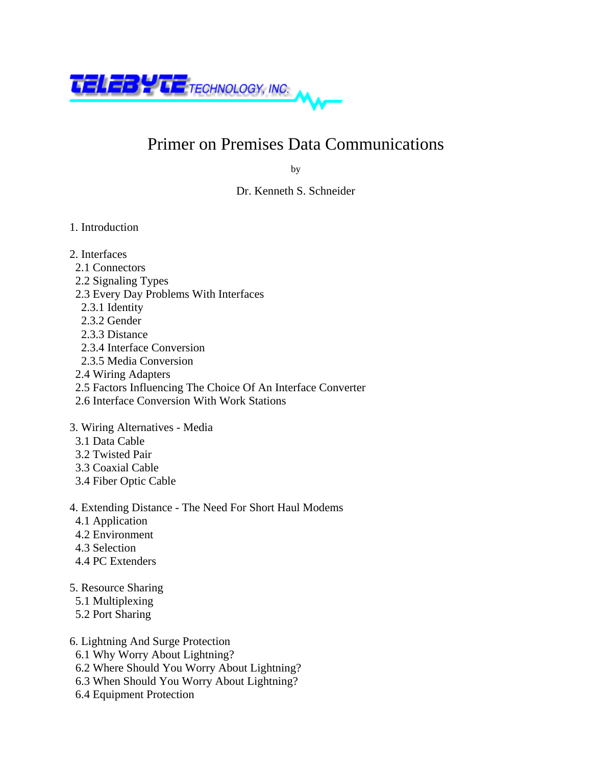

## Primer on Premises Data Communications

by

Dr. Kenneth S. Schneider

- 1. Introduction
- 2. Interfaces
- 2.1 Connectors
- 2.2 Signaling Types
- 2.3 Every Day Problems With Interfaces
- 2.3.1 Identity
- 2.3.2 Gender
- 2.3.3 Distance
- 2.3.4 Interface Conversion
- 2.3.5 Media Conversion
- 2.4 Wiring Adapters
- 2.5 Factors Influencing The Choice Of An Interface Converter
- 2.6 Interface Conversion With Work Stations

3. Wiring Alternatives - Media

- 3.1 Data Cable
- 3.2 Twisted Pair
- 3.3 Coaxial Cable
- 3.4 Fiber Optic Cable
- 4. Extending Distance The Need For Short Haul Modems
- 4.1 Application
- 4.2 Environment
- 4.3 Selection
- 4.4 PC Extenders
- 5. Resource Sharing
- 5.1 Multiplexing
- 5.2 Port Sharing
- 6. Lightning And Surge Protection
- 6.1 Why Worry About Lightning?
- 6.2 Where Should You Worry About Lightning?
- 6.3 When Should You Worry About Lightning?
- 6.4 Equipment Protection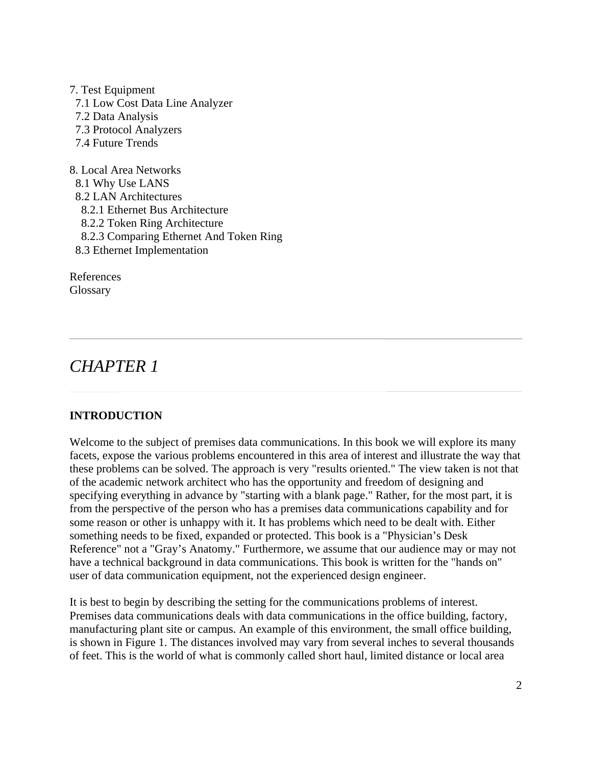7. Test Equipment 7.1 Low Cost Data Line Analyzer 7.2 Data Analysis 7.3 Protocol Analyzers 7.4 Future Trends

8. Local Area Networks 8.1 Why Use LANS 8.2 LAN Architectures 8.2.1 Ethernet Bus Architecture 8.2.2 Token Ring Architecture 8.2.3 Comparing Ethernet And Token Ring 8.3 Ethernet Implementation

References **Glossary** 

### *CHAPTER 1*

### **INTRODUCTION**

Welcome to the subject of premises data communications. In this book we will explore its many facets, expose the various problems encountered in this area of interest and illustrate the way that these problems can be solved. The approach is very "results oriented." The view taken is not that of the academic network architect who has the opportunity and freedom of designing and specifying everything in advance by "starting with a blank page." Rather, for the most part, it is from the perspective of the person who has a premises data communications capability and for some reason or other is unhappy with it. It has problems which need to be dealt with. Either something needs to be fixed, expanded or protected. This book is a "Physician's Desk Reference" not a "Gray's Anatomy." Furthermore, we assume that our audience may or may not have a technical background in data communications. This book is written for the "hands on" user of data communication equipment, not the experienced design engineer.

It is best to begin by describing the setting for the communications problems of interest. Premises data communications deals with data communications in the office building, factory, manufacturing plant site or campus. An example of this environment, the small office building, is shown in Figure 1. The distances involved may vary from several inches to several thousands of feet. This is the world of what is commonly called short haul, limited distance or local area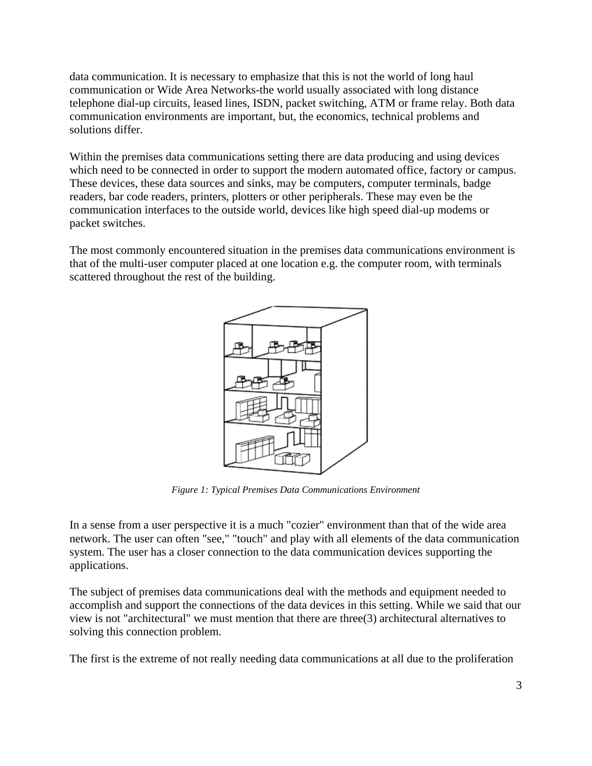data communication. It is necessary to emphasize that this is not the world of long haul communication or Wide Area Networks-the world usually associated with long distance telephone dial-up circuits, leased lines, ISDN, packet switching, ATM or frame relay. Both data communication environments are important, but, the economics, technical problems and solutions differ.

Within the premises data communications setting there are data producing and using devices which need to be connected in order to support the modern automated office, factory or campus. These devices, these data sources and sinks, may be computers, computer terminals, badge readers, bar code readers, printers, plotters or other peripherals. These may even be the communication interfaces to the outside world, devices like high speed dial-up modems or packet switches.

The most commonly encountered situation in the premises data communications environment is that of the multi-user computer placed at one location e.g. the computer room, with terminals scattered throughout the rest of the building.



*Figure 1: Typical Premises Data Communications Environment*

In a sense from a user perspective it is a much "cozier" environment than that of the wide area network. The user can often "see," "touch" and play with all elements of the data communication system. The user has a closer connection to the data communication devices supporting the applications.

The subject of premises data communications deal with the methods and equipment needed to accomplish and support the connections of the data devices in this setting. While we said that our view is not "architectural" we must mention that there are three(3) architectural alternatives to solving this connection problem.

The first is the extreme of not really needing data communications at all due to the proliferation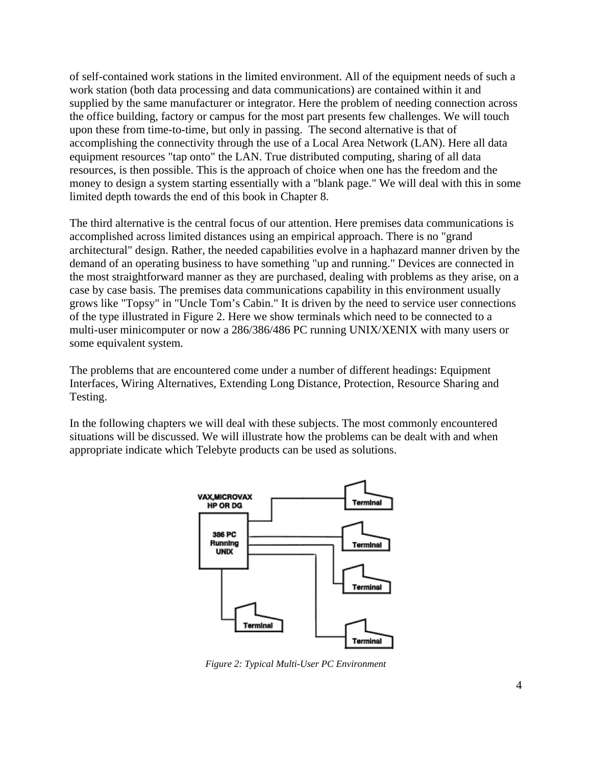of self-contained work stations in the limited environment. All of the equipment needs of such a work station (both data processing and data communications) are contained within it and supplied by the same manufacturer or integrator. Here the problem of needing connection across the office building, factory or campus for the most part presents few challenges. We will touch upon these from time-to-time, but only in passing. The second alternative is that of accomplishing the connectivity through the use of a Local Area Network (LAN). Here all data equipment resources "tap onto" the LAN. True distributed computing, sharing of all data resources, is then possible. This is the approach of choice when one has the freedom and the money to design a system starting essentially with a "blank page." We will deal with this in some limited depth towards the end of this book in Chapter 8.

The third alternative is the central focus of our attention. Here premises data communications is accomplished across limited distances using an empirical approach. There is no "grand architectural" design. Rather, the needed capabilities evolve in a haphazard manner driven by the demand of an operating business to have something "up and running." Devices are connected in the most straightforward manner as they are purchased, dealing with problems as they arise, on a case by case basis. The premises data communications capability in this environment usually grows like "Topsy" in "Uncle Tom's Cabin." It is driven by the need to service user connections of the type illustrated in Figure 2. Here we show terminals which need to be connected to a multi-user minicomputer or now a 286/386/486 PC running UNIX/XENIX with many users or some equivalent system.

The problems that are encountered come under a number of different headings: Equipment Interfaces, Wiring Alternatives, Extending Long Distance, Protection, Resource Sharing and Testing.

In the following chapters we will deal with these subjects. The most commonly encountered situations will be discussed. We will illustrate how the problems can be dealt with and when appropriate indicate which Telebyte products can be used as solutions.



*Figure 2: Typical Multi-User PC Environment*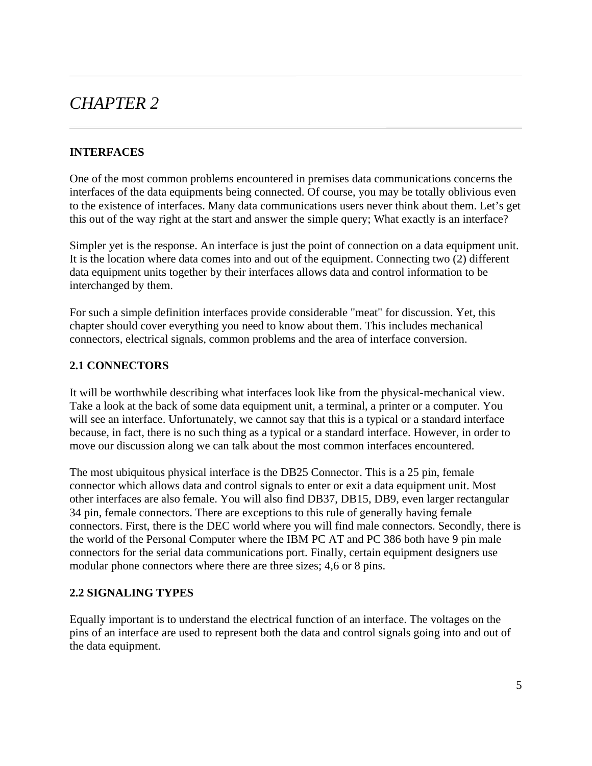### *CHAPTER 2*

### **INTERFACES**

One of the most common problems encountered in premises data communications concerns the interfaces of the data equipments being connected. Of course, you may be totally oblivious even to the existence of interfaces. Many data communications users never think about them. Let's get this out of the way right at the start and answer the simple query; What exactly is an interface?

Simpler yet is the response. An interface is just the point of connection on a data equipment unit. It is the location where data comes into and out of the equipment. Connecting two (2) different data equipment units together by their interfaces allows data and control information to be interchanged by them.

For such a simple definition interfaces provide considerable "meat" for discussion. Yet, this chapter should cover everything you need to know about them. This includes mechanical connectors, electrical signals, common problems and the area of interface conversion.

### **2.1 CONNECTORS**

It will be worthwhile describing what interfaces look like from the physical-mechanical view. Take a look at the back of some data equipment unit, a terminal, a printer or a computer. You will see an interface. Unfortunately, we cannot say that this is a typical or a standard interface because, in fact, there is no such thing as a typical or a standard interface. However, in order to move our discussion along we can talk about the most common interfaces encountered.

The most ubiquitous physical interface is the DB25 Connector. This is a 25 pin, female connector which allows data and control signals to enter or exit a data equipment unit. Most other interfaces are also female. You will also find DB37, DB15, DB9, even larger rectangular 34 pin, female connectors. There are exceptions to this rule of generally having female connectors. First, there is the DEC world where you will find male connectors. Secondly, there is the world of the Personal Computer where the IBM PC AT and PC 386 both have 9 pin male connectors for the serial data communications port. Finally, certain equipment designers use modular phone connectors where there are three sizes; 4,6 or 8 pins.

### **2.2 SIGNALING TYPES**

Equally important is to understand the electrical function of an interface. The voltages on the pins of an interface are used to represent both the data and control signals going into and out of the data equipment.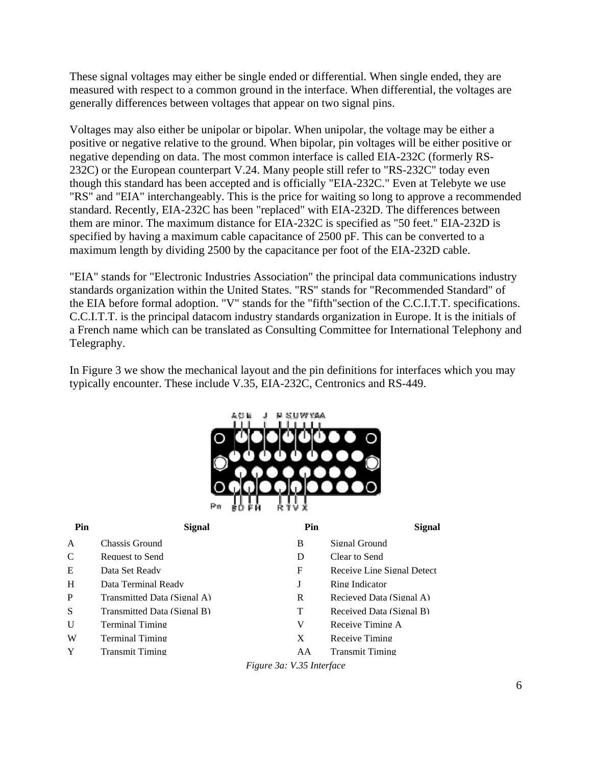These signal voltages may either be single ended or differential. When single ended, they are measured with respect to a common ground in the interface. When differential, the voltages are generally differences between voltages that appear on two signal pins.

Voltages may also either be unipolar or bipolar. When unipolar, the voltage may be either a positive or negative relative to the ground. When bipolar, pin voltages will be either positive or negative depending on data. The most common interface is called EIA-232C (formerly RS-232C) or the European counterpart V.24. Many people still refer to "RS-232C" today even though this standard has been accepted and is officially "EIA-232C." Even at Telebyte we use "RS" and "EIA" interchangeably. This is the price for waiting so long to approve a recommended standard. Recently, EIA-232C has been "replaced" with EIA-232D. The differences between them are minor. The maximum distance for EIA-232C is specified as "50 feet." EIA-232D is specified by having a maximum cable capacitance of 2500 pF. This can be converted to a maximum length by dividing 2500 by the capacitance per foot of the EIA-232D cable.

"EIA" stands for "Electronic Industries Association" the principal data communications industry standards organization within the United States. "RS" stands for "Recommended Standard" of the EIA before formal adoption. "V" stands for the "fifth"section of the C.C.I.T.T. specifications. C.C.I.T.T. is the principal datacom industry standards organization in Europe. It is the initials of a French name which can be translated as Consulting Committee for International Telephony and Telegraphy.

In Figure 3 we show the mechanical layout and the pin definitions for interfaces which you may typically encounter. These include V.35, EIA-232C, Centronics and RS-449.

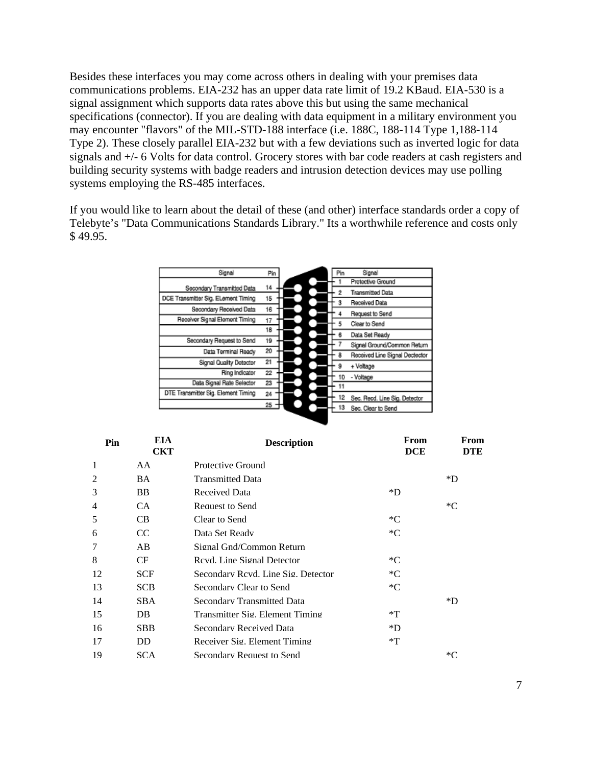Besides these interfaces you may come across others in dealing with your premises data communications problems. EIA-232 has an upper data rate limit of 19.2 KBaud. EIA-530 is a signal assignment which supports data rates above this but using the same mechanical specifications (connector). If you are dealing with data equipment in a military environment you may encounter "flavors" of the MIL-STD-188 interface (i.e. 188C, 188-114 Type 1,188-114 Type 2). These closely parallel EIA-232 but with a few deviations such as inverted logic for data signals and +/- 6 Volts for data control. Grocery stores with bar code readers at cash registers and building security systems with badge readers and intrusion detection devices may use polling systems employing the RS-485 interfaces.

If you would like to learn about the detail of these (and other) interface standards order a copy of Telebyte's "Data Communications Standards Library." Its a worthwhile reference and costs only \$ 49.95.

| Pin |                                     |
|-----|-------------------------------------|
|     | Pin<br>Signal                       |
|     | Protective Ground                   |
|     | <b>Transmitted Data</b><br>2        |
|     | Received Data<br>3                  |
| 16  | Request to Send                     |
| 17  | Clear to Send<br>5                  |
| 18  |                                     |
|     | 6<br>Data Set Ready                 |
|     | Signal Ground/Common Return         |
|     | a<br>Received Line Signal Dectector |
|     | + Voltage<br>9                      |
| 22  | - Voltage<br>10                     |
| 23  | 11                                  |
| 24  | 12                                  |
|     | Sec. Recd. Line Sig. Detector       |
|     | 13<br>Sec. Clear to Send            |
|     | 14<br>15<br>19<br>20<br>21<br>25    |

| EIA<br>Pin<br><b>CKT</b> |            | <b>Description</b>                 | From<br><b>DCE</b> | From<br><b>DTE</b> |  |
|--------------------------|------------|------------------------------------|--------------------|--------------------|--|
| 1                        | AA         | Protective Ground                  |                    |                    |  |
| $\mathfrak{D}$           | <b>BA</b>  | <b>Transmitted Data</b>            |                    | *D                 |  |
| 3                        | BB.        | Received Data                      | $*D$               |                    |  |
| $\overline{4}$           | CA.        | Request to Send                    |                    | $C^*$              |  |
| 5                        | CB         | Clear to Send                      | $C^*$              |                    |  |
| 6                        | CC         | Data Set Ready                     | $C^*$              |                    |  |
| 7                        | AB         | Signal Gnd/Common Return           |                    |                    |  |
| 8                        | CF         | Revd. Line Signal Detector         | $C^*$              |                    |  |
| 12                       | <b>SCF</b> | Secondary Rcyd. Line Sig. Detector | $C^*$              |                    |  |
| 13                       | <b>SCB</b> | Secondary Clear to Send            | $C^*$              |                    |  |
| 14                       | <b>SBA</b> | <b>Secondary Transmitted Data</b>  |                    | *D                 |  |
| 15                       | DB.        | Transmitter Sig. Element Timing    | $*T$               |                    |  |
| 16                       | <b>SBB</b> | Secondary Received Data            | $*D$               |                    |  |
| 17                       | DD.        | Receiver Sig. Element Timing       | $*T$               |                    |  |
| 19                       | <b>SCA</b> | Secondary Request to Send          |                    | *С                 |  |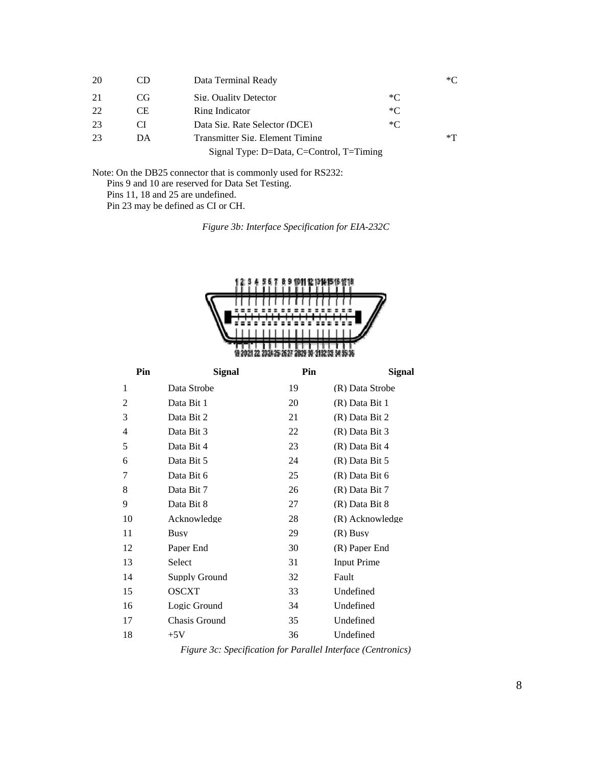| 20 | CD  | Data Terminal Ready                           |       | *Γ'  |
|----|-----|-----------------------------------------------|-------|------|
| 21 | CG. | Sig. Quality Detector                         | $*$ C |      |
| 22 | CE. | Ring Indicator                                | $*$ C |      |
| 23 | C.  | Data Sig. Rate Selector (DCE)                 | $*$ C |      |
| 23 | DA  | Transmitter Sig. Element Timing               |       | $*T$ |
|    |     | Signal Type: $D = Data$ , C=Control, T=Timing |       |      |

Note: On the DB25 connector that is commonly used for RS232: Pins 9 and 10 are reserved for Data Set Testing. Pins 11, 18 and 25 are undefined. Pin 23 may be defined as CI or CH.

*Figure 3b: Interface Specification for EIA-232C*



| Pin | <b>Signal</b> | Pin | <b>Signal</b>      |
|-----|---------------|-----|--------------------|
| 1   | Data Strobe   | 19  | (R) Data Strobe    |
| 2   | Data Bit 1    | 20  | (R) Data Bit 1     |
| 3   | Data Bit 2    | 21  | (R) Data Bit 2     |
| 4   | Data Bit 3    | 22  | (R) Data Bit 3     |
| 5   | Data Bit 4    | 23  | $(R)$ Data Bit 4   |
| 6   | Data Bit 5    | 24  | $(R)$ Data Bit 5   |
| 7   | Data Bit 6    | 25  | $(R)$ Data Bit 6   |
| 8   | Data Bit 7    | 26  | $(R)$ Data Bit 7   |
| 9   | Data Bit 8    | 27  | (R) Data Bit 8     |
| 10  | Acknowledge   | 28  | (R) Acknowledge    |
| 11  | <b>Busy</b>   | 29  | $(R)$ Busy         |
| 12  | Paper End     | 30  | (R) Paper End      |
| 13  | <b>Select</b> | 31  | <b>Input Prime</b> |
| 14  | Supply Ground | 32  | Fault              |
| 15  | <b>OSCXT</b>  | 33  | Undefined          |
| 16  | Logic Ground  | 34  | Undefined          |
| 17  | Chasis Ground | 35  | Undefined          |
| 18  | $+5V$         | 36  | Undefined          |

*Figure 3c: Specification for Parallel Interface (Centronics)*

8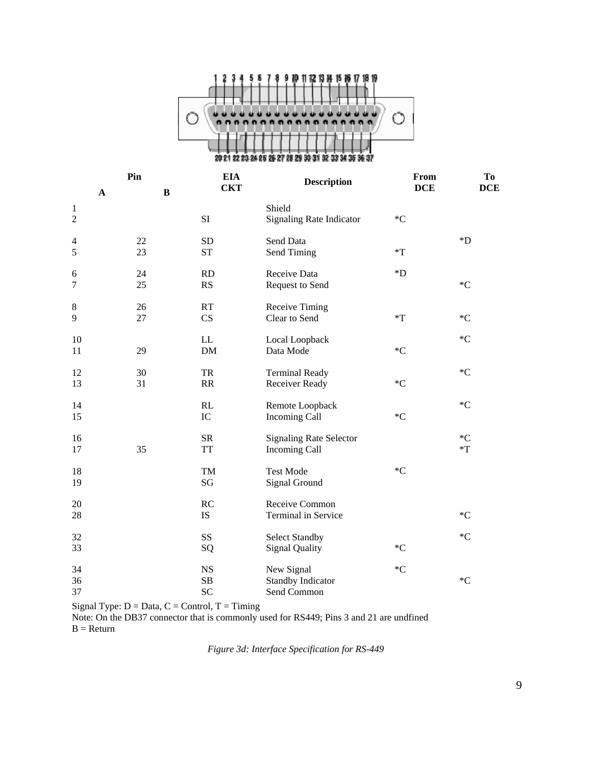

| $\mathbf A$    | Pin<br><b>EIA</b><br><b>Description</b><br><b>CKT</b><br>$\, {\bf B}$ |           | From<br><b>DCE</b>              | To<br><b>DCE</b>   |                    |
|----------------|-----------------------------------------------------------------------|-----------|---------------------------------|--------------------|--------------------|
| $\mathbf{1}$   |                                                                       |           | Shield                          |                    |                    |
| $\overline{2}$ |                                                                       | SI        | <b>Signaling Rate Indicator</b> | $C^*C$             |                    |
| $\overline{4}$ | 22                                                                    | <b>SD</b> | Send Data                       |                    | $\boldsymbol{D}^*$ |
| 5              | 23                                                                    | <b>ST</b> | Send Timing                     | $*T$               |                    |
| 6              | 24                                                                    | <b>RD</b> | Receive Data                    | $\boldsymbol{D}^*$ |                    |
| $\overline{7}$ | 25                                                                    | <b>RS</b> | Request to Send                 |                    | $C^*C$             |
| $\,8\,$        | 26                                                                    | RT        | Receive Timing                  |                    |                    |
| 9              | 27                                                                    | CS        | Clear to Send                   | $*T$               | $C^*C$             |
| 10             |                                                                       | LL        | Local Loopback                  |                    | $C^*C$             |
| 11             | 29                                                                    | <b>DM</b> | Data Mode                       | ${}^*C$            |                    |
| 12             | 30                                                                    | <b>TR</b> | <b>Terminal Ready</b>           |                    | $C^*C$             |
| 13             | 31                                                                    | RR        | Receiver Ready                  | ${}^*C$            |                    |
| 14             |                                                                       | RL        | Remote Loopback                 |                    | $C^*C$             |
| 15             |                                                                       | IC        | Incoming Call                   | ${}^*C$            |                    |
| 16             |                                                                       | <b>SR</b> | <b>Signaling Rate Selector</b>  |                    | $C^*C$             |
| 17             | 35                                                                    | <b>TT</b> | Incoming Call                   |                    | $T^*$              |
| 18             |                                                                       | TM        | <b>Test Mode</b>                | $\,^*\mathrm{C}$   |                    |
| 19             |                                                                       | SG        | Signal Ground                   |                    |                    |
| 20             |                                                                       | RC        | Receive Common                  |                    |                    |
| 28             |                                                                       | IS        | Terminal in Service             |                    | $C^*C$             |
| 32             |                                                                       | SS        | <b>Select Standby</b>           |                    | $C^*C$             |
| 33             |                                                                       | SQ        | <b>Signal Quality</b>           | $C^*C$             |                    |
| 34             |                                                                       | <b>NS</b> | New Signal                      | $C^*C$             |                    |
| 36             |                                                                       | SB        | <b>Standby Indicator</b>        |                    | $C^*$              |
| 37             |                                                                       | SC        | Send Common                     |                    |                    |

Signal Type:  $D = Data, C = Control, T = Timing$ 

Note: On the DB37 connector that is commonly used for RS449; Pins 3 and 21 are undfined  $B = Return$ 

*Figure 3d: Interface Specification for RS-449*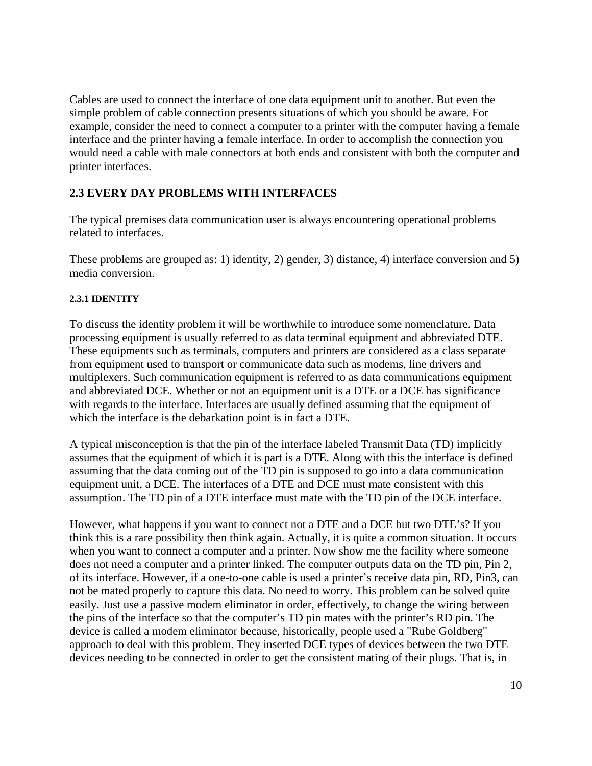Cables are used to connect the interface of one data equipment unit to another. But even the simple problem of cable connection presents situations of which you should be aware. For example, consider the need to connect a computer to a printer with the computer having a female interface and the printer having a female interface. In order to accomplish the connection you would need a cable with male connectors at both ends and consistent with both the computer and printer interfaces.

### **2.3 EVERY DAY PROBLEMS WITH INTERFACES**

The typical premises data communication user is always encountering operational problems related to interfaces.

These problems are grouped as: 1) identity, 2) gender, 3) distance, 4) interface conversion and 5) media conversion.

#### **2.3.1 IDENTITY**

To discuss the identity problem it will be worthwhile to introduce some nomenclature. Data processing equipment is usually referred to as data terminal equipment and abbreviated DTE. These equipments such as terminals, computers and printers are considered as a class separate from equipment used to transport or communicate data such as modems, line drivers and multiplexers. Such communication equipment is referred to as data communications equipment and abbreviated DCE. Whether or not an equipment unit is a DTE or a DCE has significance with regards to the interface. Interfaces are usually defined assuming that the equipment of which the interface is the debarkation point is in fact a DTE.

A typical misconception is that the pin of the interface labeled Transmit Data (TD) implicitly assumes that the equipment of which it is part is a DTE. Along with this the interface is defined assuming that the data coming out of the TD pin is supposed to go into a data communication equipment unit, a DCE. The interfaces of a DTE and DCE must mate consistent with this assumption. The TD pin of a DTE interface must mate with the TD pin of the DCE interface.

However, what happens if you want to connect not a DTE and a DCE but two DTE's? If you think this is a rare possibility then think again. Actually, it is quite a common situation. It occurs when you want to connect a computer and a printer. Now show me the facility where someone does not need a computer and a printer linked. The computer outputs data on the TD pin, Pin 2, of its interface. However, if a one-to-one cable is used a printer's receive data pin, RD, Pin3, can not be mated properly to capture this data. No need to worry. This problem can be solved quite easily. Just use a passive modem eliminator in order, effectively, to change the wiring between the pins of the interface so that the computer's TD pin mates with the printer's RD pin. The device is called a modem eliminator because, historically, people used a "Rube Goldberg" approach to deal with this problem. They inserted DCE types of devices between the two DTE devices needing to be connected in order to get the consistent mating of their plugs. That is, in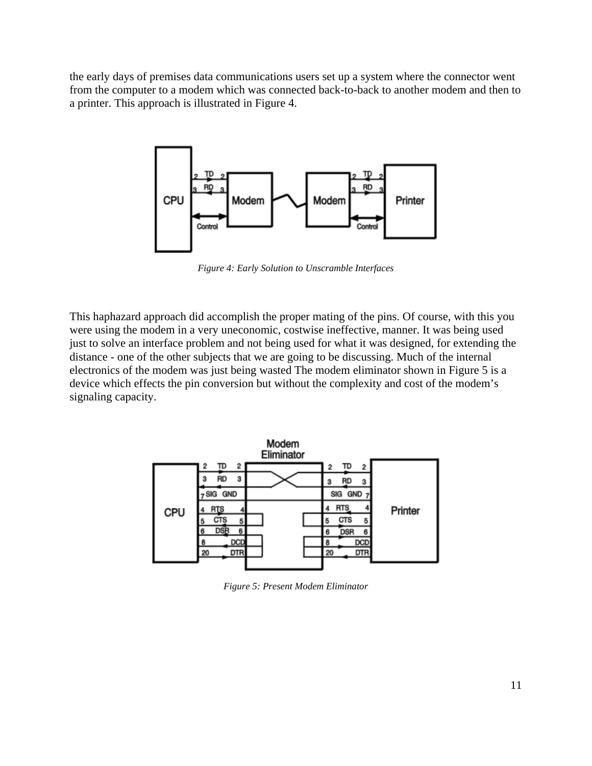the early days of premises data communications users set up a system where the connector went from the computer to a modem which was connected back-to-back to another modem and then to a printer. This approach is illustrated in Figure 4.



*Figure 4: Early Solution to Unscramble Interfaces*

This haphazard approach did accomplish the proper mating of the pins. Of course, with this you were using the modem in a very uneconomic, costwise ineffective, manner. It was being used just to solve an interface problem and not being used for what it was designed, for extending the distance - one of the other subjects that we are going to be discussing. Much of the internal electronics of the modem was just being wasted The modem eliminator shown in Figure 5 is a device which effects the pin conversion but without the complexity and cost of the modem's signaling capacity.



*Figure 5: Present Modem Eliminator*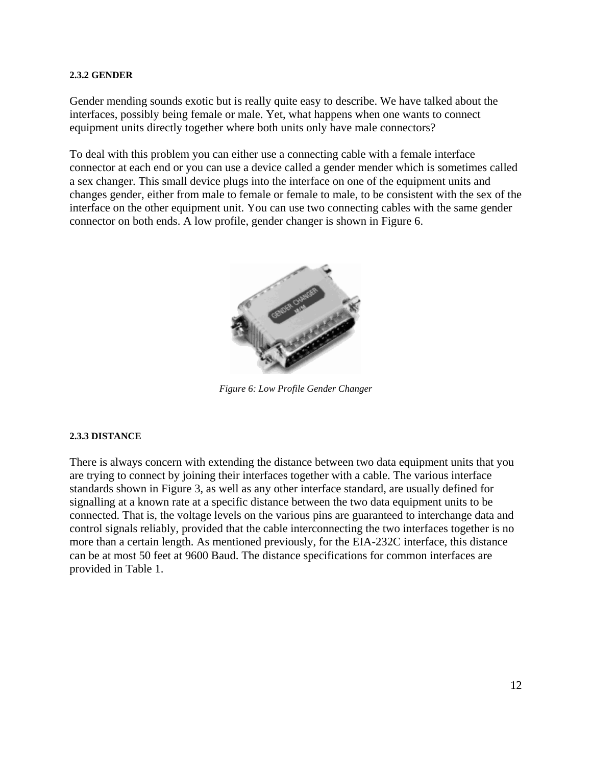#### **2.3.2 GENDER**

Gender mending sounds exotic but is really quite easy to describe. We have talked about the interfaces, possibly being female or male. Yet, what happens when one wants to connect equipment units directly together where both units only have male connectors?

To deal with this problem you can either use a connecting cable with a female interface connector at each end or you can use a device called a gender mender which is sometimes called a sex changer. This small device plugs into the interface on one of the equipment units and changes gender, either from male to female or female to male, to be consistent with the sex of the interface on the other equipment unit. You can use two connecting cables with the same gender connector on both ends. A low profile, gender changer is shown in Figure 6.



*Figure 6: Low Profile Gender Changer*

#### **2.3.3 DISTANCE**

There is always concern with extending the distance between two data equipment units that you are trying to connect by joining their interfaces together with a cable. The various interface standards shown in Figure 3, as well as any other interface standard, are usually defined for signalling at a known rate at a specific distance between the two data equipment units to be connected. That is, the voltage levels on the various pins are guaranteed to interchange data and control signals reliably, provided that the cable interconnecting the two interfaces together is no more than a certain length. As mentioned previously, for the EIA-232C interface, this distance can be at most 50 feet at 9600 Baud. The distance specifications for common interfaces are provided in Table 1.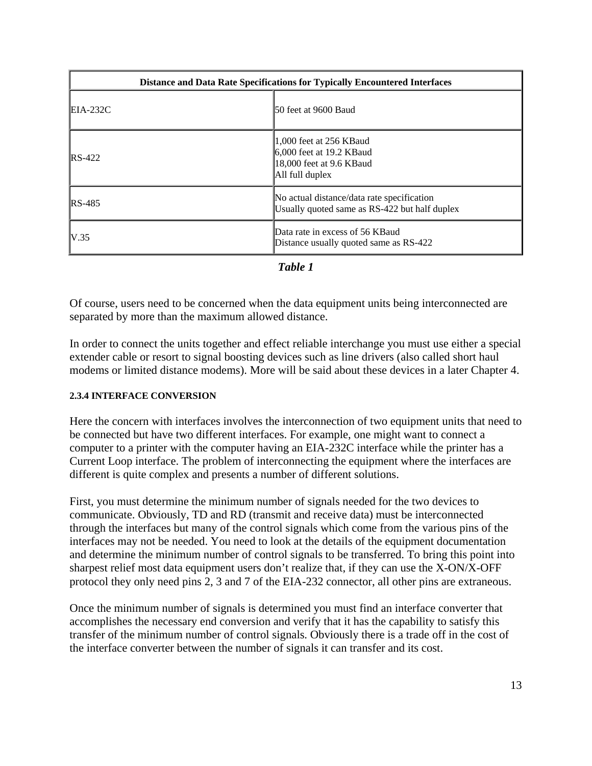| <b>Distance and Data Rate Specifications for Typically Encountered Interfaces</b> |                                                                                                        |  |  |  |  |
|-----------------------------------------------------------------------------------|--------------------------------------------------------------------------------------------------------|--|--|--|--|
| $EIA-232C$                                                                        | 50 feet at 9600 Baud                                                                                   |  |  |  |  |
| $\text{RS-}422$                                                                   | 1,000 feet at 256 KB aud<br>$6,000$ feet at 19.2 KB aud<br>18,000 feet at 9.6 KBaud<br>All full duplex |  |  |  |  |
| $RS-485$                                                                          | No actual distance/data rate specification<br>Usually quoted same as RS-422 but half duplex            |  |  |  |  |
| V.35                                                                              | Data rate in excess of 56 KB aud<br>Distance usually quoted same as RS-422                             |  |  |  |  |

*Table 1*

Of course, users need to be concerned when the data equipment units being interconnected are separated by more than the maximum allowed distance.

In order to connect the units together and effect reliable interchange you must use either a special extender cable or resort to signal boosting devices such as line drivers (also called short haul modems or limited distance modems). More will be said about these devices in a later Chapter 4.

### **2.3.4 INTERFACE CONVERSION**

Here the concern with interfaces involves the interconnection of two equipment units that need to be connected but have two different interfaces. For example, one might want to connect a computer to a printer with the computer having an EIA-232C interface while the printer has a Current Loop interface. The problem of interconnecting the equipment where the interfaces are different is quite complex and presents a number of different solutions.

First, you must determine the minimum number of signals needed for the two devices to communicate. Obviously, TD and RD (transmit and receive data) must be interconnected through the interfaces but many of the control signals which come from the various pins of the interfaces may not be needed. You need to look at the details of the equipment documentation and determine the minimum number of control signals to be transferred. To bring this point into sharpest relief most data equipment users don't realize that, if they can use the X-ON/X-OFF protocol they only need pins 2, 3 and 7 of the EIA-232 connector, all other pins are extraneous.

Once the minimum number of signals is determined you must find an interface converter that accomplishes the necessary end conversion and verify that it has the capability to satisfy this transfer of the minimum number of control signals. Obviously there is a trade off in the cost of the interface converter between the number of signals it can transfer and its cost.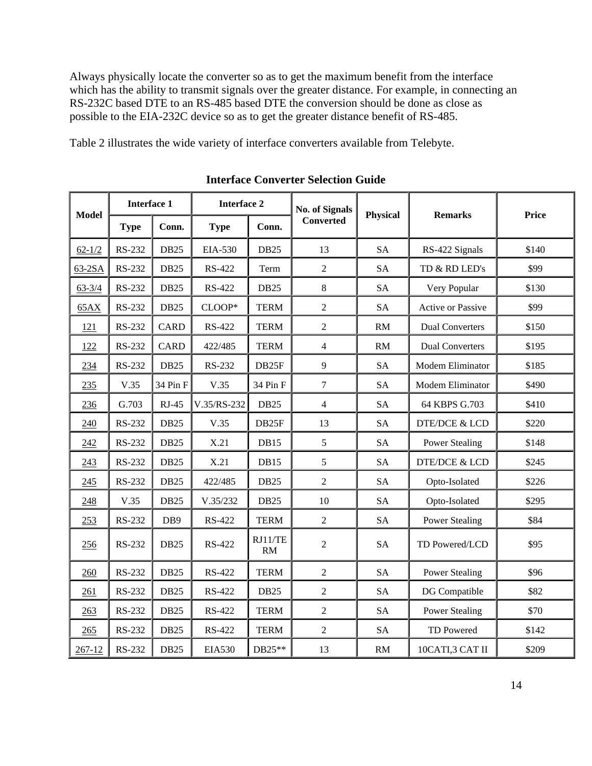Always physically locate the converter so as to get the maximum benefit from the interface which has the ability to transmit signals over the greater distance. For example, in connecting an RS-232C based DTE to an RS-485 based DTE the conversion should be done as close as possible to the EIA-232C device so as to get the greater distance benefit of RS-485.

Table 2 illustrates the wide variety of interface converters available from Telebyte.

| <b>Model</b> | <b>Interface 1</b> |                  | <b>Interface 2</b> |               | <b>No. of Signals</b> |                 | <b>Remarks</b>           | <b>Price</b> |
|--------------|--------------------|------------------|--------------------|---------------|-----------------------|-----------------|--------------------------|--------------|
|              | <b>Type</b>        | Conn.            | <b>Type</b>        | Conn.         | <b>Converted</b>      | <b>Physical</b> |                          |              |
| $62 - 1/2$   | RS-232             | <b>DB25</b>      | EIA-530            | <b>DB25</b>   | 13                    | <b>SA</b>       | RS-422 Signals           | \$140        |
| $63-2SA$     | RS-232             | <b>DB25</b>      | RS-422             | Term          | $\overline{2}$        | <b>SA</b>       | TD & RD LED's            | \$99         |
| $63 - 3/4$   | RS-232             | <b>DB25</b>      | RS-422             | <b>DB25</b>   | 8                     | <b>SA</b>       | Very Popular             | \$130        |
| 65AX         | RS-232             | <b>DB25</b>      | CLOOP*             | <b>TERM</b>   | $\overline{2}$        | <b>SA</b>       | Active or Passive        | \$99         |
| 121          | RS-232             | <b>CARD</b>      | RS-422             | <b>TERM</b>   | $\overline{2}$        | RM              | <b>Dual Converters</b>   | \$150        |
| 122          | <b>RS-232</b>      | <b>CARD</b>      | 422/485            | <b>TERM</b>   | $\overline{4}$        | RM              | <b>Dual Converters</b>   | \$195        |
| 234          | RS-232             | <b>DB25</b>      | RS-232             | DB25F         | 9                     | <b>SA</b>       | Modem Eliminator         | \$185        |
| 235          | V.35               | 34 Pin F         | V.35               | 34 Pin F      | $\tau$                | <b>SA</b>       | Modem Eliminator         | \$490        |
| 236          | G.703              | $RJ-45$          | V.35/RS-232        | <b>DB25</b>   | $\overline{4}$        | <b>SA</b>       | 64 KBPS G.703            | \$410        |
| 240          | <b>RS-232</b>      | <b>DB25</b>      | V.35               | DB25F         | 13                    | <b>SA</b>       | <b>DTE/DCE &amp; LCD</b> | \$220        |
| 242          | <b>RS-232</b>      | <b>DB25</b>      | X.21               | <b>DB15</b>   | 5                     | <b>SA</b>       | <b>Power Stealing</b>    | \$148        |
| 243          | <b>RS-232</b>      | <b>DB25</b>      | X.21               | <b>DB15</b>   | 5                     | <b>SA</b>       | <b>DTE/DCE &amp; LCD</b> | \$245        |
| 245          | RS-232             | <b>DB25</b>      | 422/485            | <b>DB25</b>   | $\overline{2}$        | <b>SA</b>       | Opto-Isolated            | \$226        |
| 248          | V.35               | DB <sub>25</sub> | V.35/232           | <b>DB25</b>   | 10                    | <b>SA</b>       | Opto-Isolated            | \$295        |
| 253          | RS-232             | DB9              | RS-422             | <b>TERM</b>   | $\overline{2}$        | <b>SA</b>       | <b>Power Stealing</b>    | \$84         |
| 256          | RS-232             | <b>DB25</b>      | RS-422             | RJ11/TE<br>RM | $\overline{2}$        | <b>SA</b>       | TD Powered/LCD           | \$95         |
| 260          | RS-232             | <b>DB25</b>      | RS-422             | <b>TERM</b>   | $\overline{2}$        | <b>SA</b>       | <b>Power Stealing</b>    | \$96         |
| 261          | RS-232             | <b>DB25</b>      | RS-422             | <b>DB25</b>   | $\overline{2}$        | <b>SA</b>       | DG Compatible            | \$82         |
| 263          | <b>RS-232</b>      | <b>DB25</b>      | RS-422             | <b>TERM</b>   | $\overline{2}$        | <b>SA</b>       | <b>Power Stealing</b>    | \$70         |
| 265          | RS-232             | <b>DB25</b>      | RS-422             | <b>TERM</b>   | $\overline{2}$        | <b>SA</b>       | TD Powered               | \$142        |
| 267-12       | <b>RS-232</b>      | <b>DB25</b>      | <b>EIA530</b>      | DB25**        | 13                    | RM              | 10CATI,3 CAT II          | \$209        |

**Interface Converter Selection Guide**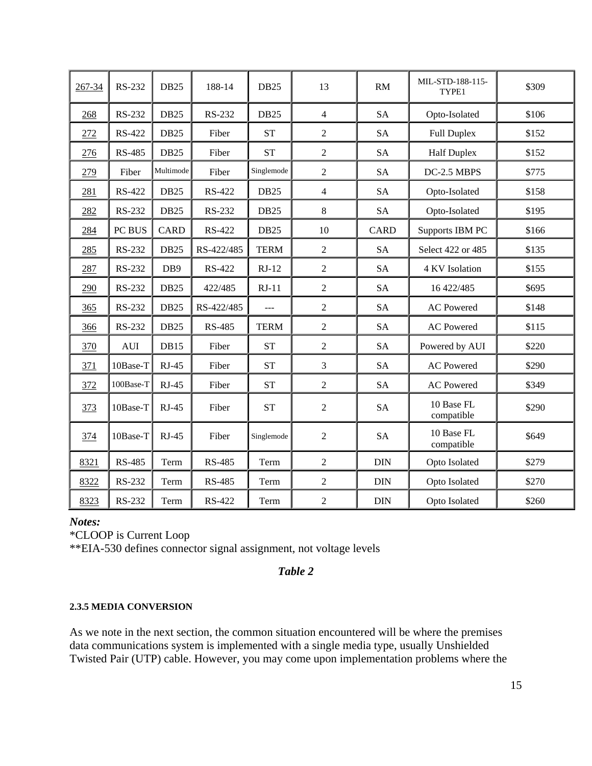| 267-34 | RS-232        | <b>DB25</b> | 188-14        | <b>DB25</b>      | 13             | <b>RM</b>   | MIL-STD-188-115-<br>TYPE1 | \$309 |
|--------|---------------|-------------|---------------|------------------|----------------|-------------|---------------------------|-------|
| 268    | RS-232        | <b>DB25</b> | RS-232        | <b>DB25</b>      | $\overline{4}$ | <b>SA</b>   | Opto-Isolated             | \$106 |
| 272    | <b>RS-422</b> | <b>DB25</b> | Fiber         | <b>ST</b>        | $\overline{2}$ | <b>SA</b>   | <b>Full Duplex</b>        | \$152 |
| 276    | <b>RS-485</b> | <b>DB25</b> | Fiber         | <b>ST</b>        | $\overline{2}$ | <b>SA</b>   | <b>Half Duplex</b>        | \$152 |
| 279    | Fiber         | Multimode   | Fiber         | Singlemode       | $\overline{2}$ | <b>SA</b>   | DC-2.5 MBPS               | \$775 |
| 281    | <b>RS-422</b> | <b>DB25</b> | RS-422        | <b>DB25</b>      | $\overline{4}$ | <b>SA</b>   | Opto-Isolated             | \$158 |
| 282    | RS-232        | <b>DB25</b> | RS-232        | DB <sub>25</sub> | $8\,$          | <b>SA</b>   | Opto-Isolated             | \$195 |
| 284    | PC BUS        | <b>CARD</b> | RS-422        | <b>DB25</b>      | 10             | <b>CARD</b> | Supports IBM PC           | \$166 |
| 285    | RS-232        | <b>DB25</b> | RS-422/485    | <b>TERM</b>      | $\overline{2}$ | <b>SA</b>   | Select 422 or 485         | \$135 |
| 287    | RS-232        | DB9         | RS-422        | $RJ-12$          | $\overline{2}$ | <b>SA</b>   | 4 KV Isolation            | \$155 |
| 290    | RS-232        | <b>DB25</b> | 422/485       | $RJ-11$          | $\overline{2}$ | <b>SA</b>   | 16 422/485                | \$695 |
| 365    | RS-232        | <b>DB25</b> | RS-422/485    | $ -$             | $\overline{2}$ | <b>SA</b>   | <b>AC</b> Powered         | \$148 |
| 366    | RS-232        | <b>DB25</b> | <b>RS-485</b> | <b>TERM</b>      | $\overline{2}$ | <b>SA</b>   | <b>AC</b> Powered         | \$115 |
| 370    | AUI           | DB15        | Fiber         | <b>ST</b>        | $\overline{2}$ | <b>SA</b>   | Powered by AUI            | \$220 |
| 371    | 10Base-T      | $RJ-45$     | Fiber         | <b>ST</b>        | $\overline{3}$ | <b>SA</b>   | <b>AC</b> Powered         | \$290 |
| 372    | 100Base-T     | $RJ-45$     | Fiber         | <b>ST</b>        | $\overline{2}$ | <b>SA</b>   | <b>AC</b> Powered         | \$349 |
| 373    | 10Base-T      | $RJ-45$     | Fiber         | <b>ST</b>        | $\overline{2}$ | <b>SA</b>   | 10 Base FL<br>compatible  | \$290 |
| 374    | 10Base-T      | $RJ-45$     | Fiber         | Singlemode       | $\overline{2}$ | <b>SA</b>   | 10 Base FL<br>compatible  | \$649 |
| 8321   | <b>RS-485</b> | Term        | <b>RS-485</b> | Term             | $\overline{2}$ | <b>DIN</b>  | Opto Isolated             | \$279 |
| 8322   | RS-232        | Term        | <b>RS-485</b> | Term             | $\overline{2}$ | DIN         | Opto Isolated             | \$270 |
| 8323   | <b>RS-232</b> | Term        | <b>RS-422</b> | Term             | $\overline{2}$ | $\rm{DIN}$  | Opto Isolated             | \$260 |

#### *Notes:*

\*CLOOP is Current Loop

\*\*EIA-530 defines connector signal assignment, not voltage levels

### *Table 2*

#### **2.3.5 MEDIA CONVERSION**

As we note in the next section, the common situation encountered will be where the premises data communications system is implemented with a single media type, usually Unshielded Twisted Pair (UTP) cable. However, you may come upon implementation problems where the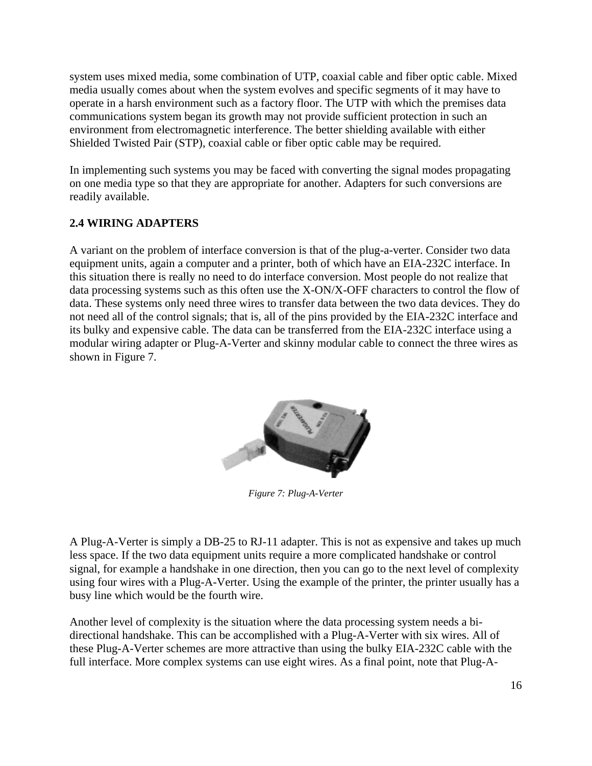system uses mixed media, some combination of UTP, coaxial cable and fiber optic cable. Mixed media usually comes about when the system evolves and specific segments of it may have to operate in a harsh environment such as a factory floor. The UTP with which the premises data communications system began its growth may not provide sufficient protection in such an environment from electromagnetic interference. The better shielding available with either Shielded Twisted Pair (STP), coaxial cable or fiber optic cable may be required.

In implementing such systems you may be faced with converting the signal modes propagating on one media type so that they are appropriate for another. Adapters for such conversions are readily available.

### **2.4 WIRING ADAPTERS**

A variant on the problem of interface conversion is that of the plug-a-verter. Consider two data equipment units, again a computer and a printer, both of which have an EIA-232C interface. In this situation there is really no need to do interface conversion. Most people do not realize that data processing systems such as this often use the X-ON/X-OFF characters to control the flow of data. These systems only need three wires to transfer data between the two data devices. They do not need all of the control signals; that is, all of the pins provided by the EIA-232C interface and its bulky and expensive cable. The data can be transferred from the EIA-232C interface using a modular wiring adapter or Plug-A-Verter and skinny modular cable to connect the three wires as shown in Figure 7.



*Figure 7: Plug-A-Verter*

A Plug-A-Verter is simply a DB-25 to RJ-11 adapter. This is not as expensive and takes up much less space. If the two data equipment units require a more complicated handshake or control signal, for example a handshake in one direction, then you can go to the next level of complexity using four wires with a Plug-A-Verter. Using the example of the printer, the printer usually has a busy line which would be the fourth wire.

Another level of complexity is the situation where the data processing system needs a bidirectional handshake. This can be accomplished with a Plug-A-Verter with six wires. All of these Plug-A-Verter schemes are more attractive than using the bulky EIA-232C cable with the full interface. More complex systems can use eight wires. As a final point, note that Plug-A-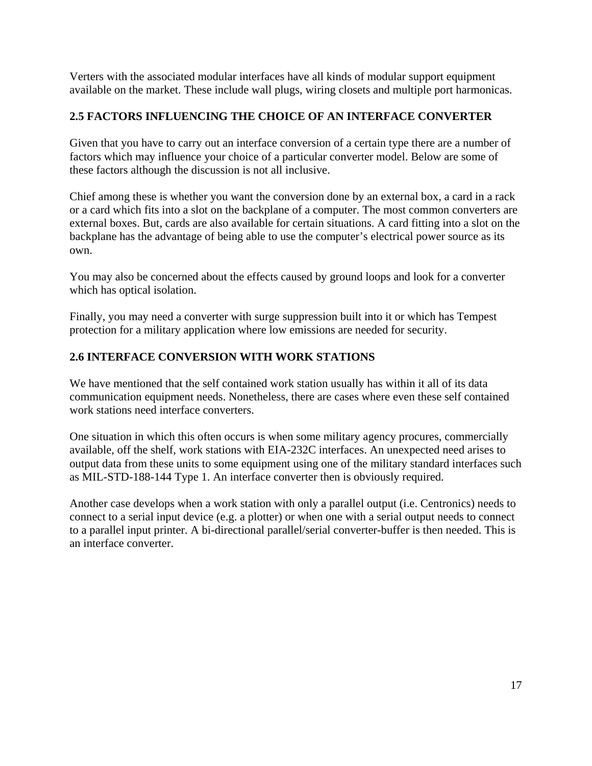Verters with the associated modular interfaces have all kinds of modular support equipment available on the market. These include wall plugs, wiring closets and multiple port harmonicas.

### **2.5 FACTORS INFLUENCING THE CHOICE OF AN INTERFACE CONVERTER**

Given that you have to carry out an interface conversion of a certain type there are a number of factors which may influence your choice of a particular converter model. Below are some of these factors although the discussion is not all inclusive.

Chief among these is whether you want the conversion done by an external box, a card in a rack or a card which fits into a slot on the backplane of a computer. The most common converters are external boxes. But, cards are also available for certain situations. A card fitting into a slot on the backplane has the advantage of being able to use the computer's electrical power source as its own.

You may also be concerned about the effects caused by ground loops and look for a converter which has optical isolation.

Finally, you may need a converter with surge suppression built into it or which has Tempest protection for a military application where low emissions are needed for security.

### **2.6 INTERFACE CONVERSION WITH WORK STATIONS**

We have mentioned that the self contained work station usually has within it all of its data communication equipment needs. Nonetheless, there are cases where even these self contained work stations need interface converters.

One situation in which this often occurs is when some military agency procures, commercially available, off the shelf, work stations with EIA-232C interfaces. An unexpected need arises to output data from these units to some equipment using one of the military standard interfaces such as MIL-STD-188-144 Type 1. An interface converter then is obviously required.

Another case develops when a work station with only a parallel output (i.e. Centronics) needs to connect to a serial input device (e.g. a plotter) or when one with a serial output needs to connect to a parallel input printer. A bi-directional parallel/serial converter-buffer is then needed. This is an interface converter.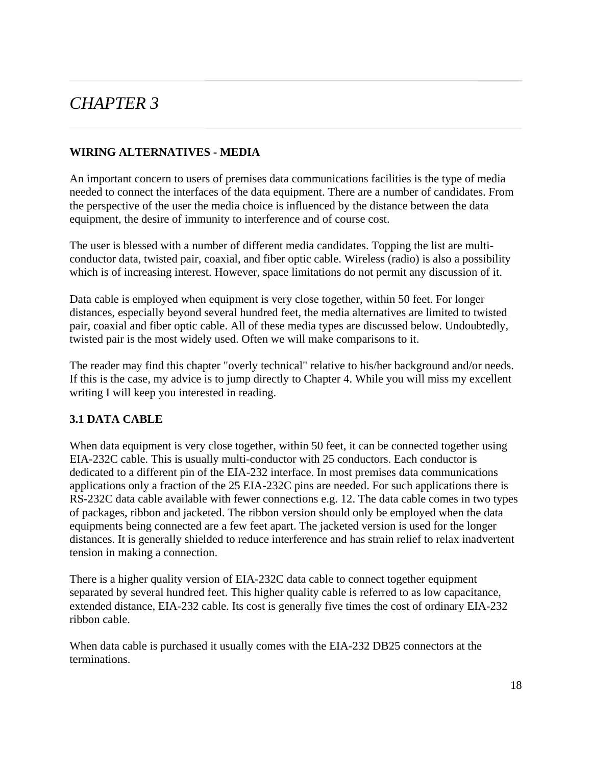## *CHAPTER 3*

### **WIRING ALTERNATIVES - MEDIA**

An important concern to users of premises data communications facilities is the type of media needed to connect the interfaces of the data equipment. There are a number of candidates. From the perspective of the user the media choice is influenced by the distance between the data equipment, the desire of immunity to interference and of course cost.

The user is blessed with a number of different media candidates. Topping the list are multiconductor data, twisted pair, coaxial, and fiber optic cable. Wireless (radio) is also a possibility which is of increasing interest. However, space limitations do not permit any discussion of it.

Data cable is employed when equipment is very close together, within 50 feet. For longer distances, especially beyond several hundred feet, the media alternatives are limited to twisted pair, coaxial and fiber optic cable. All of these media types are discussed below. Undoubtedly, twisted pair is the most widely used. Often we will make comparisons to it.

The reader may find this chapter "overly technical" relative to his/her background and/or needs. If this is the case, my advice is to jump directly to Chapter 4. While you will miss my excellent writing I will keep you interested in reading.

### **3.1 DATA CABLE**

When data equipment is very close together, within 50 feet, it can be connected together using EIA-232C cable. This is usually multi-conductor with 25 conductors. Each conductor is dedicated to a different pin of the EIA-232 interface. In most premises data communications applications only a fraction of the 25 EIA-232C pins are needed. For such applications there is RS-232C data cable available with fewer connections e.g. 12. The data cable comes in two types of packages, ribbon and jacketed. The ribbon version should only be employed when the data equipments being connected are a few feet apart. The jacketed version is used for the longer distances. It is generally shielded to reduce interference and has strain relief to relax inadvertent tension in making a connection.

There is a higher quality version of EIA-232C data cable to connect together equipment separated by several hundred feet. This higher quality cable is referred to as low capacitance, extended distance, EIA-232 cable. Its cost is generally five times the cost of ordinary EIA-232 ribbon cable.

When data cable is purchased it usually comes with the EIA-232 DB25 connectors at the terminations.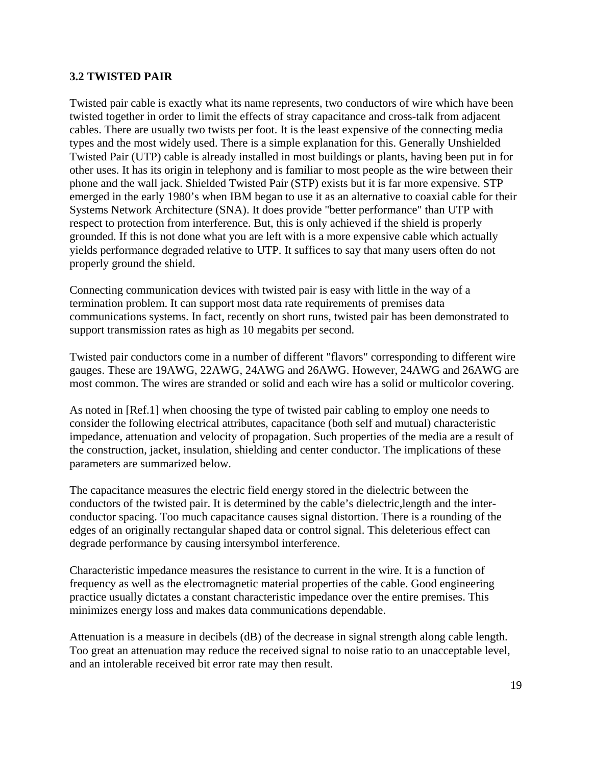#### **3.2 TWISTED PAIR**

Twisted pair cable is exactly what its name represents, two conductors of wire which have been twisted together in order to limit the effects of stray capacitance and cross-talk from adjacent cables. There are usually two twists per foot. It is the least expensive of the connecting media types and the most widely used. There is a simple explanation for this. Generally Unshielded Twisted Pair (UTP) cable is already installed in most buildings or plants, having been put in for other uses. It has its origin in telephony and is familiar to most people as the wire between their phone and the wall jack. Shielded Twisted Pair (STP) exists but it is far more expensive. STP emerged in the early 1980's when IBM began to use it as an alternative to coaxial cable for their Systems Network Architecture (SNA). It does provide "better performance" than UTP with respect to protection from interference. But, this is only achieved if the shield is properly grounded. If this is not done what you are left with is a more expensive cable which actually yields performance degraded relative to UTP. It suffices to say that many users often do not properly ground the shield.

Connecting communication devices with twisted pair is easy with little in the way of a termination problem. It can support most data rate requirements of premises data communications systems. In fact, recently on short runs, twisted pair has been demonstrated to support transmission rates as high as 10 megabits per second.

Twisted pair conductors come in a number of different "flavors" corresponding to different wire gauges. These are 19AWG, 22AWG, 24AWG and 26AWG. However, 24AWG and 26AWG are most common. The wires are stranded or solid and each wire has a solid or multicolor covering.

As noted in [Ref.1] when choosing the type of twisted pair cabling to employ one needs to consider the following electrical attributes, capacitance (both self and mutual) characteristic impedance, attenuation and velocity of propagation. Such properties of the media are a result of the construction, jacket, insulation, shielding and center conductor. The implications of these parameters are summarized below.

The capacitance measures the electric field energy stored in the dielectric between the conductors of the twisted pair. It is determined by the cable's dielectric,length and the interconductor spacing. Too much capacitance causes signal distortion. There is a rounding of the edges of an originally rectangular shaped data or control signal. This deleterious effect can degrade performance by causing intersymbol interference.

Characteristic impedance measures the resistance to current in the wire. It is a function of frequency as well as the electromagnetic material properties of the cable. Good engineering practice usually dictates a constant characteristic impedance over the entire premises. This minimizes energy loss and makes data communications dependable.

Attenuation is a measure in decibels (dB) of the decrease in signal strength along cable length. Too great an attenuation may reduce the received signal to noise ratio to an unacceptable level, and an intolerable received bit error rate may then result.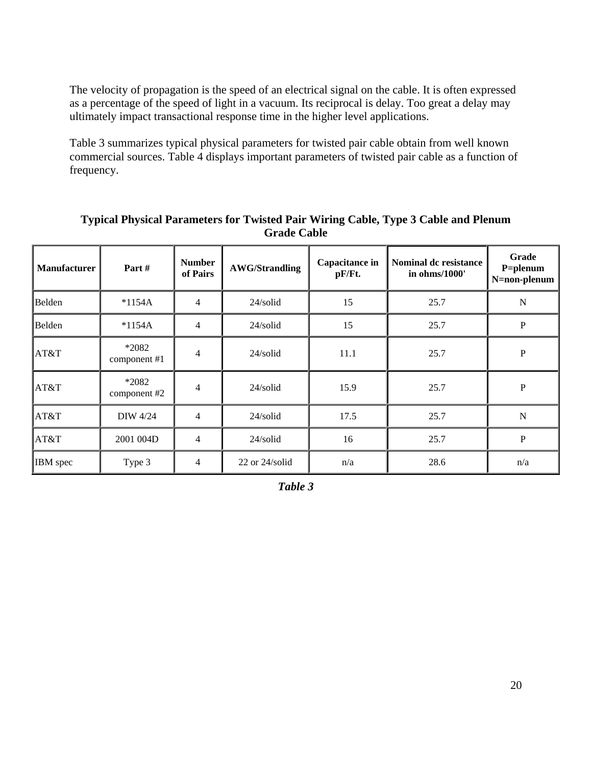The velocity of propagation is the speed of an electrical signal on the cable. It is often expressed as a percentage of the speed of light in a vacuum. Its reciprocal is delay. Too great a delay may ultimately impact transactional response time in the higher level applications.

Table 3 summarizes typical physical parameters for twisted pair cable obtain from well known commercial sources. Table 4 displays important parameters of twisted pair cable as a function of frequency.

| <b>Manufacturer</b> | Part#                   | <b>Number</b><br>of Pairs | Capacitance in<br><b>AWG/Strandling</b><br>pF/Ft. |      | <b>Nominal dc resistance</b><br>in ohms/1000' | Grade<br>P=plenum<br>N=non-plenum |
|---------------------|-------------------------|---------------------------|---------------------------------------------------|------|-----------------------------------------------|-----------------------------------|
| Belden              | $*1154A$                | 4                         | $24$ /solid                                       | 15   | 25.7                                          | $\mathbf N$                       |
| Belden              | $*1154A$                | 4                         | $24$ /solid                                       | 15   | 25.7                                          | $\, {\bf P}$                      |
| AT&T                | *2082<br>component #1   | 4                         | $24$ /solid                                       | 11.1 | 25.7                                          | ${\bf P}$                         |
| AT&T                | $*2082$<br>component #2 | 4                         | $24$ /solid                                       | 15.9 | 25.7                                          | ${\bf P}$                         |
| AT&T                | DIW 4/24                | 4                         | $24$ /solid                                       | 17.5 | 25.7                                          | $\mathbf N$                       |
| AT&T                | 2001 004D               | 4                         | $24$ /solid                                       | 16   | 25.7                                          | $\mathbf P$                       |
| IBM spec            | Type 3                  | $\overline{4}$            | $22$ or $24$ /solid                               | n/a  | 28.6                                          | n/a                               |

**Typical Physical Parameters for Twisted Pair Wiring Cable, Type 3 Cable and Plenum Grade Cable**

*Table 3*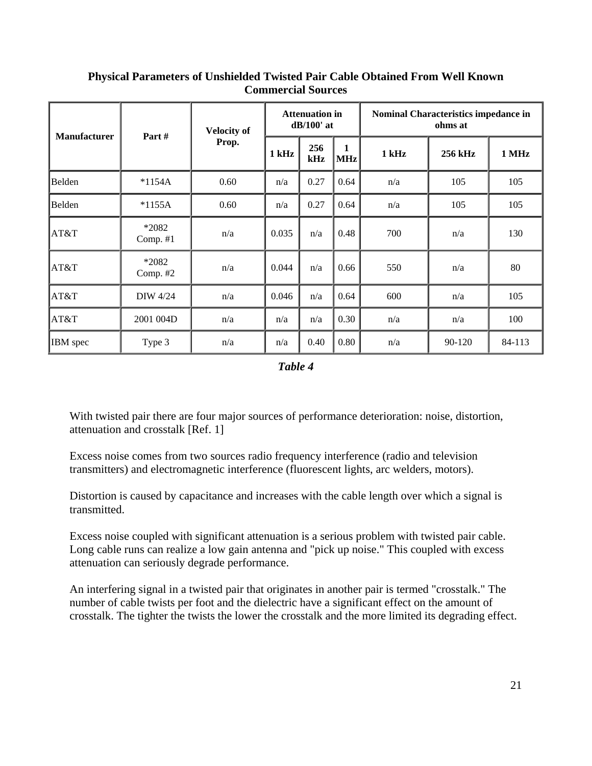| <b>Manufacturer</b> | Part#             | <b>Velocity of</b> | <b>Attenuation in</b><br>$dB/100'$ at |            |                            | Nominal Characteristics impedance in<br>ohms at |         |        |  |
|---------------------|-------------------|--------------------|---------------------------------------|------------|----------------------------|-------------------------------------------------|---------|--------|--|
|                     |                   | Prop.              | 1 kHz                                 | 256<br>kHz | $\mathbf{1}$<br><b>MHz</b> | 1 kHz                                           | 256 kHz | 1 MHz  |  |
| Belden              | $*1154A$          | 0.60               | n/a                                   | 0.27       | 0.64                       | n/a                                             | 105     | 105    |  |
| Belden              | $*1155A$          | 0.60               | n/a                                   | 0.27       | 0.64                       | n/a                                             | 105     | 105    |  |
| AT&T                | *2082<br>Comp. #1 | n/a                | 0.035                                 | n/a        | 0.48                       | 700                                             | n/a     | 130    |  |
| AT&T                | *2082<br>Comp. #2 | n/a                | 0.044                                 | n/a        | 0.66                       | 550                                             | n/a     | 80     |  |
| AT&T                | <b>DIW 4/24</b>   | n/a                | 0.046                                 | n/a        | 0.64                       | 600                                             | n/a     | 105    |  |
| AT&T                | 2001 004D         | n/a                | n/a                                   | n/a        | 0.30                       | n/a                                             | n/a     | 100    |  |
| IBM spec            | Type 3            | n/a                | n/a                                   | 0.40       | 0.80                       | n/a                                             | 90-120  | 84-113 |  |

### **Physical Parameters of Unshielded Twisted Pair Cable Obtained From Well Known Commercial Sources**

*Table 4*

With twisted pair there are four major sources of performance deterioration: noise, distortion, attenuation and crosstalk [Ref. 1]

Excess noise comes from two sources radio frequency interference (radio and television transmitters) and electromagnetic interference (fluorescent lights, arc welders, motors).

Distortion is caused by capacitance and increases with the cable length over which a signal is transmitted.

Excess noise coupled with significant attenuation is a serious problem with twisted pair cable. Long cable runs can realize a low gain antenna and "pick up noise." This coupled with excess attenuation can seriously degrade performance.

An interfering signal in a twisted pair that originates in another pair is termed "crosstalk." The number of cable twists per foot and the dielectric have a significant effect on the amount of crosstalk. The tighter the twists the lower the crosstalk and the more limited its degrading effect.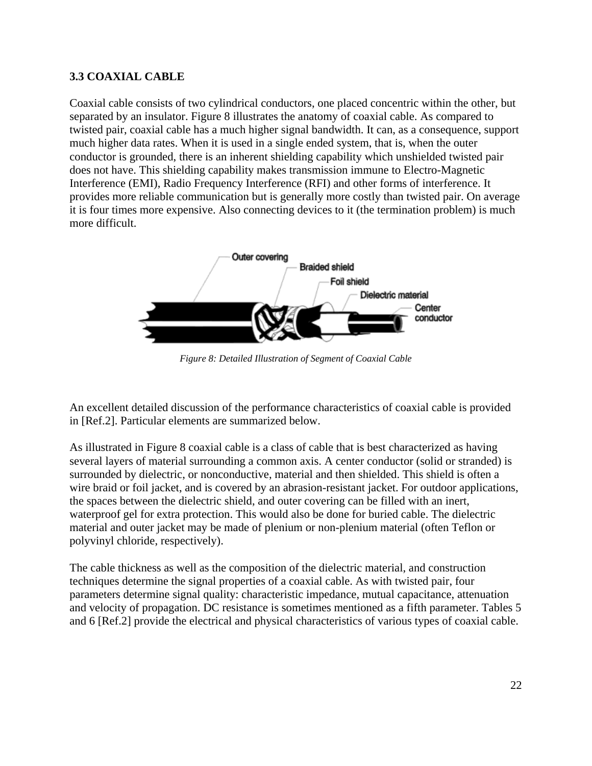### **3.3 COAXIAL CABLE**

Coaxial cable consists of two cylindrical conductors, one placed concentric within the other, but separated by an insulator. Figure 8 illustrates the anatomy of coaxial cable. As compared to twisted pair, coaxial cable has a much higher signal bandwidth. It can, as a consequence, support much higher data rates. When it is used in a single ended system, that is, when the outer conductor is grounded, there is an inherent shielding capability which unshielded twisted pair does not have. This shielding capability makes transmission immune to Electro-Magnetic Interference (EMI), Radio Frequency Interference (RFI) and other forms of interference. It provides more reliable communication but is generally more costly than twisted pair. On average it is four times more expensive. Also connecting devices to it (the termination problem) is much more difficult.



*Figure 8: Detailed Illustration of Segment of Coaxial Cable*

An excellent detailed discussion of the performance characteristics of coaxial cable is provided in [Ref.2]. Particular elements are summarized below.

As illustrated in Figure 8 coaxial cable is a class of cable that is best characterized as having several layers of material surrounding a common axis. A center conductor (solid or stranded) is surrounded by dielectric, or nonconductive, material and then shielded. This shield is often a wire braid or foil jacket, and is covered by an abrasion-resistant jacket. For outdoor applications, the spaces between the dielectric shield, and outer covering can be filled with an inert, waterproof gel for extra protection. This would also be done for buried cable. The dielectric material and outer jacket may be made of plenium or non-plenium material (often Teflon or polyvinyl chloride, respectively).

The cable thickness as well as the composition of the dielectric material, and construction techniques determine the signal properties of a coaxial cable. As with twisted pair, four parameters determine signal quality: characteristic impedance, mutual capacitance, attenuation and velocity of propagation. DC resistance is sometimes mentioned as a fifth parameter. Tables 5 and 6 [Ref.2] provide the electrical and physical characteristics of various types of coaxial cable.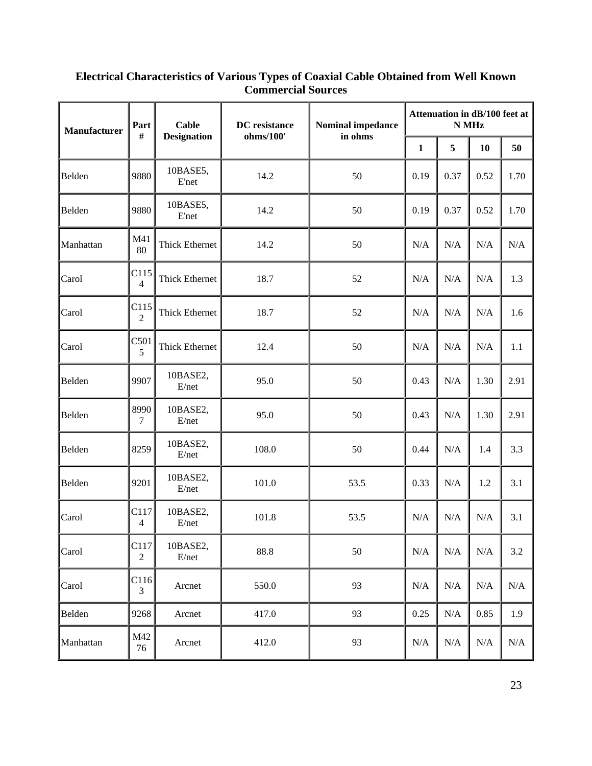| <b>Manufacturer</b> | Part<br>#              | <b>Cable</b>             | DC resistance<br>ohms/100' | <b>Nominal impedance</b><br>in ohms | Attenuation in dB/100 feet at<br>N MHz |           |           |           |
|---------------------|------------------------|--------------------------|----------------------------|-------------------------------------|----------------------------------------|-----------|-----------|-----------|
|                     |                        | <b>Designation</b>       |                            |                                     |                                        | 5         | 10        | 50        |
| Belden              | 9880                   | 10BASE5,<br><b>E'net</b> | 14.2                       | 50                                  | 0.19                                   | 0.37      | 0.52      | 1.70      |
| Belden              | 9880                   | 10BASE5,<br>E'net        | 14.2                       | 50                                  | 0.19                                   | 0.37      | 0.52      | 1.70      |
| Manhattan           | M41<br>80              | Thick Ethernet           | 14.2                       | 50                                  | N/A                                    | N/A       | N/A       | $\rm N/A$ |
| Carol               | C115<br>$\overline{4}$ | <b>Thick Ethernet</b>    | 18.7                       | 52                                  | N/A                                    | N/A       | N/A       | 1.3       |
| Carol               | C115<br>$\overline{2}$ | Thick Ethernet           | 18.7                       | 52                                  | N/A                                    | N/A       | N/A       | 1.6       |
| Carol               | C501<br>5              | <b>Thick Ethernet</b>    | 12.4                       | 50                                  | N/A                                    | N/A       | N/A       | 1.1       |
| Belden              | 9907                   | 10BASE2,<br>E/net        | 95.0                       | 50                                  | 0.43                                   | N/A       | 1.30      | 2.91      |
| Belden              | 8990<br>7              | 10BASE2,<br>E/net        | 95.0                       | 50                                  | 0.43                                   | N/A       | 1.30      | 2.91      |
| Belden              | 8259                   | 10BASE2,<br>E/net        | 108.0                      | 50                                  | 0.44                                   | N/A       | 1.4       | 3.3       |
| Belden              | 9201                   | 10BASE2,<br>E/net        | 101.0                      | 53.5                                | 0.33                                   | N/A       | 1.2       | 3.1       |
| Carol               | C117<br>$\overline{4}$ | 10BASE2,<br>E/net        | 101.8                      | 53.5                                | N/A                                    | N/A       | N/A       | 3.1       |
| Carol               | C117<br>$\overline{c}$ | 10BASE2,<br>E/net        | 88.8                       | $50\,$                              | N/A                                    | N/A       | $\rm N/A$ | 3.2       |
| Carol               | C116<br>3              | Arcnet                   | 550.0                      | 93                                  | N/A                                    | N/A       | N/A       | $\rm N/A$ |
| Belden              | 9268                   | Arcnet                   | 417.0                      | 93                                  | 0.25                                   | $\rm N/A$ | 0.85      | 1.9       |
| Manhattan           | M42<br>76              | Arcnet                   | 412.0                      | 93                                  | N/A                                    | N/A       | N/A       | N/A       |

#### **Electrical Characteristics of Various Types of Coaxial Cable Obtained from Well Known Commercial Sources**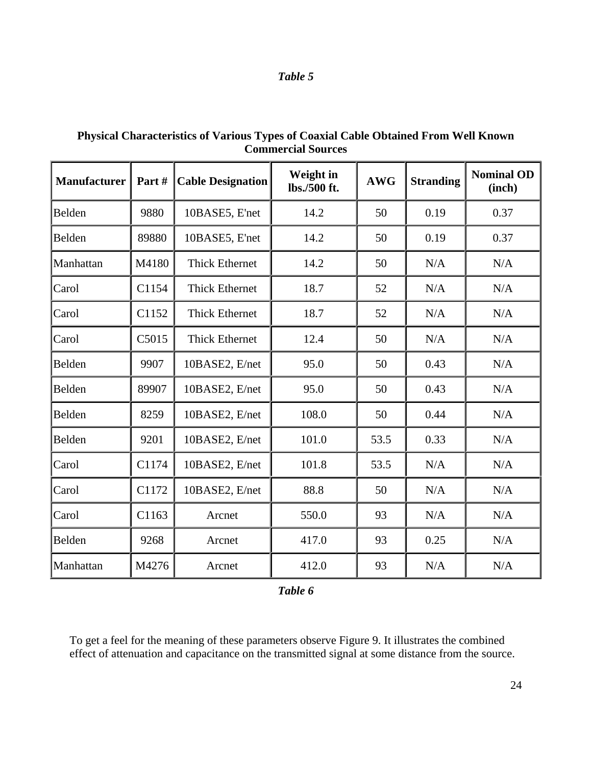| Table |  |
|-------|--|
|-------|--|

| <b>Manufacturer</b> | Part# | <b>Cable Designation</b> | Weight in<br>lbs./500 ft. | <b>AWG</b> | <b>Stranding</b> | <b>Nominal OD</b><br>(inch) |
|---------------------|-------|--------------------------|---------------------------|------------|------------------|-----------------------------|
| Belden              | 9880  | 10BASE5, E'net           | 14.2                      | 50         | 0.19             | 0.37                        |
| Belden              | 89880 | 10BASE5, E'net           | 14.2                      | 50         | 0.19             | 0.37                        |
| Manhattan           | M4180 | <b>Thick Ethernet</b>    | 14.2                      | 50         | N/A              | N/A                         |
| Carol               | C1154 | <b>Thick Ethernet</b>    | 18.7                      | 52         | N/A              | N/A                         |
| Carol               | C1152 | <b>Thick Ethernet</b>    | 18.7                      | 52         | N/A              | N/A                         |
| Carol               | C5015 | <b>Thick Ethernet</b>    | 12.4                      | 50         | N/A              | N/A                         |
| Belden              | 9907  | 10BASE2, E/net           | 95.0                      | 50         | 0.43             | N/A                         |
| Belden              | 89907 | 10BASE2, E/net           | 95.0                      | 50         | 0.43             | N/A                         |
| Belden              | 8259  | 10BASE2, E/net           | 108.0                     | 50         | 0.44             | N/A                         |
| Belden              | 9201  | 10BASE2, E/net           | 101.0                     | 53.5       | 0.33             | N/A                         |
| Carol               | C1174 | 10BASE2, E/net           | 101.8                     | 53.5       | N/A              | N/A                         |
| Carol               | C1172 | 10BASE2, E/net           | 88.8                      | 50         | N/A              | N/A                         |
| Carol               | C1163 | Arcnet                   | 550.0                     | 93         | N/A              | N/A                         |
| Belden              | 9268  | Arcnet                   | 417.0                     | 93         | 0.25             | N/A                         |
| Manhattan           | M4276 | Arcnet                   | 412.0                     | 93         | N/A              | N/A                         |

**Physical Characteristics of Various Types of Coaxial Cable Obtained From Well Known Commercial Sources**

*Table 6*

To get a feel for the meaning of these parameters observe Figure 9. It illustrates the combined effect of attenuation and capacitance on the transmitted signal at some distance from the source.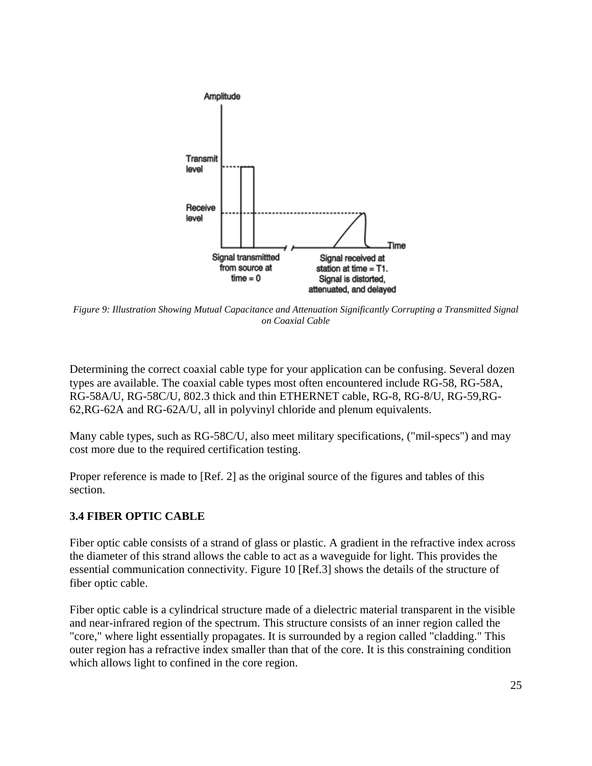

*Figure 9: Illustration Showing Mutual Capacitance and Attenuation Significantly Corrupting a Transmitted Signal on Coaxial Cable*

Determining the correct coaxial cable type for your application can be confusing. Several dozen types are available. The coaxial cable types most often encountered include RG-58, RG-58A, RG-58A/U, RG-58C/U, 802.3 thick and thin ETHERNET cable, RG-8, RG-8/U, RG-59,RG-62,RG-62A and RG-62A/U, all in polyvinyl chloride and plenum equivalents.

Many cable types, such as RG-58C/U, also meet military specifications, ("mil-specs") and may cost more due to the required certification testing.

Proper reference is made to [Ref. 2] as the original source of the figures and tables of this section.

### **3.4 FIBER OPTIC CABLE**

Fiber optic cable consists of a strand of glass or plastic. A gradient in the refractive index across the diameter of this strand allows the cable to act as a waveguide for light. This provides the essential communication connectivity. Figure 10 [Ref.3] shows the details of the structure of fiber optic cable.

Fiber optic cable is a cylindrical structure made of a dielectric material transparent in the visible and near-infrared region of the spectrum. This structure consists of an inner region called the "core," where light essentially propagates. It is surrounded by a region called "cladding." This outer region has a refractive index smaller than that of the core. It is this constraining condition which allows light to confined in the core region.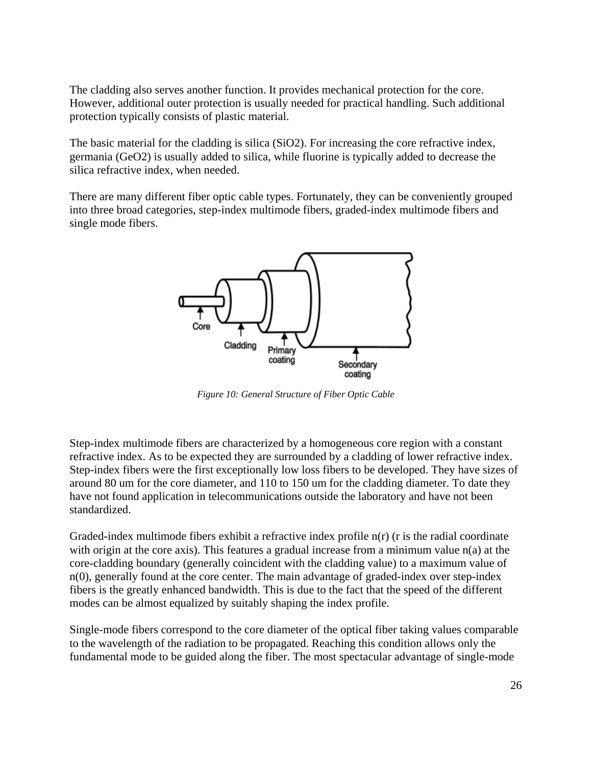The cladding also serves another function. It provides mechanical protection for the core. However, additional outer protection is usually needed for practical handling. Such additional protection typically consists of plastic material.

The basic material for the cladding is silica (SiO2). For increasing the core refractive index, germania (GeO2) is usually added to silica, while fluorine is typically added to decrease the silica refractive index, when needed.

There are many different fiber optic cable types. Fortunately, they can be conveniently grouped into three broad categories, step-index multimode fibers, graded-index multimode fibers and single mode fibers.



*Figure 10: General Structure of Fiber Optic Cable*

Step-index multimode fibers are characterized by a homogeneous core region with a constant refractive index. As to be expected they are surrounded by a cladding of lower refractive index. Step-index fibers were the first exceptionally low loss fibers to be developed. They have sizes of around 80 um for the core diameter, and 110 to 150 um for the cladding diameter. To date they have not found application in telecommunications outside the laboratory and have not been standardized.

Graded-index multimode fibers exhibit a refractive index profile n(r) (r is the radial coordinate with origin at the core axis). This features a gradual increase from a minimum value  $n(a)$  at the core-cladding boundary (generally coincident with the cladding value) to a maximum value of n(0), generally found at the core center. The main advantage of graded-index over step-index fibers is the greatly enhanced bandwidth. This is due to the fact that the speed of the different modes can be almost equalized by suitably shaping the index profile.

Single-mode fibers correspond to the core diameter of the optical fiber taking values comparable to the wavelength of the radiation to be propagated. Reaching this condition allows only the fundamental mode to be guided along the fiber. The most spectacular advantage of single-mode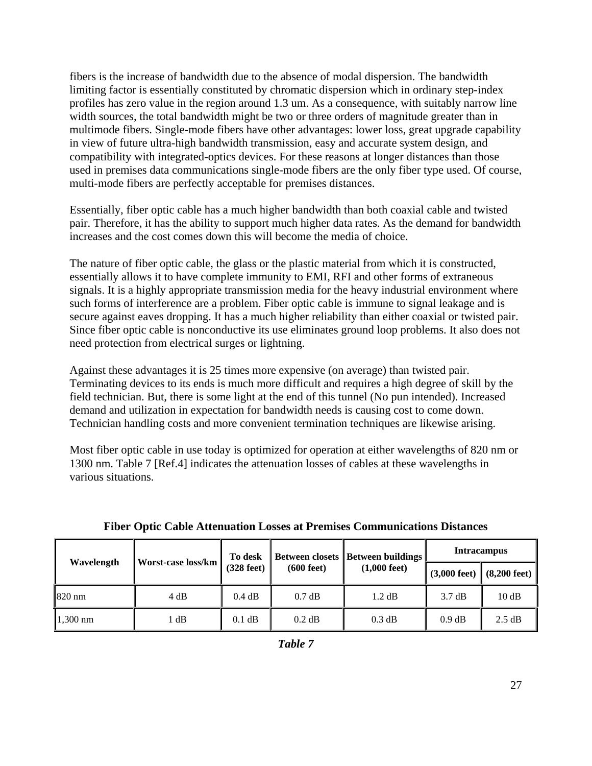fibers is the increase of bandwidth due to the absence of modal dispersion. The bandwidth limiting factor is essentially constituted by chromatic dispersion which in ordinary step-index profiles has zero value in the region around 1.3 um. As a consequence, with suitably narrow line width sources, the total bandwidth might be two or three orders of magnitude greater than in multimode fibers. Single-mode fibers have other advantages: lower loss, great upgrade capability in view of future ultra-high bandwidth transmission, easy and accurate system design, and compatibility with integrated-optics devices. For these reasons at longer distances than those used in premises data communications single-mode fibers are the only fiber type used. Of course, multi-mode fibers are perfectly acceptable for premises distances.

Essentially, fiber optic cable has a much higher bandwidth than both coaxial cable and twisted pair. Therefore, it has the ability to support much higher data rates. As the demand for bandwidth increases and the cost comes down this will become the media of choice.

The nature of fiber optic cable, the glass or the plastic material from which it is constructed, essentially allows it to have complete immunity to EMI, RFI and other forms of extraneous signals. It is a highly appropriate transmission media for the heavy industrial environment where such forms of interference are a problem. Fiber optic cable is immune to signal leakage and is secure against eaves dropping. It has a much higher reliability than either coaxial or twisted pair. Since fiber optic cable is nonconductive its use eliminates ground loop problems. It also does not need protection from electrical surges or lightning.

Against these advantages it is 25 times more expensive (on average) than twisted pair. Terminating devices to its ends is much more difficult and requires a high degree of skill by the field technician. But, there is some light at the end of this tunnel (No pun intended). Increased demand and utilization in expectation for bandwidth needs is causing cost to come down. Technician handling costs and more convenient termination techniques are likewise arising.

Most fiber optic cable in use today is optimized for operation at either wavelengths of 820 nm or 1300 nm. Table 7 [Ref.4] indicates the attenuation losses of cables at these wavelengths in various situations.

|            |                    | To desk              |                      | <b>Between closets   Between buildings</b> | <b>Intracampus</b>                               |        |  |
|------------|--------------------|----------------------|----------------------|--------------------------------------------|--------------------------------------------------|--------|--|
| Wavelength | Worst-case loss/km | $(328 \text{ feet})$ | $(600 \text{ feet})$ | $(1,000 \text{ feet})$                     | $(3,000 \text{ feet})$<br>$(8,200 \text{ feet})$ |        |  |
| 1820 nm    | 4 dB               | 0.4 dB               | $0.7$ dB             | $1.2 \text{ dB}$                           | $3.7 \text{ dB}$                                 | 10dB   |  |
| $1,300$ nm | dB                 | $0.1$ dB             | $0.2$ dB             | 0.3 dB                                     | 0.9 dB                                           | 2.5 dB |  |

|  | <b>Fiber Optic Cable Attenuation Losses at Premises Communications Distances</b> |  |  |  |
|--|----------------------------------------------------------------------------------|--|--|--|
|  |                                                                                  |  |  |  |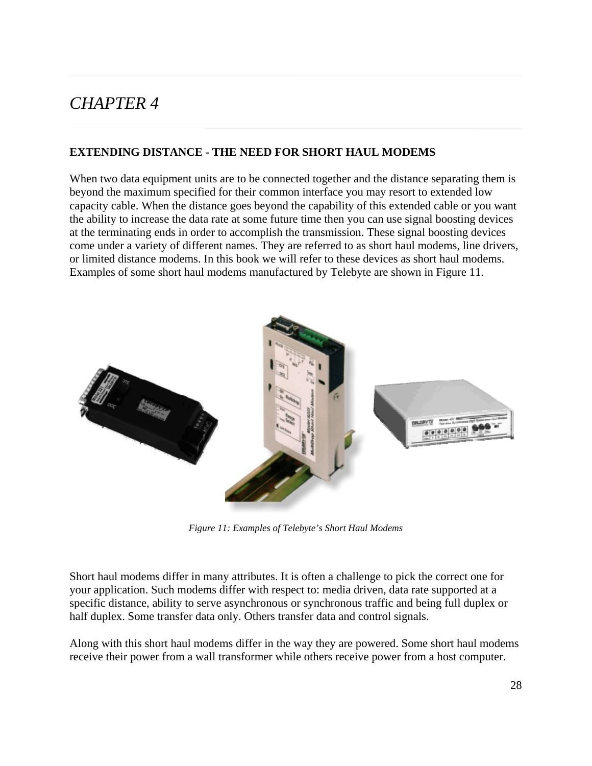## *CHAPTER 4*

### **EXTENDING DISTANCE - THE NEED FOR SHORT HAUL MODEMS**

When two data equipment units are to be connected together and the distance separating them is beyond the maximum specified for their common interface you may resort to extended low capacity cable. When the distance goes beyond the capability of this extended cable or you want the ability to increase the data rate at some future time then you can use signal boosting devices at the terminating ends in order to accomplish the transmission. These signal boosting devices come under a variety of different names. They are referred to as short haul modems, line drivers, or limited distance modems. In this book we will refer to these devices as short haul modems. Examples of some short haul modems manufactured by Telebyte are shown in Figure 11.



*Figure 11: Examples of Telebyte's Short Haul Modems*

Short haul modems differ in many attributes. It is often a challenge to pick the correct one for your application. Such modems differ with respect to: media driven, data rate supported at a specific distance, ability to serve asynchronous or synchronous traffic and being full duplex or half duplex. Some transfer data only. Others transfer data and control signals.

Along with this short haul modems differ in the way they are powered. Some short haul modems receive their power from a wall transformer while others receive power from a host computer.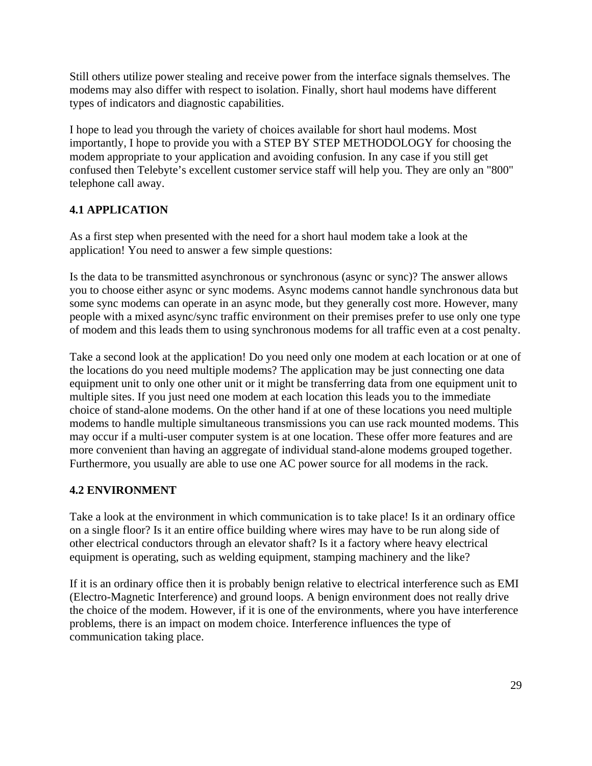Still others utilize power stealing and receive power from the interface signals themselves. The modems may also differ with respect to isolation. Finally, short haul modems have different types of indicators and diagnostic capabilities.

I hope to lead you through the variety of choices available for short haul modems. Most importantly, I hope to provide you with a STEP BY STEP METHODOLOGY for choosing the modem appropriate to your application and avoiding confusion. In any case if you still get confused then Telebyte's excellent customer service staff will help you. They are only an "800" telephone call away.

### **4.1 APPLICATION**

As a first step when presented with the need for a short haul modem take a look at the application! You need to answer a few simple questions:

Is the data to be transmitted asynchronous or synchronous (async or sync)? The answer allows you to choose either async or sync modems. Async modems cannot handle synchronous data but some sync modems can operate in an async mode, but they generally cost more. However, many people with a mixed async/sync traffic environment on their premises prefer to use only one type of modem and this leads them to using synchronous modems for all traffic even at a cost penalty.

Take a second look at the application! Do you need only one modem at each location or at one of the locations do you need multiple modems? The application may be just connecting one data equipment unit to only one other unit or it might be transferring data from one equipment unit to multiple sites. If you just need one modem at each location this leads you to the immediate choice of stand-alone modems. On the other hand if at one of these locations you need multiple modems to handle multiple simultaneous transmissions you can use rack mounted modems. This may occur if a multi-user computer system is at one location. These offer more features and are more convenient than having an aggregate of individual stand-alone modems grouped together. Furthermore, you usually are able to use one AC power source for all modems in the rack.

### **4.2 ENVIRONMENT**

Take a look at the environment in which communication is to take place! Is it an ordinary office on a single floor? Is it an entire office building where wires may have to be run along side of other electrical conductors through an elevator shaft? Is it a factory where heavy electrical equipment is operating, such as welding equipment, stamping machinery and the like?

If it is an ordinary office then it is probably benign relative to electrical interference such as EMI (Electro-Magnetic Interference) and ground loops. A benign environment does not really drive the choice of the modem. However, if it is one of the environments, where you have interference problems, there is an impact on modem choice. Interference influences the type of communication taking place.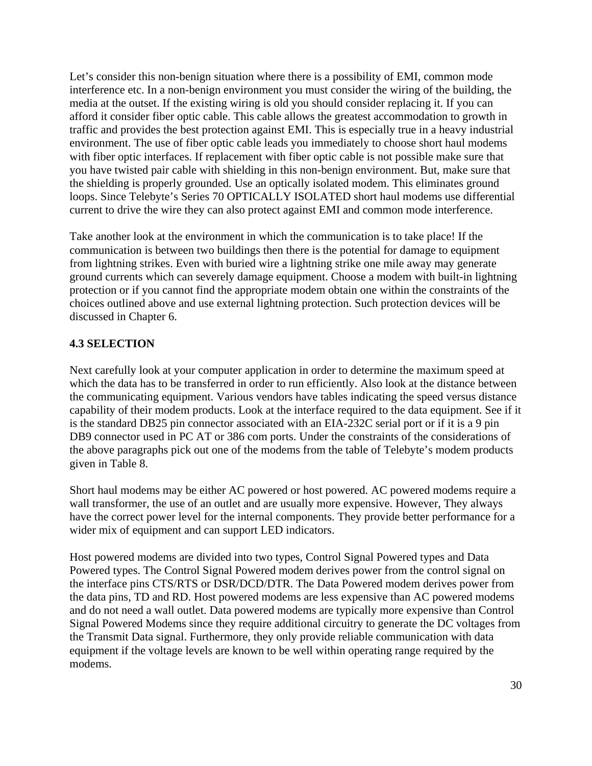Let's consider this non-benign situation where there is a possibility of EMI, common mode interference etc. In a non-benign environment you must consider the wiring of the building, the media at the outset. If the existing wiring is old you should consider replacing it. If you can afford it consider fiber optic cable. This cable allows the greatest accommodation to growth in traffic and provides the best protection against EMI. This is especially true in a heavy industrial environment. The use of fiber optic cable leads you immediately to choose short haul modems with fiber optic interfaces. If replacement with fiber optic cable is not possible make sure that you have twisted pair cable with shielding in this non-benign environment. But, make sure that the shielding is properly grounded. Use an optically isolated modem. This eliminates ground loops. Since Telebyte's Series 70 OPTICALLY ISOLATED short haul modems use differential current to drive the wire they can also protect against EMI and common mode interference.

Take another look at the environment in which the communication is to take place! If the communication is between two buildings then there is the potential for damage to equipment from lightning strikes. Even with buried wire a lightning strike one mile away may generate ground currents which can severely damage equipment. Choose a modem with built-in lightning protection or if you cannot find the appropriate modem obtain one within the constraints of the choices outlined above and use external lightning protection. Such protection devices will be discussed in Chapter 6.

### **4.3 SELECTION**

Next carefully look at your computer application in order to determine the maximum speed at which the data has to be transferred in order to run efficiently. Also look at the distance between the communicating equipment. Various vendors have tables indicating the speed versus distance capability of their modem products. Look at the interface required to the data equipment. See if it is the standard DB25 pin connector associated with an EIA-232C serial port or if it is a 9 pin DB9 connector used in PC AT or 386 com ports. Under the constraints of the considerations of the above paragraphs pick out one of the modems from the table of Telebyte's modem products given in Table 8.

Short haul modems may be either AC powered or host powered. AC powered modems require a wall transformer, the use of an outlet and are usually more expensive. However, They always have the correct power level for the internal components. They provide better performance for a wider mix of equipment and can support LED indicators.

Host powered modems are divided into two types, Control Signal Powered types and Data Powered types. The Control Signal Powered modem derives power from the control signal on the interface pins CTS/RTS or DSR/DCD/DTR. The Data Powered modem derives power from the data pins, TD and RD. Host powered modems are less expensive than AC powered modems and do not need a wall outlet. Data powered modems are typically more expensive than Control Signal Powered Modems since they require additional circuitry to generate the DC voltages from the Transmit Data signal. Furthermore, they only provide reliable communication with data equipment if the voltage levels are known to be well within operating range required by the modems.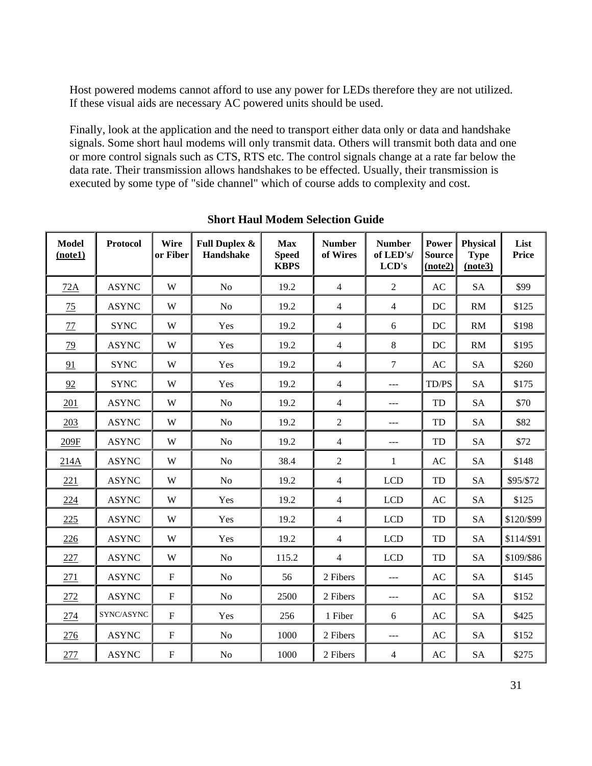Host powered modems cannot afford to use any power for LEDs therefore they are not utilized. If these visual aids are necessary AC powered units should be used.

Finally, look at the application and the need to transport either data only or data and handshake signals. Some short haul modems will only transmit data. Others will transmit both data and one or more control signals such as CTS, RTS etc. The control signals change at a rate far below the data rate. Their transmission allows handshakes to be effected. Usually, their transmission is executed by some type of "side channel" which of course adds to complexity and cost.

| <b>Model</b><br>(note1) | <b>Protocol</b> | Wire<br>or Fiber | <b>Full Duplex &amp;</b><br>Handshake | <b>Max</b><br><b>Speed</b><br><b>KBPS</b> | <b>Number</b><br>of Wires | <b>Number</b><br>of LED's/<br>LCD's | <b>Power</b><br><b>Source</b><br>(note2) | <b>Physical</b><br><b>Type</b><br>(note3) | List<br>Price |
|-------------------------|-----------------|------------------|---------------------------------------|-------------------------------------------|---------------------------|-------------------------------------|------------------------------------------|-------------------------------------------|---------------|
| 72A                     | <b>ASYNC</b>    | W                | N <sub>o</sub>                        | 19.2                                      | $\overline{4}$            | $\overline{2}$                      | AC                                       | <b>SA</b>                                 | \$99          |
| 75                      | <b>ASYNC</b>    | W                | N <sub>o</sub>                        | 19.2                                      | $\overline{4}$            | $\overline{4}$                      | DC                                       | <b>RM</b>                                 | \$125         |
| $77\,$                  | <b>SYNC</b>     | W                | Yes                                   | 19.2                                      | $\overline{4}$            | 6                                   | DC                                       | <b>RM</b>                                 | \$198         |
| 79                      | <b>ASYNC</b>    | W                | Yes                                   | 19.2                                      | $\overline{4}$            | $8\,$                               | DC                                       | <b>RM</b>                                 | \$195         |
| 91                      | <b>SYNC</b>     | W                | Yes                                   | 19.2                                      | $\overline{4}$            | $\boldsymbol{7}$                    | AC                                       | <b>SA</b>                                 | \$260         |
| 92                      | <b>SYNC</b>     | W                | Yes                                   | 19.2                                      | $\overline{4}$            | ---                                 | TD/PS                                    | <b>SA</b>                                 | \$175         |
| 201                     | <b>ASYNC</b>    | W                | No                                    | 19.2                                      | $\overline{4}$            | ---                                 | TD                                       | <b>SA</b>                                 | \$70          |
| 203                     | <b>ASYNC</b>    | W                | No                                    | 19.2                                      | $\overline{2}$            | ---                                 | TD                                       | <b>SA</b>                                 | \$82          |
| 209F                    | <b>ASYNC</b>    | W                | No                                    | 19.2                                      | $\overline{4}$            | ---                                 | TD                                       | <b>SA</b>                                 | \$72          |
| 214A                    | <b>ASYNC</b>    | W                | N <sub>o</sub>                        | 38.4                                      | $\overline{2}$            | $\mathbf{1}$                        | AC                                       | <b>SA</b>                                 | \$148         |
| 221                     | <b>ASYNC</b>    | W                | N <sub>o</sub>                        | 19.2                                      | $\overline{4}$            | <b>LCD</b>                          | TD                                       | <b>SA</b>                                 | \$95/\$72     |
| 224                     | <b>ASYNC</b>    | W                | Yes                                   | 19.2                                      | $\overline{4}$            | <b>LCD</b>                          | AC                                       | <b>SA</b>                                 | \$125         |
| 225                     | <b>ASYNC</b>    | W                | Yes                                   | 19.2                                      | $\overline{4}$            | <b>LCD</b>                          | TD                                       | <b>SA</b>                                 | \$120/\$99    |
| 226                     | <b>ASYNC</b>    | W                | Yes                                   | 19.2                                      | $\overline{4}$            | <b>LCD</b>                          | TD                                       | <b>SA</b>                                 | \$114/\$91    |
| 227                     | <b>ASYNC</b>    | W                | No                                    | 115.2                                     | $\overline{4}$            | <b>LCD</b>                          | TD                                       | <b>SA</b>                                 | \$109/\$86    |
| 271                     | <b>ASYNC</b>    | $\mathbf F$      | No                                    | 56                                        | 2 Fibers                  | $ -$                                | AC                                       | <b>SA</b>                                 | \$145         |
| 272                     | <b>ASYNC</b>    | $\mathbf F$      | No                                    | 2500                                      | 2 Fibers                  | $---$                               | AC                                       | <b>SA</b>                                 | \$152         |
| 274                     | SYNC/ASYNC      | ${\bf F}$        | Yes                                   | 256                                       | 1 Fiber                   | 6                                   | AC                                       | <b>SA</b>                                 | \$425         |
| 276                     | <b>ASYNC</b>    | $\mathbf F$      | No                                    | 1000                                      | 2 Fibers                  | ---                                 | AC                                       | <b>SA</b>                                 | \$152         |
| 277                     | <b>ASYNC</b>    | ${\bf F}$        | No                                    | 1000                                      | 2 Fibers                  | $\overline{4}$                      | AC                                       | <b>SA</b>                                 | \$275         |

**Short Haul Modem Selection Guide**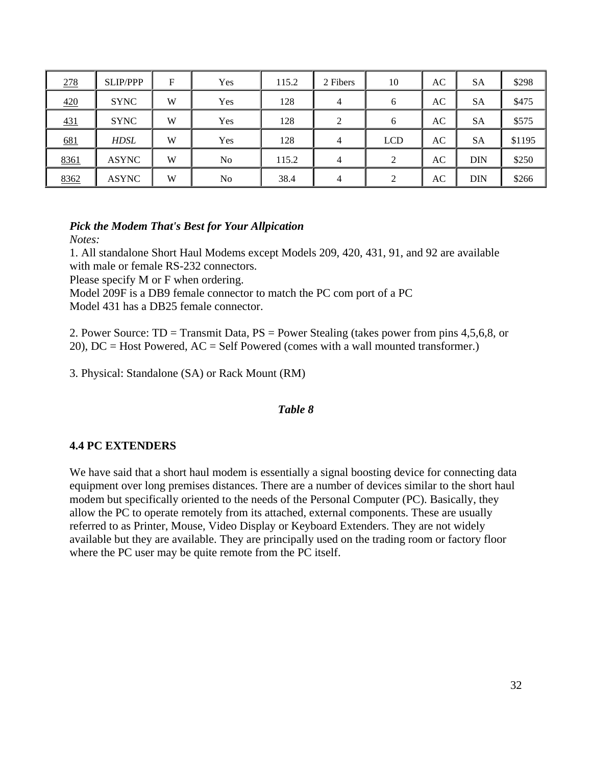| 278  | <b>SLIP/PPP</b> | F | Yes | 115.2 | 2 Fibers       | 10             | AC | <b>SA</b>  | \$298  |
|------|-----------------|---|-----|-------|----------------|----------------|----|------------|--------|
| 420  | <b>SYNC</b>     | W | Yes | 128   | $\overline{4}$ | 6              | AC | <b>SA</b>  | \$475  |
| 431  | <b>SYNC</b>     | W | Yes | 128   | 2              | 6              | AC | <b>SA</b>  | \$575  |
| 681  | HDSL            | W | Yes | 128   | $\overline{4}$ | <b>LCD</b>     | AC | <b>SA</b>  | \$1195 |
| 8361 | <b>ASYNC</b>    | W | No  | 115.2 | $\overline{4}$ | $\overline{2}$ | AC | <b>DIN</b> | \$250  |
| 8362 | <b>ASYNC</b>    | W | No  | 38.4  | $\overline{4}$ | 2              | AC | <b>DIN</b> | \$266  |

#### *Pick the Modem That's Best for Your Allpication*

*Notes:*

1. All standalone Short Haul Modems except Models 209, 420, 431, 91, and 92 are available with male or female RS-232 connectors.

Please specify M or F when ordering.

Model 209F is a DB9 female connector to match the PC com port of a PC

Model 431 has a DB25 female connector.

2. Power Source: TD = Transmit Data, PS = Power Stealing (takes power from pins 4,5,6,8, or 20),  $DC = Host Powered$ ,  $AC = Self Powered$  (comes with a wall mounted transformer.)

3. Physical: Standalone (SA) or Rack Mount (RM)

#### *Table 8*

#### **4.4 PC EXTENDERS**

We have said that a short haul modem is essentially a signal boosting device for connecting data equipment over long premises distances. There are a number of devices similar to the short haul modem but specifically oriented to the needs of the Personal Computer (PC). Basically, they allow the PC to operate remotely from its attached, external components. These are usually referred to as Printer, Mouse, Video Display or Keyboard Extenders. They are not widely available but they are available. They are principally used on the trading room or factory floor where the PC user may be quite remote from the PC itself.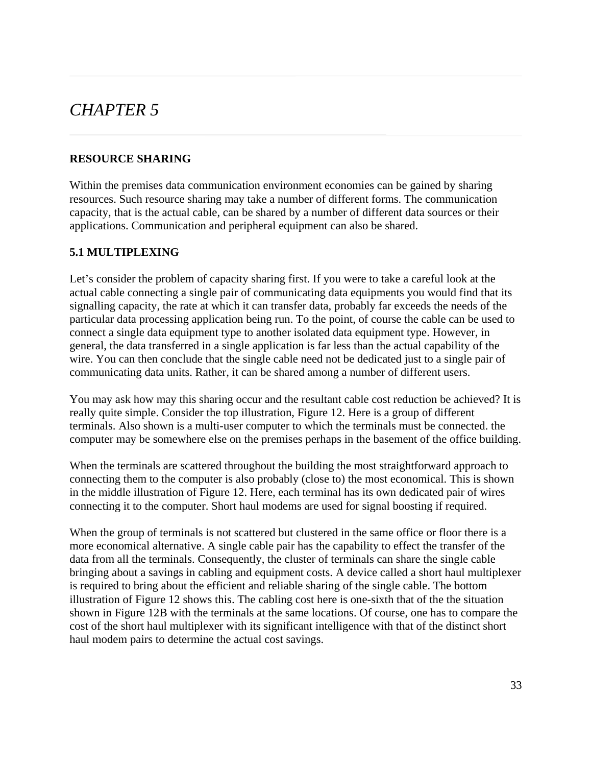### *CHAPTER 5*

### **RESOURCE SHARING**

Within the premises data communication environment economies can be gained by sharing resources. Such resource sharing may take a number of different forms. The communication capacity, that is the actual cable, can be shared by a number of different data sources or their applications. Communication and peripheral equipment can also be shared.

### **5.1 MULTIPLEXING**

Let's consider the problem of capacity sharing first. If you were to take a careful look at the actual cable connecting a single pair of communicating data equipments you would find that its signalling capacity, the rate at which it can transfer data, probably far exceeds the needs of the particular data processing application being run. To the point, of course the cable can be used to connect a single data equipment type to another isolated data equipment type. However, in general, the data transferred in a single application is far less than the actual capability of the wire. You can then conclude that the single cable need not be dedicated just to a single pair of communicating data units. Rather, it can be shared among a number of different users.

You may ask how may this sharing occur and the resultant cable cost reduction be achieved? It is really quite simple. Consider the top illustration, Figure 12. Here is a group of different terminals. Also shown is a multi-user computer to which the terminals must be connected. the computer may be somewhere else on the premises perhaps in the basement of the office building.

When the terminals are scattered throughout the building the most straightforward approach to connecting them to the computer is also probably (close to) the most economical. This is shown in the middle illustration of Figure 12. Here, each terminal has its own dedicated pair of wires connecting it to the computer. Short haul modems are used for signal boosting if required.

When the group of terminals is not scattered but clustered in the same office or floor there is a more economical alternative. A single cable pair has the capability to effect the transfer of the data from all the terminals. Consequently, the cluster of terminals can share the single cable bringing about a savings in cabling and equipment costs. A device called a short haul multiplexer is required to bring about the efficient and reliable sharing of the single cable. The bottom illustration of Figure 12 shows this. The cabling cost here is one-sixth that of the the situation shown in Figure 12B with the terminals at the same locations. Of course, one has to compare the cost of the short haul multiplexer with its significant intelligence with that of the distinct short haul modem pairs to determine the actual cost savings.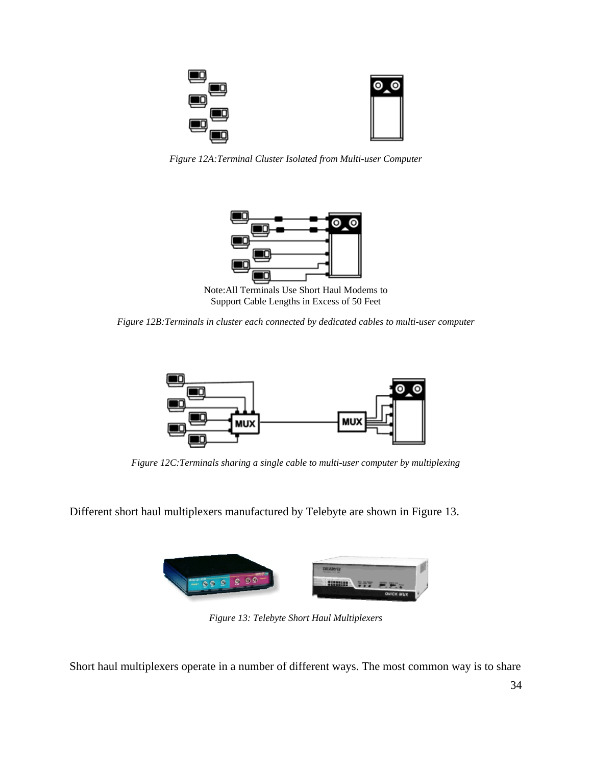

*Figure 12A:Terminal Cluster Isolated from Multi-user Computer*



Note:All Terminals Use Short Haul Modems to Support Cable Lengths in Excess of 50 Feet

*Figure 12B:Terminals in cluster each connected by dedicated cables to multi-user computer*



*Figure 12C:Terminals sharing a single cable to multi-user computer by multiplexing*

Different short haul multiplexers manufactured by Telebyte are shown in Figure 13.



*Figure 13: Telebyte Short Haul Multiplexers*

Short haul multiplexers operate in a number of different ways. The most common way is to share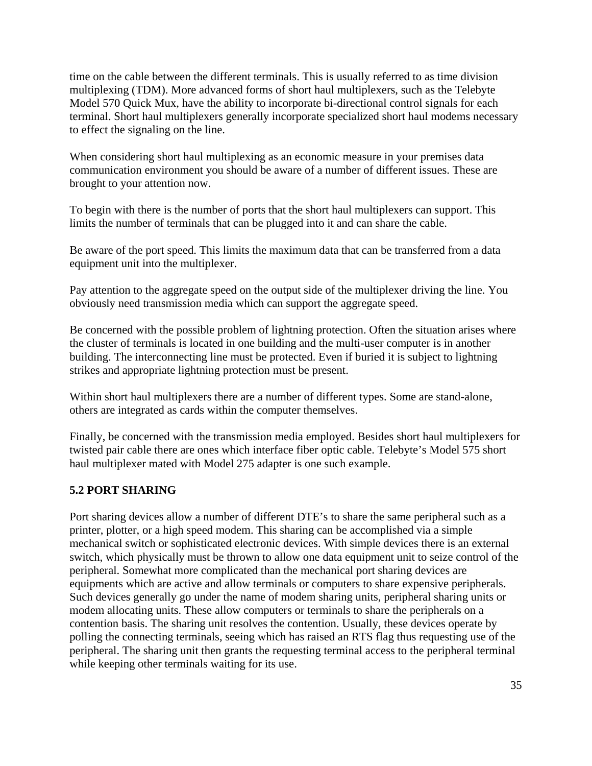time on the cable between the different terminals. This is usually referred to as time division multiplexing (TDM). More advanced forms of short haul multiplexers, such as the Telebyte Model 570 Quick Mux, have the ability to incorporate bi-directional control signals for each terminal. Short haul multiplexers generally incorporate specialized short haul modems necessary to effect the signaling on the line.

When considering short haul multiplexing as an economic measure in your premises data communication environment you should be aware of a number of different issues. These are brought to your attention now.

To begin with there is the number of ports that the short haul multiplexers can support. This limits the number of terminals that can be plugged into it and can share the cable.

Be aware of the port speed. This limits the maximum data that can be transferred from a data equipment unit into the multiplexer.

Pay attention to the aggregate speed on the output side of the multiplexer driving the line. You obviously need transmission media which can support the aggregate speed.

Be concerned with the possible problem of lightning protection. Often the situation arises where the cluster of terminals is located in one building and the multi-user computer is in another building. The interconnecting line must be protected. Even if buried it is subject to lightning strikes and appropriate lightning protection must be present.

Within short haul multiplexers there are a number of different types. Some are stand-alone, others are integrated as cards within the computer themselves.

Finally, be concerned with the transmission media employed. Besides short haul multiplexers for twisted pair cable there are ones which interface fiber optic cable. Telebyte's Model 575 short haul multiplexer mated with Model 275 adapter is one such example.

### **5.2 PORT SHARING**

Port sharing devices allow a number of different DTE's to share the same peripheral such as a printer, plotter, or a high speed modem. This sharing can be accomplished via a simple mechanical switch or sophisticated electronic devices. With simple devices there is an external switch, which physically must be thrown to allow one data equipment unit to seize control of the peripheral. Somewhat more complicated than the mechanical port sharing devices are equipments which are active and allow terminals or computers to share expensive peripherals. Such devices generally go under the name of modem sharing units, peripheral sharing units or modem allocating units. These allow computers or terminals to share the peripherals on a contention basis. The sharing unit resolves the contention. Usually, these devices operate by polling the connecting terminals, seeing which has raised an RTS flag thus requesting use of the peripheral. The sharing unit then grants the requesting terminal access to the peripheral terminal while keeping other terminals waiting for its use.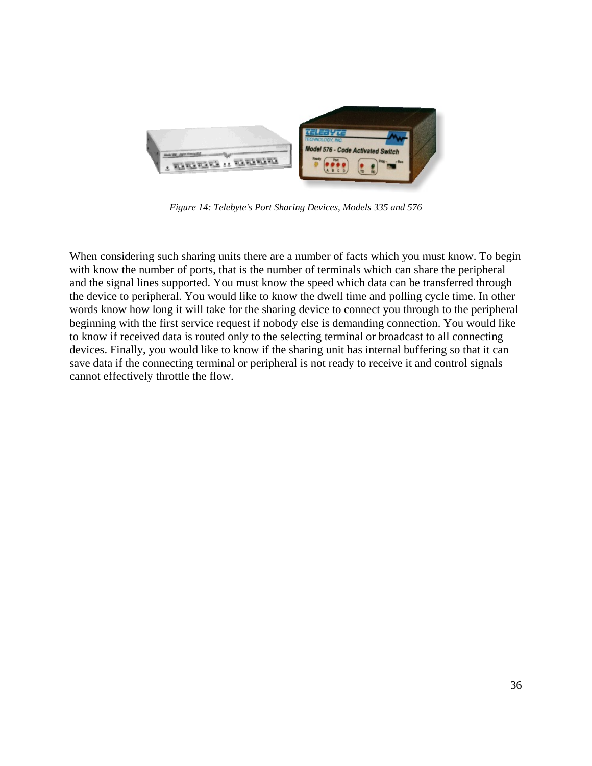

*Figure 14: Telebyte's Port Sharing Devices, Models 335 and 576*

When considering such sharing units there are a number of facts which you must know. To begin with know the number of ports, that is the number of terminals which can share the peripheral and the signal lines supported. You must know the speed which data can be transferred through the device to peripheral. You would like to know the dwell time and polling cycle time. In other words know how long it will take for the sharing device to connect you through to the peripheral beginning with the first service request if nobody else is demanding connection. You would like to know if received data is routed only to the selecting terminal or broadcast to all connecting devices. Finally, you would like to know if the sharing unit has internal buffering so that it can save data if the connecting terminal or peripheral is not ready to receive it and control signals cannot effectively throttle the flow.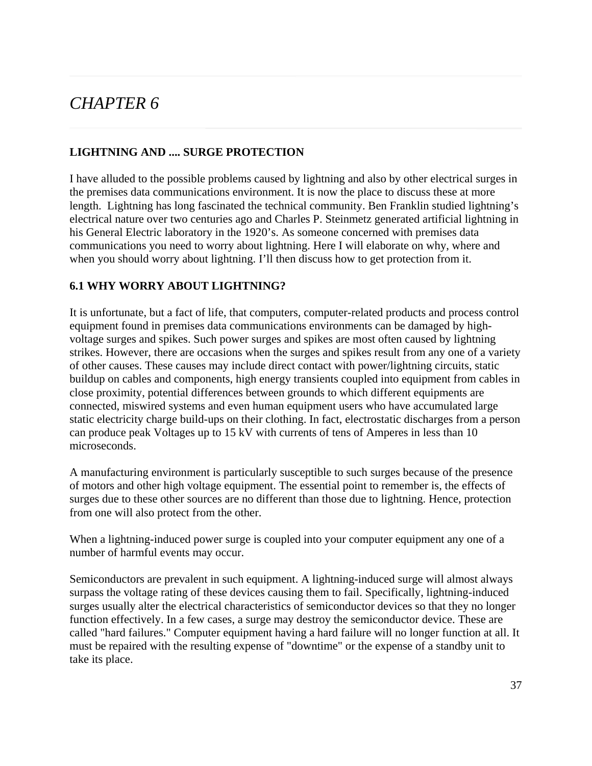## *CHAPTER 6*

### **LIGHTNING AND .... SURGE PROTECTION**

I have alluded to the possible problems caused by lightning and also by other electrical surges in the premises data communications environment. It is now the place to discuss these at more length. Lightning has long fascinated the technical community. Ben Franklin studied lightning's electrical nature over two centuries ago and Charles P. Steinmetz generated artificial lightning in his General Electric laboratory in the 1920's. As someone concerned with premises data communications you need to worry about lightning. Here I will elaborate on why, where and when you should worry about lightning. I'll then discuss how to get protection from it.

### **6.1 WHY WORRY ABOUT LIGHTNING?**

It is unfortunate, but a fact of life, that computers, computer-related products and process control equipment found in premises data communications environments can be damaged by highvoltage surges and spikes. Such power surges and spikes are most often caused by lightning strikes. However, there are occasions when the surges and spikes result from any one of a variety of other causes. These causes may include direct contact with power/lightning circuits, static buildup on cables and components, high energy transients coupled into equipment from cables in close proximity, potential differences between grounds to which different equipments are connected, miswired systems and even human equipment users who have accumulated large static electricity charge build-ups on their clothing. In fact, electrostatic discharges from a person can produce peak Voltages up to 15 kV with currents of tens of Amperes in less than 10 microseconds.

A manufacturing environment is particularly susceptible to such surges because of the presence of motors and other high voltage equipment. The essential point to remember is, the effects of surges due to these other sources are no different than those due to lightning. Hence, protection from one will also protect from the other.

When a lightning-induced power surge is coupled into your computer equipment any one of a number of harmful events may occur.

Semiconductors are prevalent in such equipment. A lightning-induced surge will almost always surpass the voltage rating of these devices causing them to fail. Specifically, lightning-induced surges usually alter the electrical characteristics of semiconductor devices so that they no longer function effectively. In a few cases, a surge may destroy the semiconductor device. These are called "hard failures." Computer equipment having a hard failure will no longer function at all. It must be repaired with the resulting expense of "downtime" or the expense of a standby unit to take its place.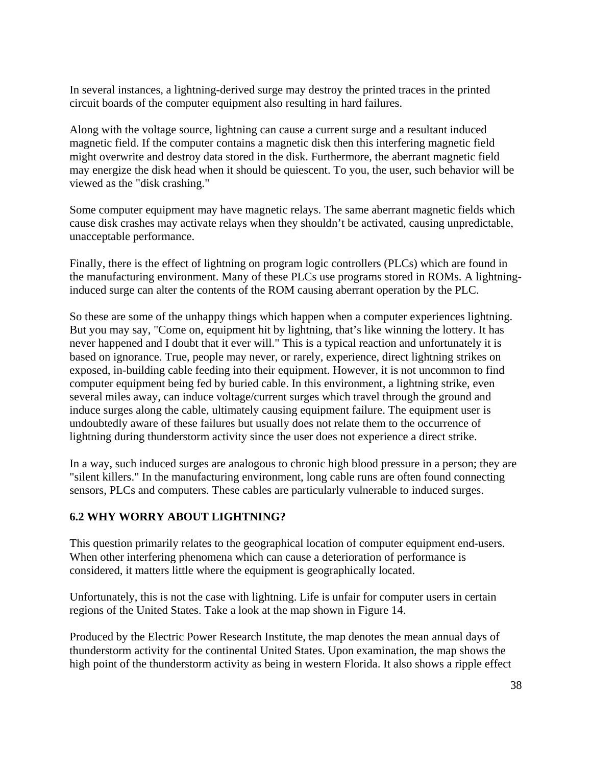In several instances, a lightning-derived surge may destroy the printed traces in the printed circuit boards of the computer equipment also resulting in hard failures.

Along with the voltage source, lightning can cause a current surge and a resultant induced magnetic field. If the computer contains a magnetic disk then this interfering magnetic field might overwrite and destroy data stored in the disk. Furthermore, the aberrant magnetic field may energize the disk head when it should be quiescent. To you, the user, such behavior will be viewed as the "disk crashing."

Some computer equipment may have magnetic relays. The same aberrant magnetic fields which cause disk crashes may activate relays when they shouldn't be activated, causing unpredictable, unacceptable performance.

Finally, there is the effect of lightning on program logic controllers (PLCs) which are found in the manufacturing environment. Many of these PLCs use programs stored in ROMs. A lightninginduced surge can alter the contents of the ROM causing aberrant operation by the PLC.

So these are some of the unhappy things which happen when a computer experiences lightning. But you may say, "Come on, equipment hit by lightning, that's like winning the lottery. It has never happened and I doubt that it ever will." This is a typical reaction and unfortunately it is based on ignorance. True, people may never, or rarely, experience, direct lightning strikes on exposed, in-building cable feeding into their equipment. However, it is not uncommon to find computer equipment being fed by buried cable. In this environment, a lightning strike, even several miles away, can induce voltage/current surges which travel through the ground and induce surges along the cable, ultimately causing equipment failure. The equipment user is undoubtedly aware of these failures but usually does not relate them to the occurrence of lightning during thunderstorm activity since the user does not experience a direct strike.

In a way, such induced surges are analogous to chronic high blood pressure in a person; they are "silent killers." In the manufacturing environment, long cable runs are often found connecting sensors, PLCs and computers. These cables are particularly vulnerable to induced surges.

### **6.2 WHY WORRY ABOUT LIGHTNING?**

This question primarily relates to the geographical location of computer equipment end-users. When other interfering phenomena which can cause a deterioration of performance is considered, it matters little where the equipment is geographically located.

Unfortunately, this is not the case with lightning. Life is unfair for computer users in certain regions of the United States. Take a look at the map shown in Figure 14.

Produced by the Electric Power Research Institute, the map denotes the mean annual days of thunderstorm activity for the continental United States. Upon examination, the map shows the high point of the thunderstorm activity as being in western Florida. It also shows a ripple effect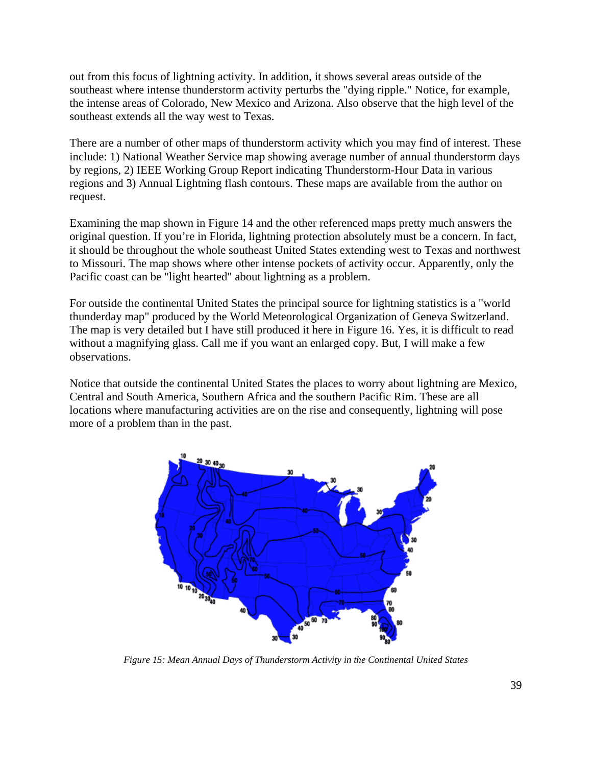out from this focus of lightning activity. In addition, it shows several areas outside of the southeast where intense thunderstorm activity perturbs the "dying ripple." Notice, for example, the intense areas of Colorado, New Mexico and Arizona. Also observe that the high level of the southeast extends all the way west to Texas.

There are a number of other maps of thunderstorm activity which you may find of interest. These include: 1) National Weather Service map showing average number of annual thunderstorm days by regions, 2) IEEE Working Group Report indicating Thunderstorm-Hour Data in various regions and 3) Annual Lightning flash contours. These maps are available from the author on request.

Examining the map shown in Figure 14 and the other referenced maps pretty much answers the original question. If you're in Florida, lightning protection absolutely must be a concern. In fact, it should be throughout the whole southeast United States extending west to Texas and northwest to Missouri. The map shows where other intense pockets of activity occur. Apparently, only the Pacific coast can be "light hearted" about lightning as a problem.

For outside the continental United States the principal source for lightning statistics is a "world thunderday map" produced by the World Meteorological Organization of Geneva Switzerland. The map is very detailed but I have still produced it here in Figure 16. Yes, it is difficult to read without a magnifying glass. Call me if you want an enlarged copy. But, I will make a few observations.

Notice that outside the continental United States the places to worry about lightning are Mexico, Central and South America, Southern Africa and the southern Pacific Rim. These are all locations where manufacturing activities are on the rise and consequently, lightning will pose more of a problem than in the past.



*Figure 15: Mean Annual Days of Thunderstorm Activity in the Continental United States*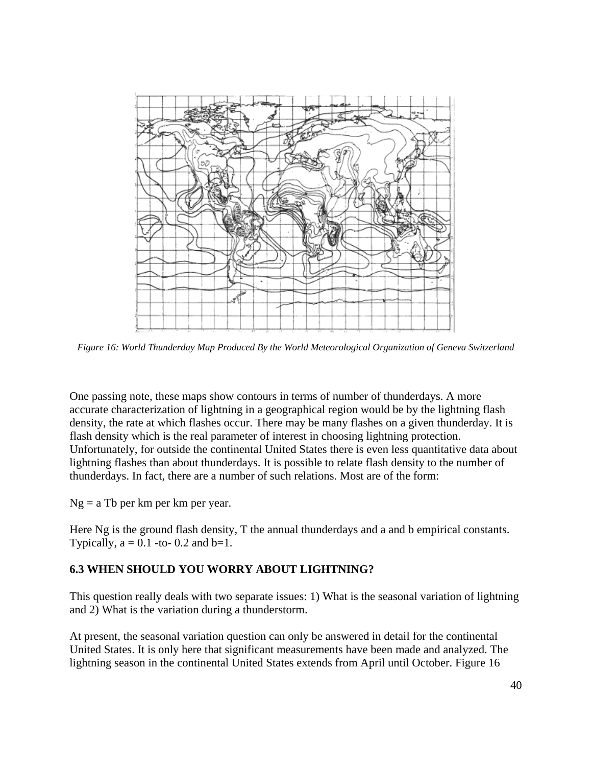

*Figure 16: World Thunderday Map Produced By the World Meteorological Organization of Geneva Switzerland*

One passing note, these maps show contours in terms of number of thunderdays. A more accurate characterization of lightning in a geographical region would be by the lightning flash density, the rate at which flashes occur. There may be many flashes on a given thunderday. It is flash density which is the real parameter of interest in choosing lightning protection. Unfortunately, for outside the continental United States there is even less quantitative data about lightning flashes than about thunderdays. It is possible to relate flash density to the number of thunderdays. In fact, there are a number of such relations. Most are of the form:

 $Ng = a Tb$  per km per km per year.

Here Ng is the ground flash density, T the annual thunderdays and a and b empirical constants. Typically,  $a = 0.1$  -to- 0.2 and  $b=1$ .

### **6.3 WHEN SHOULD YOU WORRY ABOUT LIGHTNING?**

This question really deals with two separate issues: 1) What is the seasonal variation of lightning and 2) What is the variation during a thunderstorm.

At present, the seasonal variation question can only be answered in detail for the continental United States. It is only here that significant measurements have been made and analyzed. The lightning season in the continental United States extends from April until October. Figure 16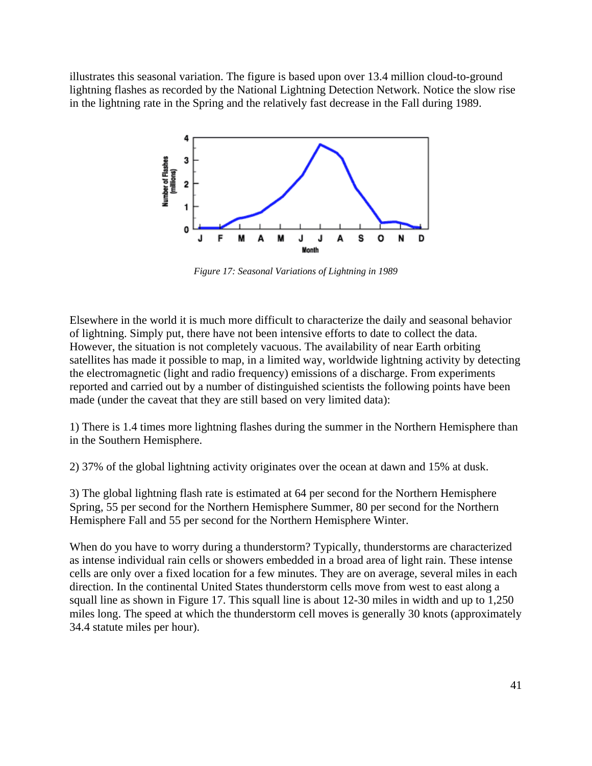illustrates this seasonal variation. The figure is based upon over 13.4 million cloud-to-ground lightning flashes as recorded by the National Lightning Detection Network. Notice the slow rise in the lightning rate in the Spring and the relatively fast decrease in the Fall during 1989.



*Figure 17: Seasonal Variations of Lightning in 1989*

Elsewhere in the world it is much more difficult to characterize the daily and seasonal behavior of lightning. Simply put, there have not been intensive efforts to date to collect the data. However, the situation is not completely vacuous. The availability of near Earth orbiting satellites has made it possible to map, in a limited way, worldwide lightning activity by detecting the electromagnetic (light and radio frequency) emissions of a discharge. From experiments reported and carried out by a number of distinguished scientists the following points have been made (under the caveat that they are still based on very limited data):

1) There is 1.4 times more lightning flashes during the summer in the Northern Hemisphere than in the Southern Hemisphere.

2) 37% of the global lightning activity originates over the ocean at dawn and 15% at dusk.

3) The global lightning flash rate is estimated at 64 per second for the Northern Hemisphere Spring, 55 per second for the Northern Hemisphere Summer, 80 per second for the Northern Hemisphere Fall and 55 per second for the Northern Hemisphere Winter.

When do you have to worry during a thunderstorm? Typically, thunderstorms are characterized as intense individual rain cells or showers embedded in a broad area of light rain. These intense cells are only over a fixed location for a few minutes. They are on average, several miles in each direction. In the continental United States thunderstorm cells move from west to east along a squall line as shown in Figure 17. This squall line is about 12-30 miles in width and up to 1,250 miles long. The speed at which the thunderstorm cell moves is generally 30 knots (approximately 34.4 statute miles per hour).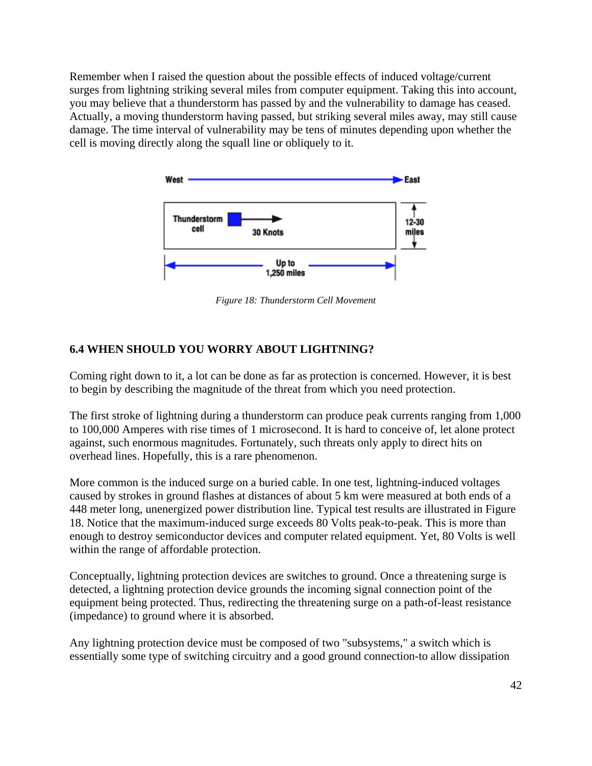Remember when I raised the question about the possible effects of induced voltage/current surges from lightning striking several miles from computer equipment. Taking this into account, you may believe that a thunderstorm has passed by and the vulnerability to damage has ceased. Actually, a moving thunderstorm having passed, but striking several miles away, may still cause damage. The time interval of vulnerability may be tens of minutes depending upon whether the cell is moving directly along the squall line or obliquely to it.



*Figure 18: Thunderstorm Cell Movement*

### **6.4 WHEN SHOULD YOU WORRY ABOUT LIGHTNING?**

Coming right down to it, a lot can be done as far as protection is concerned. However, it is best to begin by describing the magnitude of the threat from which you need protection.

The first stroke of lightning during a thunderstorm can produce peak currents ranging from 1,000 to 100,000 Amperes with rise times of 1 microsecond. It is hard to conceive of, let alone protect against, such enormous magnitudes. Fortunately, such threats only apply to direct hits on overhead lines. Hopefully, this is a rare phenomenon.

More common is the induced surge on a buried cable. In one test, lightning-induced voltages caused by strokes in ground flashes at distances of about 5 km were measured at both ends of a 448 meter long, unenergized power distribution line. Typical test results are illustrated in Figure 18. Notice that the maximum-induced surge exceeds 80 Volts peak-to-peak. This is more than enough to destroy semiconductor devices and computer related equipment. Yet, 80 Volts is well within the range of affordable protection.

Conceptually, lightning protection devices are switches to ground. Once a threatening surge is detected, a lightning protection device grounds the incoming signal connection point of the equipment being protected. Thus, redirecting the threatening surge on a path-of-least resistance (impedance) to ground where it is absorbed.

Any lightning protection device must be composed of two "subsystems," a switch which is essentially some type of switching circuitry and a good ground connection-to allow dissipation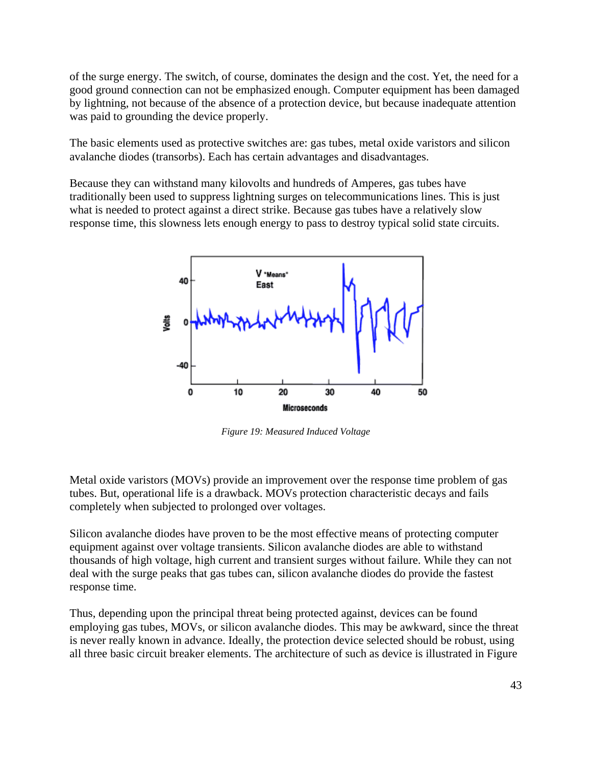of the surge energy. The switch, of course, dominates the design and the cost. Yet, the need for a good ground connection can not be emphasized enough. Computer equipment has been damaged by lightning, not because of the absence of a protection device, but because inadequate attention was paid to grounding the device properly.

The basic elements used as protective switches are: gas tubes, metal oxide varistors and silicon avalanche diodes (transorbs). Each has certain advantages and disadvantages.

Because they can withstand many kilovolts and hundreds of Amperes, gas tubes have traditionally been used to suppress lightning surges on telecommunications lines. This is just what is needed to protect against a direct strike. Because gas tubes have a relatively slow response time, this slowness lets enough energy to pass to destroy typical solid state circuits.



*Figure 19: Measured Induced Voltage*

Metal oxide varistors (MOVs) provide an improvement over the response time problem of gas tubes. But, operational life is a drawback. MOVs protection characteristic decays and fails completely when subjected to prolonged over voltages.

Silicon avalanche diodes have proven to be the most effective means of protecting computer equipment against over voltage transients. Silicon avalanche diodes are able to withstand thousands of high voltage, high current and transient surges without failure. While they can not deal with the surge peaks that gas tubes can, silicon avalanche diodes do provide the fastest response time.

Thus, depending upon the principal threat being protected against, devices can be found employing gas tubes, MOVs, or silicon avalanche diodes. This may be awkward, since the threat is never really known in advance. Ideally, the protection device selected should be robust, using all three basic circuit breaker elements. The architecture of such as device is illustrated in Figure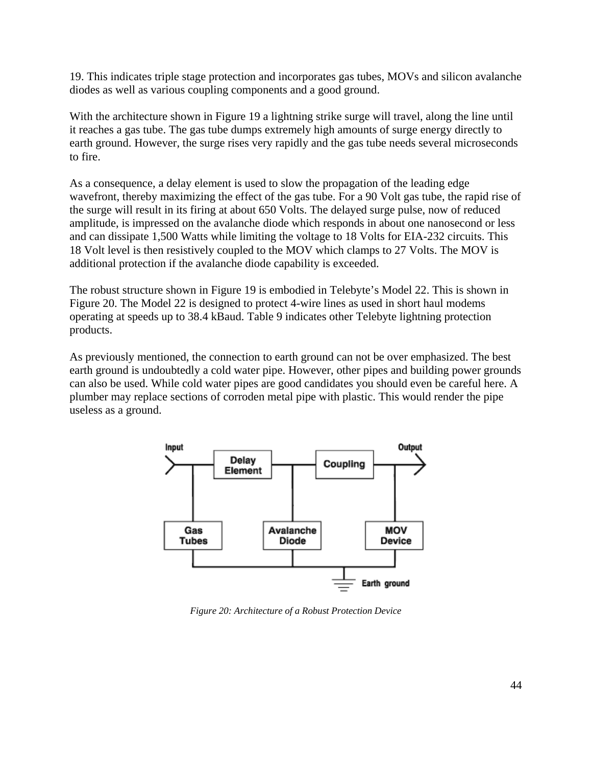19. This indicates triple stage protection and incorporates gas tubes, MOVs and silicon avalanche diodes as well as various coupling components and a good ground.

With the architecture shown in Figure 19 a lightning strike surge will travel, along the line until it reaches a gas tube. The gas tube dumps extremely high amounts of surge energy directly to earth ground. However, the surge rises very rapidly and the gas tube needs several microseconds to fire.

As a consequence, a delay element is used to slow the propagation of the leading edge wavefront, thereby maximizing the effect of the gas tube. For a 90 Volt gas tube, the rapid rise of the surge will result in its firing at about 650 Volts. The delayed surge pulse, now of reduced amplitude, is impressed on the avalanche diode which responds in about one nanosecond or less and can dissipate 1,500 Watts while limiting the voltage to 18 Volts for EIA-232 circuits. This 18 Volt level is then resistively coupled to the MOV which clamps to 27 Volts. The MOV is additional protection if the avalanche diode capability is exceeded.

The robust structure shown in Figure 19 is embodied in Telebyte's Model 22. This is shown in Figure 20. The Model 22 is designed to protect 4-wire lines as used in short haul modems operating at speeds up to 38.4 kBaud. Table 9 indicates other Telebyte lightning protection products.

As previously mentioned, the connection to earth ground can not be over emphasized. The best earth ground is undoubtedly a cold water pipe. However, other pipes and building power grounds can also be used. While cold water pipes are good candidates you should even be careful here. A plumber may replace sections of corroden metal pipe with plastic. This would render the pipe useless as a ground.



*Figure 20: Architecture of a Robust Protection Device*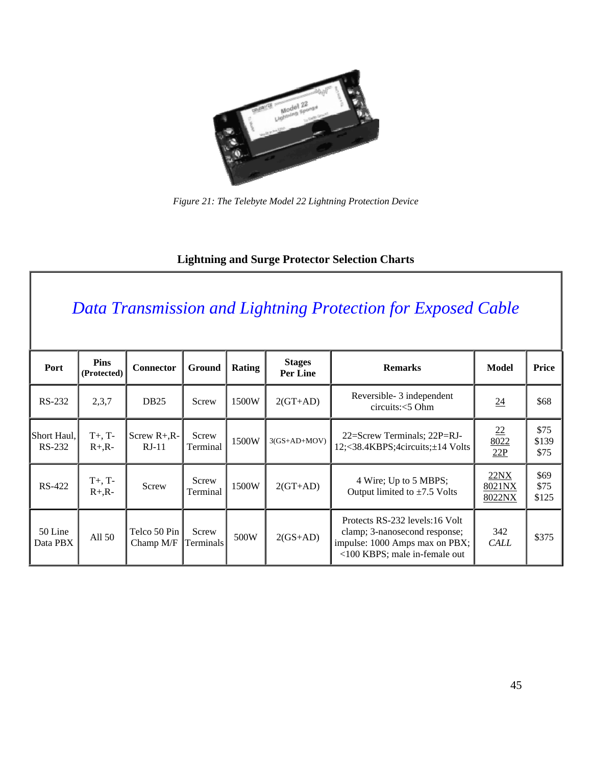

*Figure 21: The Telebyte Model 22 Lightning Protection Device*

### **Lightning and Surge Protector Selection Charts**

## *Data Transmission and Lightning Protection for Exposed Cable*

| Port                  | <b>Pins</b><br>(Protected) | <b>Connector</b>          | <b>Ground</b>      | Rating | <b>Stages</b><br>Per Line | <b>Remarks</b>                                                                                                                     | <b>Model</b>                           | Price                 |
|-----------------------|----------------------------|---------------------------|--------------------|--------|---------------------------|------------------------------------------------------------------------------------------------------------------------------------|----------------------------------------|-----------------------|
| RS-232                | 2,3,7                      | <b>DB25</b>               | Screw              | 1500W  | $2(GT+AD)$                | Reversible- 3 independent<br>circuits: < 5 Ohm                                                                                     | $\underline{24}$                       | \$68                  |
| Short Haul,<br>RS-232 | $T+$ , $T-$<br>$R+A$ .     | Screw $R+A-R-$<br>$RJ-11$ | Screw<br>Terminal  | 1500W  | $3(GS+AD+MOV)$            | 22=Screw Terminals; 22P=RJ-<br>12;<38.4KBPS;4circuits;±14 Volts                                                                    | $\underline{22}$<br>$\frac{8022}{22P}$ | \$75<br>\$139<br>\$75 |
| <b>RS-422</b>         | $T+$ , $T-$<br>$R + R -$   | Screw                     | Screw<br>Terminal  | 1500W  | $2(GT+AD)$                | 4 Wire; Up to 5 MBPS;<br>Output limited to $\pm 7.5$ Volts                                                                         | 22NX<br>8021NX<br>8022NX               | \$69<br>\$75<br>\$125 |
| 50 Line<br>Data PBX   | All 50                     | Telco 50 Pin<br>Champ M/F | Screw<br>Terminals | 500W   | $2(GS+AD)$                | Protects RS-232 levels:16 Volt<br>clamp; 3-nanosecond response;<br>impulse: 1000 Amps max on PBX;<br><100 KBPS; male in-female out | 342<br><b>CALL</b>                     | \$375                 |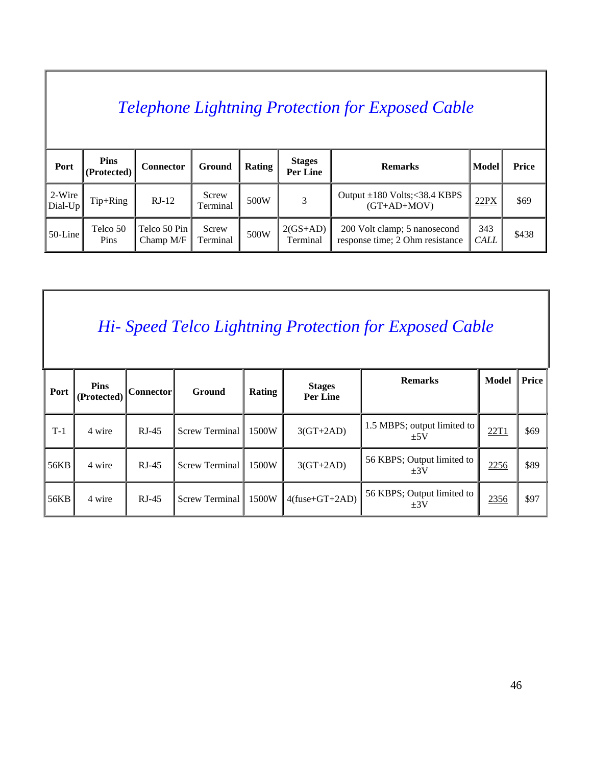## *Telephone Lightning Protection for Exposed Cable*

| Port                | <b>Pins</b><br>(Protected) | <b>Connector</b>            | Ground            | Rating | <b>Stages</b><br>Per Line | <b>Remarks</b>                                                  | Model              | <b>Price</b> |
|---------------------|----------------------------|-----------------------------|-------------------|--------|---------------------------|-----------------------------------------------------------------|--------------------|--------------|
| $2-Wire$<br>Dial-Up | $Tip+Ring$                 | $RJ-12$                     | Screw<br>Terminal | 500W   |                           | Output $\pm 180$ Volts; < 38.4 KBPS<br>$(GT+AD+MOV)$            | 22PX               | \$69         |
| $50$ -Line          | Telco 50<br>Pins           | Telco 50 Pin<br>Champ $M/F$ | Screw<br>Terminal | 500W   | $2(GS+AD)$<br>Terminal    | 200 Volt clamp; 5 nanosecond<br>response time; 2 Ohm resistance | 343<br><b>CALL</b> | \$438        |

## *Hi- Speed Telco Lightning Protection for Exposed Cable*

| Port  | <b>Pins</b><br>(Protected) | Connector | Ground                | Rating | <b>Stages</b><br><b>Per Line</b> | <b>Remarks</b>                         | <b>Model</b> | Price |
|-------|----------------------------|-----------|-----------------------|--------|----------------------------------|----------------------------------------|--------------|-------|
| $T-1$ | 4 wire                     | $RJ-45$   | <b>Screw Terminal</b> | 1500W  | $3(GT+2AD)$                      | 1.5 MBPS; output limited to<br>±5V     | 22T1         | \$69  |
| 56KB  | 4 wire                     | $RJ-45$   | <b>Screw Terminal</b> | 1500W  | $3(GT+2AD)$                      | 56 KBPS; Output limited to<br>$\pm 3V$ | 2256         | \$89  |
| 56KB  | 4 wire                     | $RJ-45$   | <b>Screw Terminal</b> | 1500W  | $4$ (fuse+GT+2AD)                | 56 KBPS; Output limited to<br>$+3V$    | 2356         | \$97  |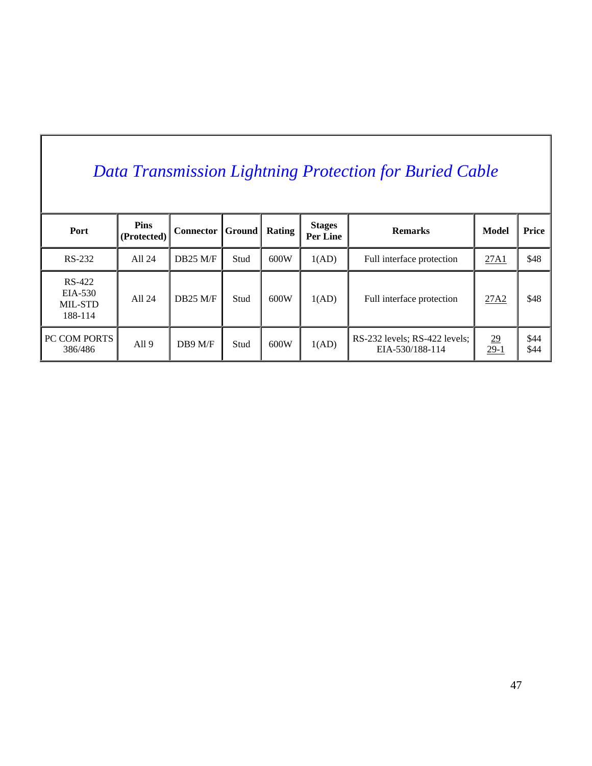# *Data Transmission Lightning Protection for Buried Cable*

| Port                                    | <b>Pins</b><br>(Protected) | <b>Connector</b> | $ $ Ground | Rating | <b>Stages</b><br>Per Line | <b>Remarks</b>                                   | Model                      | Price        |
|-----------------------------------------|----------------------------|------------------|------------|--------|---------------------------|--------------------------------------------------|----------------------------|--------------|
| RS-232                                  | All 24                     | $DB25$ M/F       | Stud       | 600W   | 1(AD)                     | Full interface protection                        | 27A1                       | \$48         |
| RS-422<br>EIA-530<br>MIL-STD<br>188-114 | All 24                     | $DB25$ M/F       | Stud       | 600W   | 1(AD)                     | Full interface protection                        | 27A2                       | \$48         |
| <b>PC COM PORTS</b><br>386/486          | All <sub>9</sub>           | $DB9$ M/F        | Stud       | 600W   | 1(AD)                     | RS-232 levels; RS-422 levels;<br>EIA-530/188-114 | $\underline{29}$<br>$29-1$ | \$44<br>\$44 |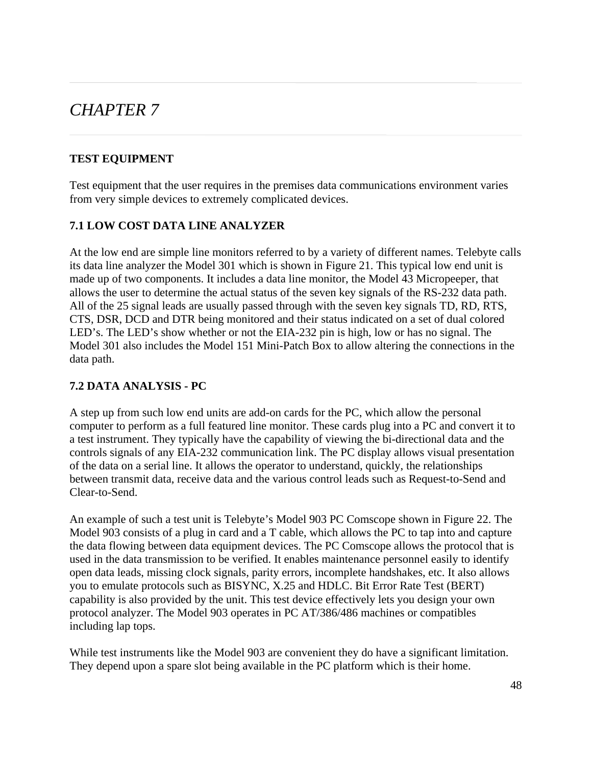### *CHAPTER 7*

### **TEST EQUIPMENT**

Test equipment that the user requires in the premises data communications environment varies from very simple devices to extremely complicated devices.

### **7.1 LOW COST DATA LINE ANALYZER**

At the low end are simple line monitors referred to by a variety of different names. Telebyte calls its data line analyzer the Model 301 which is shown in Figure 21. This typical low end unit is made up of two components. It includes a data line monitor, the Model 43 Micropeeper, that allows the user to determine the actual status of the seven key signals of the RS-232 data path. All of the 25 signal leads are usually passed through with the seven key signals TD, RD, RTS, CTS, DSR, DCD and DTR being monitored and their status indicated on a set of dual colored LED's. The LED's show whether or not the EIA-232 pin is high, low or has no signal. The Model 301 also includes the Model 151 Mini-Patch Box to allow altering the connections in the data path.

### **7.2 DATA ANALYSIS - PC**

A step up from such low end units are add-on cards for the PC, which allow the personal computer to perform as a full featured line monitor. These cards plug into a PC and convert it to a test instrument. They typically have the capability of viewing the bi-directional data and the controls signals of any EIA-232 communication link. The PC display allows visual presentation of the data on a serial line. It allows the operator to understand, quickly, the relationships between transmit data, receive data and the various control leads such as Request-to-Send and Clear-to-Send.

An example of such a test unit is Telebyte's Model 903 PC Comscope shown in Figure 22. The Model 903 consists of a plug in card and a T cable, which allows the PC to tap into and capture the data flowing between data equipment devices. The PC Comscope allows the protocol that is used in the data transmission to be verified. It enables maintenance personnel easily to identify open data leads, missing clock signals, parity errors, incomplete handshakes, etc. It also allows you to emulate protocols such as BISYNC, X.25 and HDLC. Bit Error Rate Test (BERT) capability is also provided by the unit. This test device effectively lets you design your own protocol analyzer. The Model 903 operates in PC AT/386/486 machines or compatibles including lap tops.

While test instruments like the Model 903 are convenient they do have a significant limitation. They depend upon a spare slot being available in the PC platform which is their home.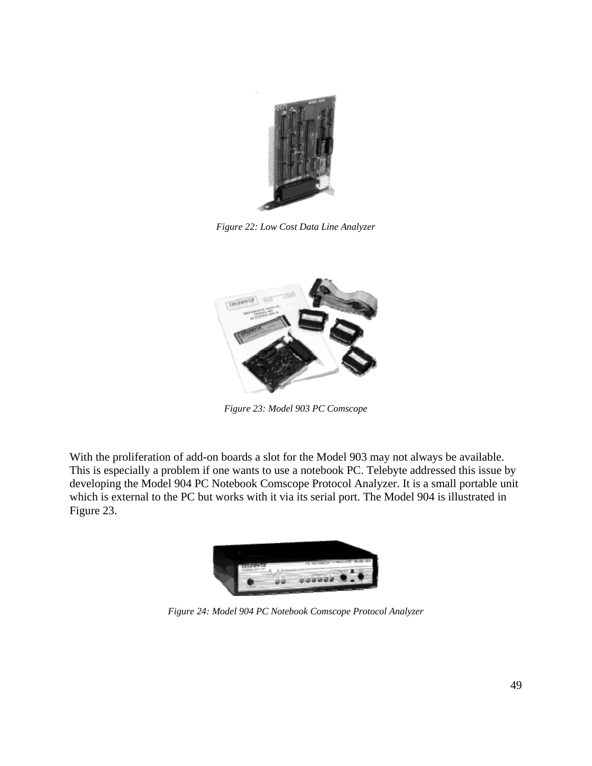

*Figure 22: Low Cost Data Line Analyzer*



*Figure 23: Model 903 PC Comscope*

With the proliferation of add-on boards a slot for the Model 903 may not always be available. This is especially a problem if one wants to use a notebook PC. Telebyte addressed this issue by developing the Model 904 PC Notebook Comscope Protocol Analyzer. It is a small portable unit which is external to the PC but works with it via its serial port. The Model 904 is illustrated in Figure 23.



*Figure 24: Model 904 PC Notebook Comscope Protocol Analyzer*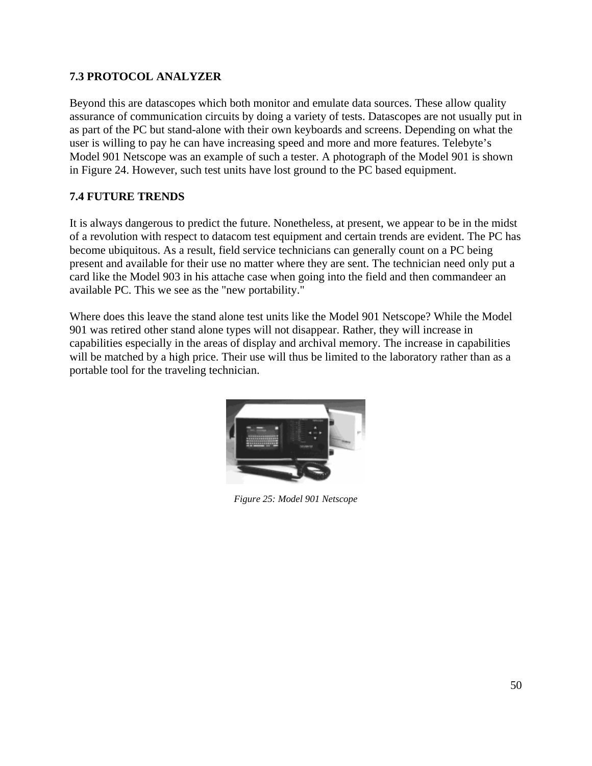### **7.3 PROTOCOL ANALYZER**

Beyond this are datascopes which both monitor and emulate data sources. These allow quality assurance of communication circuits by doing a variety of tests. Datascopes are not usually put in as part of the PC but stand-alone with their own keyboards and screens. Depending on what the user is willing to pay he can have increasing speed and more and more features. Telebyte's Model 901 Netscope was an example of such a tester. A photograph of the Model 901 is shown in Figure 24. However, such test units have lost ground to the PC based equipment.

### **7.4 FUTURE TRENDS**

It is always dangerous to predict the future. Nonetheless, at present, we appear to be in the midst of a revolution with respect to datacom test equipment and certain trends are evident. The PC has become ubiquitous. As a result, field service technicians can generally count on a PC being present and available for their use no matter where they are sent. The technician need only put a card like the Model 903 in his attache case when going into the field and then commandeer an available PC. This we see as the "new portability."

Where does this leave the stand alone test units like the Model 901 Netscope? While the Model 901 was retired other stand alone types will not disappear. Rather, they will increase in capabilities especially in the areas of display and archival memory. The increase in capabilities will be matched by a high price. Their use will thus be limited to the laboratory rather than as a portable tool for the traveling technician.



*Figure 25: Model 901 Netscope*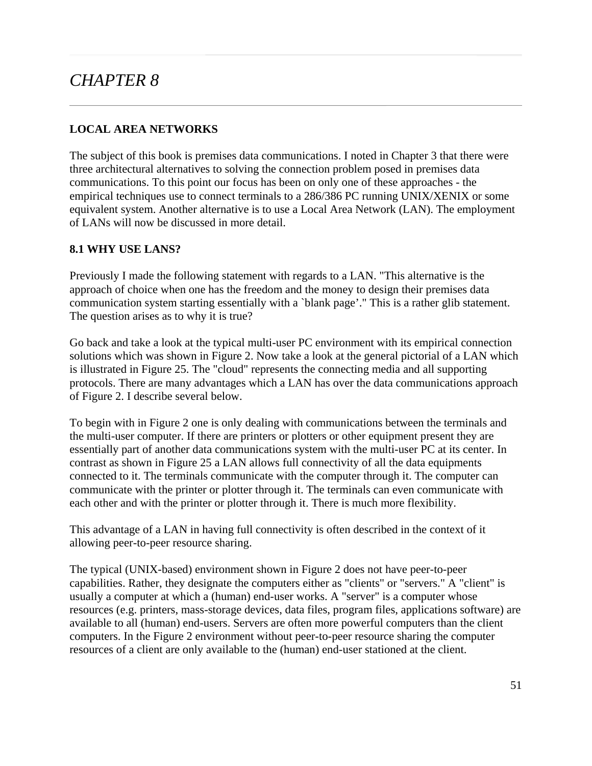## *CHAPTER 8*

### **LOCAL AREA NETWORKS**

The subject of this book is premises data communications. I noted in Chapter 3 that there were three architectural alternatives to solving the connection problem posed in premises data communications. To this point our focus has been on only one of these approaches - the empirical techniques use to connect terminals to a 286/386 PC running UNIX/XENIX or some equivalent system. Another alternative is to use a Local Area Network (LAN). The employment of LANs will now be discussed in more detail.

### **8.1 WHY USE LANS?**

Previously I made the following statement with regards to a LAN. "This alternative is the approach of choice when one has the freedom and the money to design their premises data communication system starting essentially with a `blank page'." This is a rather glib statement. The question arises as to why it is true?

Go back and take a look at the typical multi-user PC environment with its empirical connection solutions which was shown in Figure 2. Now take a look at the general pictorial of a LAN which is illustrated in Figure 25. The "cloud" represents the connecting media and all supporting protocols. There are many advantages which a LAN has over the data communications approach of Figure 2. I describe several below.

To begin with in Figure 2 one is only dealing with communications between the terminals and the multi-user computer. If there are printers or plotters or other equipment present they are essentially part of another data communications system with the multi-user PC at its center. In contrast as shown in Figure 25 a LAN allows full connectivity of all the data equipments connected to it. The terminals communicate with the computer through it. The computer can communicate with the printer or plotter through it. The terminals can even communicate with each other and with the printer or plotter through it. There is much more flexibility.

This advantage of a LAN in having full connectivity is often described in the context of it allowing peer-to-peer resource sharing.

The typical (UNIX-based) environment shown in Figure 2 does not have peer-to-peer capabilities. Rather, they designate the computers either as "clients" or "servers." A "client" is usually a computer at which a (human) end-user works. A "server" is a computer whose resources (e.g. printers, mass-storage devices, data files, program files, applications software) are available to all (human) end-users. Servers are often more powerful computers than the client computers. In the Figure 2 environment without peer-to-peer resource sharing the computer resources of a client are only available to the (human) end-user stationed at the client.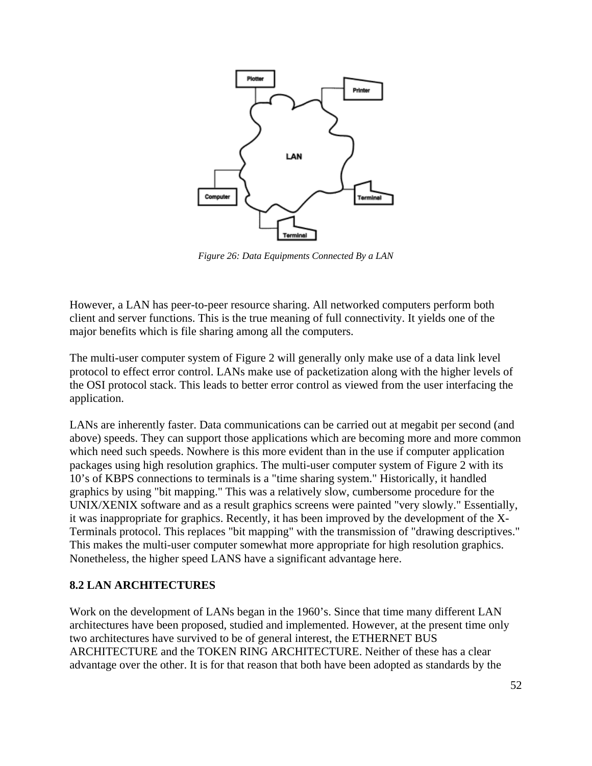

*Figure 26: Data Equipments Connected By a LAN*

However, a LAN has peer-to-peer resource sharing. All networked computers perform both client and server functions. This is the true meaning of full connectivity. It yields one of the major benefits which is file sharing among all the computers.

The multi-user computer system of Figure 2 will generally only make use of a data link level protocol to effect error control. LANs make use of packetization along with the higher levels of the OSI protocol stack. This leads to better error control as viewed from the user interfacing the application.

LANs are inherently faster. Data communications can be carried out at megabit per second (and above) speeds. They can support those applications which are becoming more and more common which need such speeds. Nowhere is this more evident than in the use if computer application packages using high resolution graphics. The multi-user computer system of Figure 2 with its 10's of KBPS connections to terminals is a "time sharing system." Historically, it handled graphics by using "bit mapping." This was a relatively slow, cumbersome procedure for the UNIX/XENIX software and as a result graphics screens were painted "very slowly." Essentially, it was inappropriate for graphics. Recently, it has been improved by the development of the X-Terminals protocol. This replaces "bit mapping" with the transmission of "drawing descriptives." This makes the multi-user computer somewhat more appropriate for high resolution graphics. Nonetheless, the higher speed LANS have a significant advantage here.

#### **8.2 LAN ARCHITECTURES**

Work on the development of LANs began in the 1960's. Since that time many different LAN architectures have been proposed, studied and implemented. However, at the present time only two architectures have survived to be of general interest, the ETHERNET BUS ARCHITECTURE and the TOKEN RING ARCHITECTURE. Neither of these has a clear advantage over the other. It is for that reason that both have been adopted as standards by the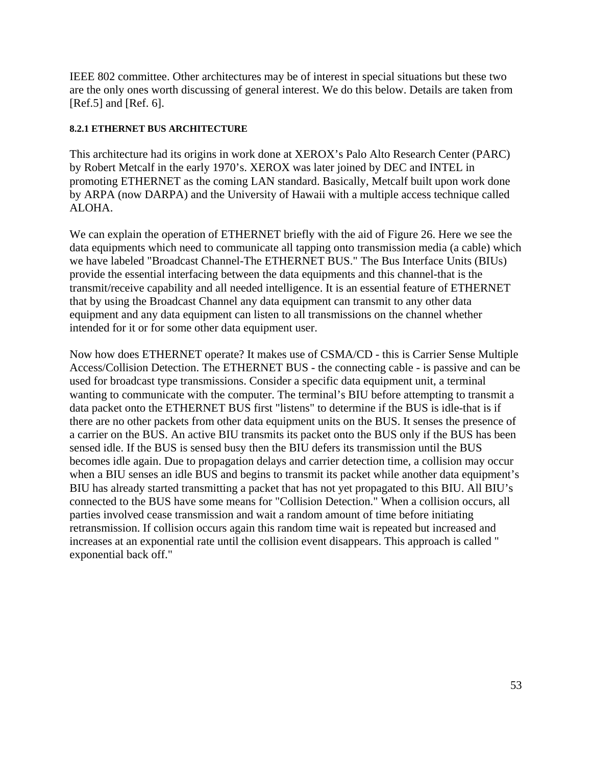IEEE 802 committee. Other architectures may be of interest in special situations but these two are the only ones worth discussing of general interest. We do this below. Details are taken from [Ref.5] and [Ref. 6].

#### **8.2.1 ETHERNET BUS ARCHITECTURE**

This architecture had its origins in work done at XEROX's Palo Alto Research Center (PARC) by Robert Metcalf in the early 1970's. XEROX was later joined by DEC and INTEL in promoting ETHERNET as the coming LAN standard. Basically, Metcalf built upon work done by ARPA (now DARPA) and the University of Hawaii with a multiple access technique called ALOHA.

We can explain the operation of ETHERNET briefly with the aid of Figure 26. Here we see the data equipments which need to communicate all tapping onto transmission media (a cable) which we have labeled "Broadcast Channel-The ETHERNET BUS." The Bus Interface Units (BIUs) provide the essential interfacing between the data equipments and this channel-that is the transmit/receive capability and all needed intelligence. It is an essential feature of ETHERNET that by using the Broadcast Channel any data equipment can transmit to any other data equipment and any data equipment can listen to all transmissions on the channel whether intended for it or for some other data equipment user.

Now how does ETHERNET operate? It makes use of CSMA/CD - this is Carrier Sense Multiple Access/Collision Detection. The ETHERNET BUS - the connecting cable - is passive and can be used for broadcast type transmissions. Consider a specific data equipment unit, a terminal wanting to communicate with the computer. The terminal's BIU before attempting to transmit a data packet onto the ETHERNET BUS first "listens" to determine if the BUS is idle-that is if there are no other packets from other data equipment units on the BUS. It senses the presence of a carrier on the BUS. An active BIU transmits its packet onto the BUS only if the BUS has been sensed idle. If the BUS is sensed busy then the BIU defers its transmission until the BUS becomes idle again. Due to propagation delays and carrier detection time, a collision may occur when a BIU senses an idle BUS and begins to transmit its packet while another data equipment's BIU has already started transmitting a packet that has not yet propagated to this BIU. All BIU's connected to the BUS have some means for "Collision Detection." When a collision occurs, all parties involved cease transmission and wait a random amount of time before initiating retransmission. If collision occurs again this random time wait is repeated but increased and increases at an exponential rate until the collision event disappears. This approach is called " exponential back off."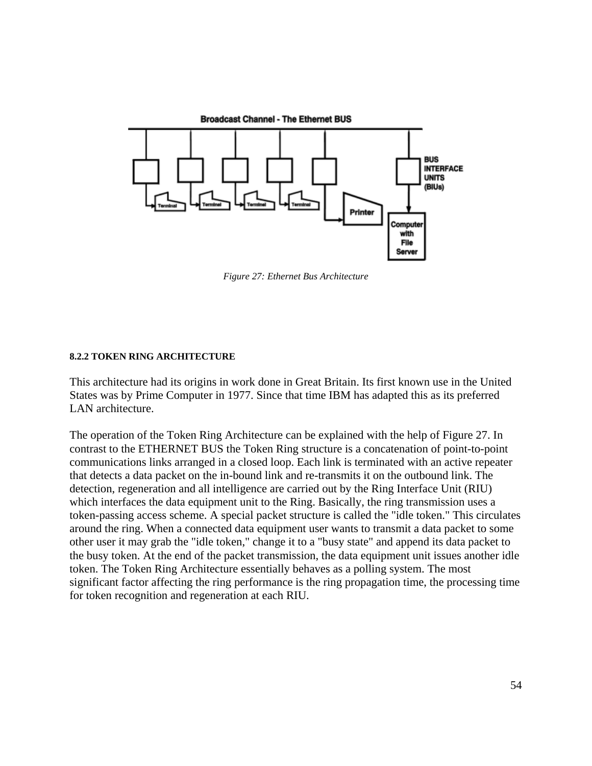

*Figure 27: Ethernet Bus Architecture*

#### **8.2.2 TOKEN RING ARCHITECTURE**

This architecture had its origins in work done in Great Britain. Its first known use in the United States was by Prime Computer in 1977. Since that time IBM has adapted this as its preferred LAN architecture.

The operation of the Token Ring Architecture can be explained with the help of Figure 27. In contrast to the ETHERNET BUS the Token Ring structure is a concatenation of point-to-point communications links arranged in a closed loop. Each link is terminated with an active repeater that detects a data packet on the in-bound link and re-transmits it on the outbound link. The detection, regeneration and all intelligence are carried out by the Ring Interface Unit (RIU) which interfaces the data equipment unit to the Ring. Basically, the ring transmission uses a token-passing access scheme. A special packet structure is called the "idle token." This circulates around the ring. When a connected data equipment user wants to transmit a data packet to some other user it may grab the "idle token," change it to a "busy state" and append its data packet to the busy token. At the end of the packet transmission, the data equipment unit issues another idle token. The Token Ring Architecture essentially behaves as a polling system. The most significant factor affecting the ring performance is the ring propagation time, the processing time for token recognition and regeneration at each RIU.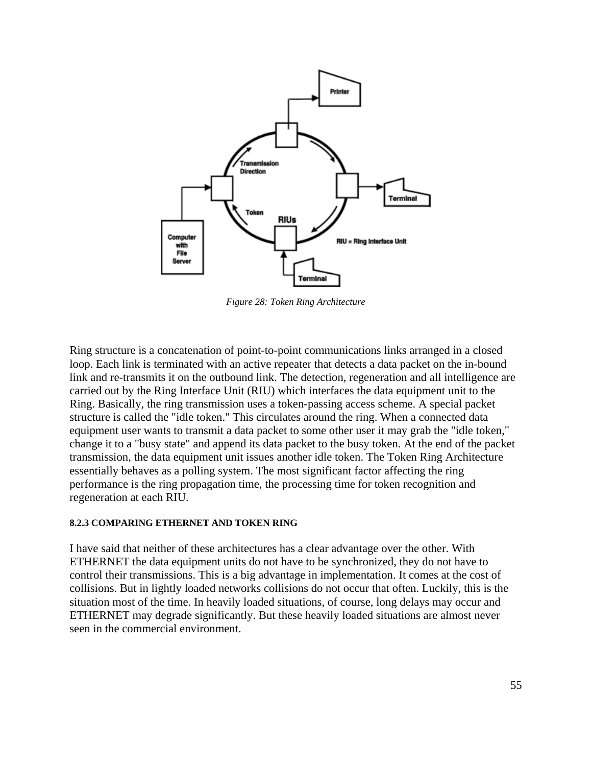

*Figure 28: Token Ring Architecture*

Ring structure is a concatenation of point-to-point communications links arranged in a closed loop. Each link is terminated with an active repeater that detects a data packet on the in-bound link and re-transmits it on the outbound link. The detection, regeneration and all intelligence are carried out by the Ring Interface Unit (RIU) which interfaces the data equipment unit to the Ring. Basically, the ring transmission uses a token-passing access scheme. A special packet structure is called the "idle token." This circulates around the ring. When a connected data equipment user wants to transmit a data packet to some other user it may grab the "idle token," change it to a "busy state" and append its data packet to the busy token. At the end of the packet transmission, the data equipment unit issues another idle token. The Token Ring Architecture essentially behaves as a polling system. The most significant factor affecting the ring performance is the ring propagation time, the processing time for token recognition and regeneration at each RIU.

#### **8.2.3 COMPARING ETHERNET AND TOKEN RING**

I have said that neither of these architectures has a clear advantage over the other. With ETHERNET the data equipment units do not have to be synchronized, they do not have to control their transmissions. This is a big advantage in implementation. It comes at the cost of collisions. But in lightly loaded networks collisions do not occur that often. Luckily, this is the situation most of the time. In heavily loaded situations, of course, long delays may occur and ETHERNET may degrade significantly. But these heavily loaded situations are almost never seen in the commercial environment.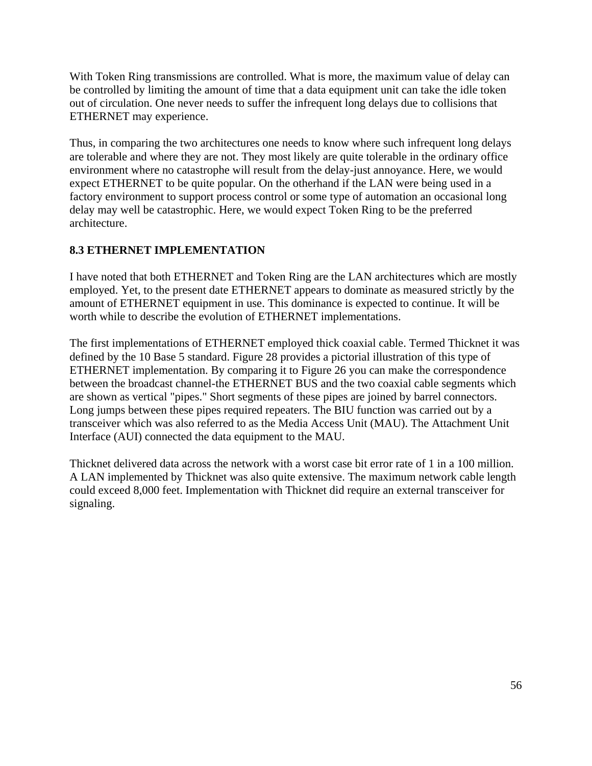With Token Ring transmissions are controlled. What is more, the maximum value of delay can be controlled by limiting the amount of time that a data equipment unit can take the idle token out of circulation. One never needs to suffer the infrequent long delays due to collisions that ETHERNET may experience.

Thus, in comparing the two architectures one needs to know where such infrequent long delays are tolerable and where they are not. They most likely are quite tolerable in the ordinary office environment where no catastrophe will result from the delay-just annoyance. Here, we would expect ETHERNET to be quite popular. On the otherhand if the LAN were being used in a factory environment to support process control or some type of automation an occasional long delay may well be catastrophic. Here, we would expect Token Ring to be the preferred architecture.

### **8.3 ETHERNET IMPLEMENTATION**

I have noted that both ETHERNET and Token Ring are the LAN architectures which are mostly employed. Yet, to the present date ETHERNET appears to dominate as measured strictly by the amount of ETHERNET equipment in use. This dominance is expected to continue. It will be worth while to describe the evolution of ETHERNET implementations.

The first implementations of ETHERNET employed thick coaxial cable. Termed Thicknet it was defined by the 10 Base 5 standard. Figure 28 provides a pictorial illustration of this type of ETHERNET implementation. By comparing it to Figure 26 you can make the correspondence between the broadcast channel-the ETHERNET BUS and the two coaxial cable segments which are shown as vertical "pipes." Short segments of these pipes are joined by barrel connectors. Long jumps between these pipes required repeaters. The BIU function was carried out by a transceiver which was also referred to as the Media Access Unit (MAU). The Attachment Unit Interface (AUI) connected the data equipment to the MAU.

Thicknet delivered data across the network with a worst case bit error rate of 1 in a 100 million. A LAN implemented by Thicknet was also quite extensive. The maximum network cable length could exceed 8,000 feet. Implementation with Thicknet did require an external transceiver for signaling.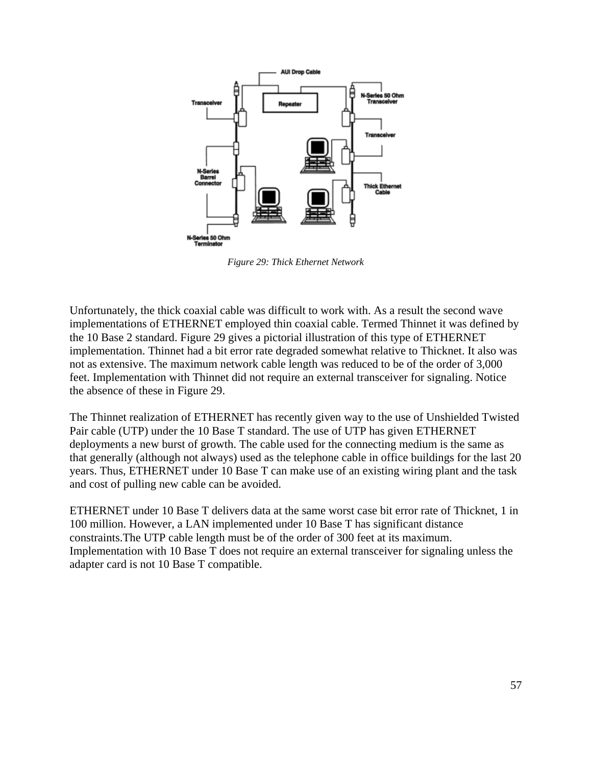

*Figure 29: Thick Ethernet Network*

Unfortunately, the thick coaxial cable was difficult to work with. As a result the second wave implementations of ETHERNET employed thin coaxial cable. Termed Thinnet it was defined by the 10 Base 2 standard. Figure 29 gives a pictorial illustration of this type of ETHERNET implementation. Thinnet had a bit error rate degraded somewhat relative to Thicknet. It also was not as extensive. The maximum network cable length was reduced to be of the order of 3,000 feet. Implementation with Thinnet did not require an external transceiver for signaling. Notice the absence of these in Figure 29.

The Thinnet realization of ETHERNET has recently given way to the use of Unshielded Twisted Pair cable (UTP) under the 10 Base T standard. The use of UTP has given ETHERNET deployments a new burst of growth. The cable used for the connecting medium is the same as that generally (although not always) used as the telephone cable in office buildings for the last 20 years. Thus, ETHERNET under 10 Base T can make use of an existing wiring plant and the task and cost of pulling new cable can be avoided.

ETHERNET under 10 Base T delivers data at the same worst case bit error rate of Thicknet, 1 in 100 million. However, a LAN implemented under 10 Base T has significant distance constraints.The UTP cable length must be of the order of 300 feet at its maximum. Implementation with 10 Base T does not require an external transceiver for signaling unless the adapter card is not 10 Base T compatible.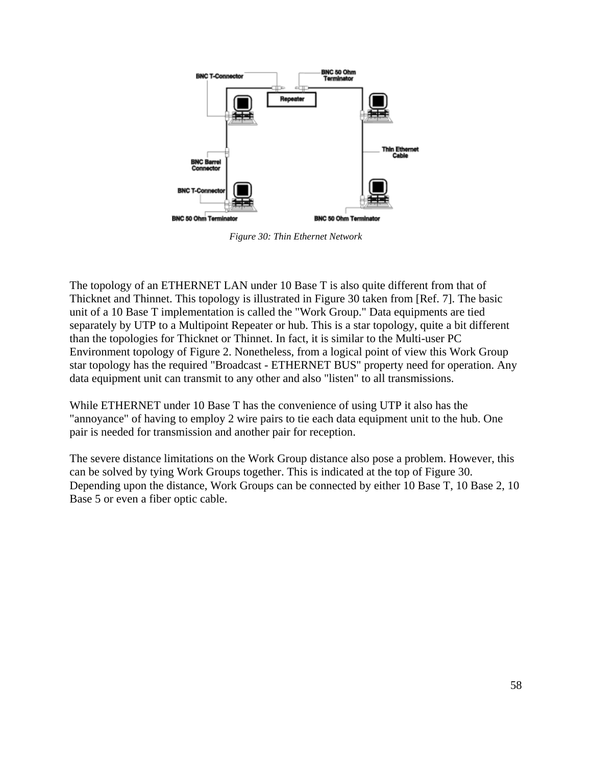

*Figure 30: Thin Ethernet Network*

The topology of an ETHERNET LAN under 10 Base T is also quite different from that of Thicknet and Thinnet. This topology is illustrated in Figure 30 taken from [Ref. 7]. The basic unit of a 10 Base T implementation is called the "Work Group." Data equipments are tied separately by UTP to a Multipoint Repeater or hub. This is a star topology, quite a bit different than the topologies for Thicknet or Thinnet. In fact, it is similar to the Multi-user PC Environment topology of Figure 2. Nonetheless, from a logical point of view this Work Group star topology has the required "Broadcast - ETHERNET BUS" property need for operation. Any data equipment unit can transmit to any other and also "listen" to all transmissions.

While ETHERNET under 10 Base T has the convenience of using UTP it also has the "annoyance" of having to employ 2 wire pairs to tie each data equipment unit to the hub. One pair is needed for transmission and another pair for reception.

The severe distance limitations on the Work Group distance also pose a problem. However, this can be solved by tying Work Groups together. This is indicated at the top of Figure 30. Depending upon the distance, Work Groups can be connected by either 10 Base T, 10 Base 2, 10 Base 5 or even a fiber optic cable.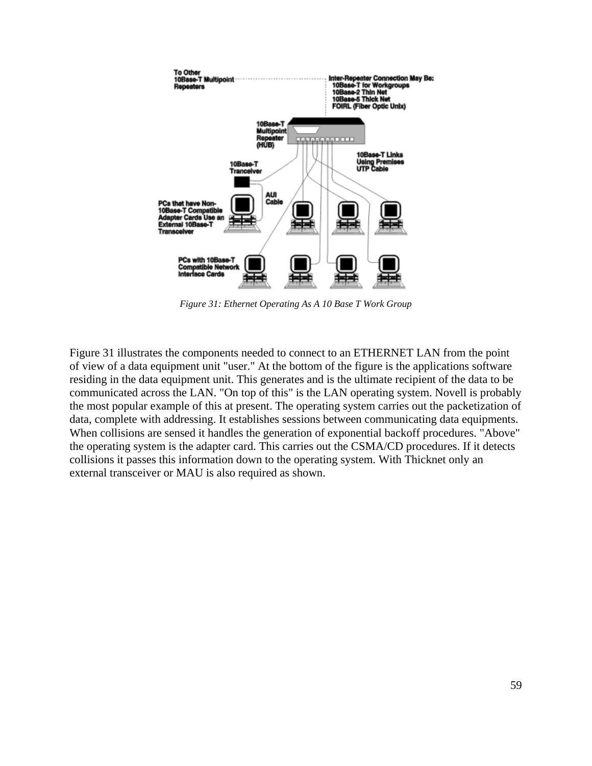

*Figure 31: Ethernet Operating As A 10 Base T Work Group*

Figure 31 illustrates the components needed to connect to an ETHERNET LAN from the point of view of a data equipment unit "user." At the bottom of the figure is the applications software residing in the data equipment unit. This generates and is the ultimate recipient of the data to be communicated across the LAN. "On top of this" is the LAN operating system. Novell is probably the most popular example of this at present. The operating system carries out the packetization of data, complete with addressing. It establishes sessions between communicating data equipments. When collisions are sensed it handles the generation of exponential backoff procedures. "Above" the operating system is the adapter card. This carries out the CSMA/CD procedures. If it detects collisions it passes this information down to the operating system. With Thicknet only an external transceiver or MAU is also required as shown.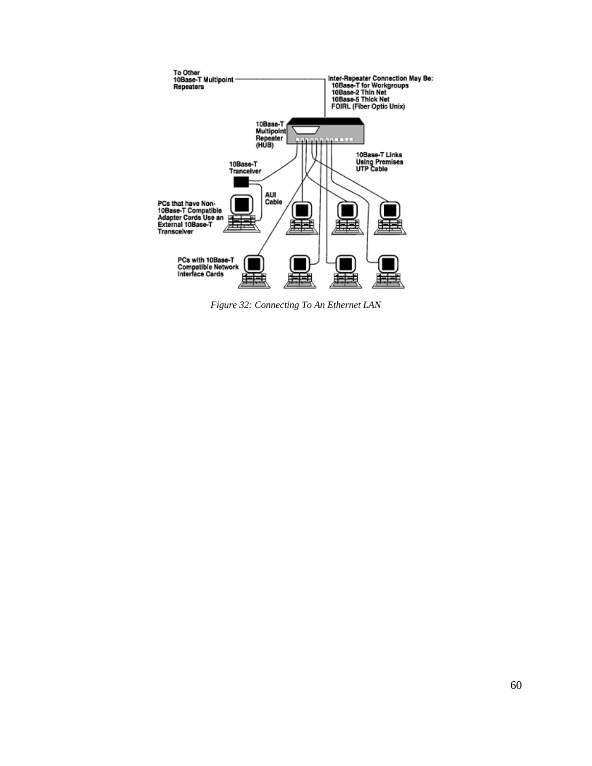

*Figure 32: Connecting To An Ethernet LAN*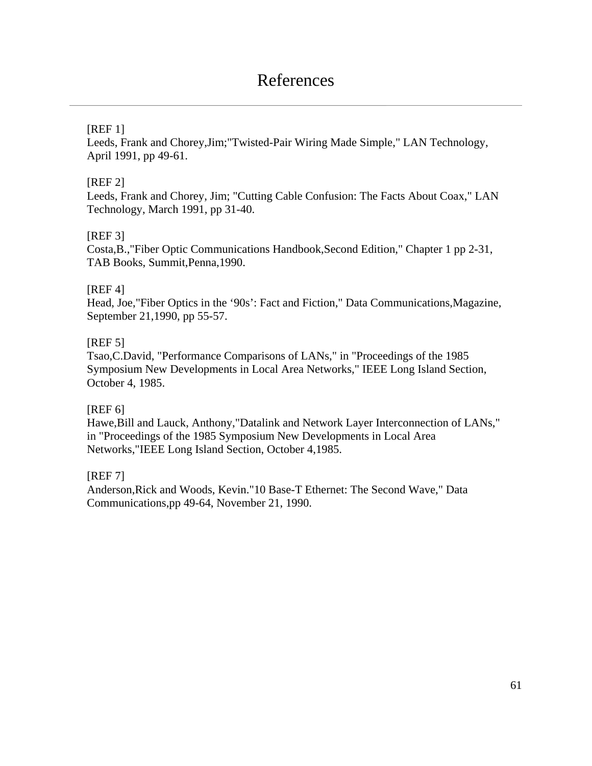### References

### [REF 1]

Leeds, Frank and Chorey,Jim;"Twisted-Pair Wiring Made Simple," LAN Technology, April 1991, pp 49-61.

### [REF 2]

Leeds, Frank and Chorey, Jim; "Cutting Cable Confusion: The Facts About Coax," LAN Technology, March 1991, pp 31-40.

### [REF 3]

Costa,B.,"Fiber Optic Communications Handbook,Second Edition," Chapter 1 pp 2-31, TAB Books, Summit,Penna,1990.

### [REF 4]

Head, Joe,"Fiber Optics in the '90s': Fact and Fiction," Data Communications,Magazine, September 21,1990, pp 55-57.

### [REF 5]

Tsao,C.David, "Performance Comparisons of LANs," in "Proceedings of the 1985 Symposium New Developments in Local Area Networks," IEEE Long Island Section, October 4, 1985.

### [REF 6]

Hawe,Bill and Lauck, Anthony,"Datalink and Network Layer Interconnection of LANs," in "Proceedings of the 1985 Symposium New Developments in Local Area Networks,"IEEE Long Island Section, October 4,1985.

### [REF 7]

Anderson,Rick and Woods, Kevin."10 Base-T Ethernet: The Second Wave," Data Communications,pp 49-64, November 21, 1990.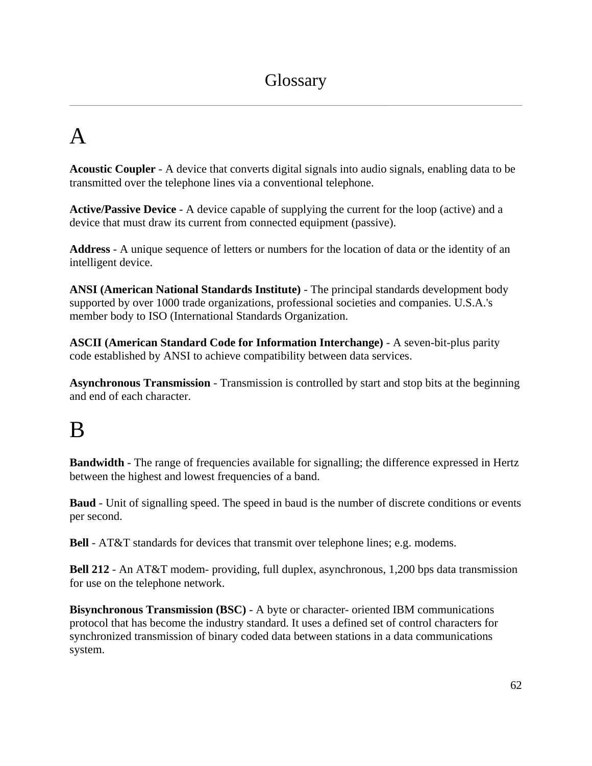# A

**Acoustic Coupler** - A device that converts digital signals into audio signals, enabling data to be transmitted over the telephone lines via a conventional telephone.

**Active/Passive Device** - A device capable of supplying the current for the loop (active) and a device that must draw its current from connected equipment (passive).

**Address** - A unique sequence of letters or numbers for the location of data or the identity of an intelligent device.

**ANSI (American National Standards Institute)** - The principal standards development body supported by over 1000 trade organizations, professional societies and companies. U.S.A.'s member body to ISO (International Standards Organization.

**ASCII (American Standard Code for Information Interchange)** - A seven-bit-plus parity code established by ANSI to achieve compatibility between data services.

**Asynchronous Transmission** - Transmission is controlled by start and stop bits at the beginning and end of each character.

# B

**Bandwidth** - The range of frequencies available for signalling; the difference expressed in Hertz between the highest and lowest frequencies of a band.

**Baud** - Unit of signalling speed. The speed in baud is the number of discrete conditions or events per second.

**Bell** - AT&T standards for devices that transmit over telephone lines; e.g. modems.

**Bell 212** - An AT&T modem- providing, full duplex, asynchronous, 1,200 bps data transmission for use on the telephone network.

**Bisynchronous Transmission (BSC)** - A byte or character- oriented IBM communications protocol that has become the industry standard. It uses a defined set of control characters for synchronized transmission of binary coded data between stations in a data communications system.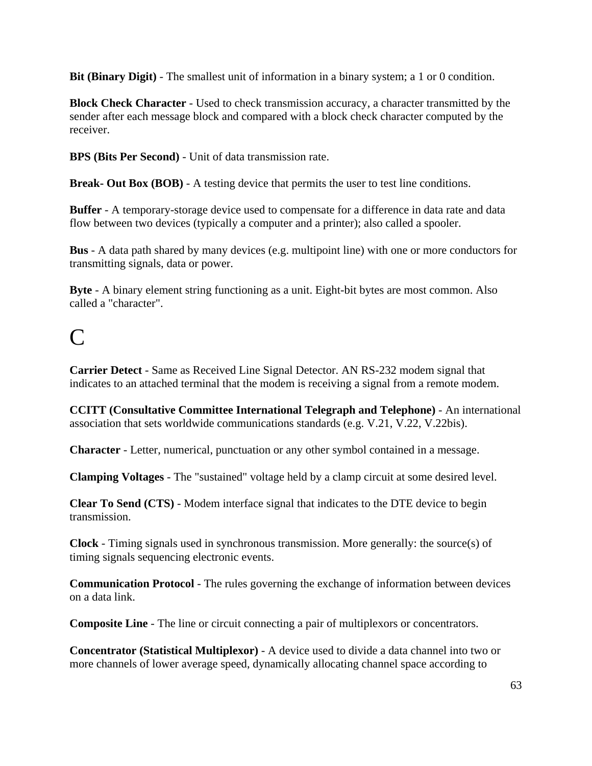**Bit (Binary Digit)** - The smallest unit of information in a binary system; a 1 or 0 condition.

**Block Check Character** - Used to check transmission accuracy, a character transmitted by the sender after each message block and compared with a block check character computed by the receiver.

**BPS (Bits Per Second)** - Unit of data transmission rate.

**Break- Out Box (BOB)** - A testing device that permits the user to test line conditions.

**Buffer** - A temporary-storage device used to compensate for a difference in data rate and data flow between two devices (typically a computer and a printer); also called a spooler.

**Bus** - A data path shared by many devices (e.g. multipoint line) with one or more conductors for transmitting signals, data or power.

**Byte** - A binary element string functioning as a unit. Eight-bit bytes are most common. Also called a "character".

# $\Gamma$

**Carrier Detect** - Same as Received Line Signal Detector. AN RS-232 modem signal that indicates to an attached terminal that the modem is receiving a signal from a remote modem.

**CCITT (Consultative Committee International Telegraph and Telephone)** - An international association that sets worldwide communications standards (e.g. V.21, V.22, V.22bis).

**Character** - Letter, numerical, punctuation or any other symbol contained in a message.

**Clamping Voltages** - The "sustained" voltage held by a clamp circuit at some desired level.

**Clear To Send (CTS)** - Modem interface signal that indicates to the DTE device to begin transmission.

**Clock** - Timing signals used in synchronous transmission. More generally: the source(s) of timing signals sequencing electronic events.

**Communication Protocol** - The rules governing the exchange of information between devices on a data link.

**Composite Line** - The line or circuit connecting a pair of multiplexors or concentrators.

**Concentrator (Statistical Multiplexor)** - A device used to divide a data channel into two or more channels of lower average speed, dynamically allocating channel space according to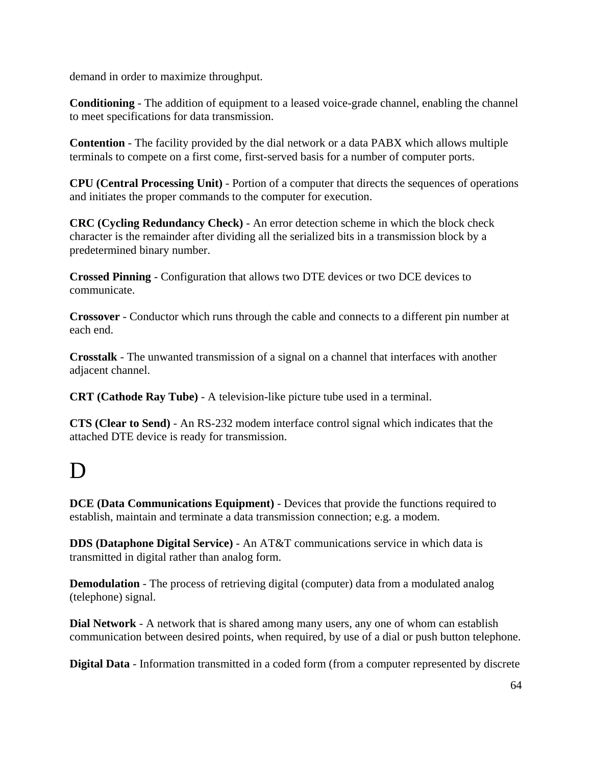demand in order to maximize throughput.

**Conditioning** - The addition of equipment to a leased voice-grade channel, enabling the channel to meet specifications for data transmission.

**Contention** - The facility provided by the dial network or a data PABX which allows multiple terminals to compete on a first come, first-served basis for a number of computer ports.

**CPU (Central Processing Unit)** - Portion of a computer that directs the sequences of operations and initiates the proper commands to the computer for execution.

**CRC (Cycling Redundancy Check)** - An error detection scheme in which the block check character is the remainder after dividing all the serialized bits in a transmission block by a predetermined binary number.

**Crossed Pinning** - Configuration that allows two DTE devices or two DCE devices to communicate.

**Crossover** - Conductor which runs through the cable and connects to a different pin number at each end.

**Crosstalk** - The unwanted transmission of a signal on a channel that interfaces with another adjacent channel.

**CRT (Cathode Ray Tube)** - A television-like picture tube used in a terminal.

**CTS (Clear to Send)** - An RS-232 modem interface control signal which indicates that the attached DTE device is ready for transmission.

# D

**DCE (Data Communications Equipment)** - Devices that provide the functions required to establish, maintain and terminate a data transmission connection; e.g. a modem.

**DDS (Dataphone Digital Service)** - An AT&T communications service in which data is transmitted in digital rather than analog form.

**Demodulation** - The process of retrieving digital (computer) data from a modulated analog (telephone) signal.

**Dial Network** - A network that is shared among many users, any one of whom can establish communication between desired points, when required, by use of a dial or push button telephone.

**Digital Data** - Information transmitted in a coded form (from a computer represented by discrete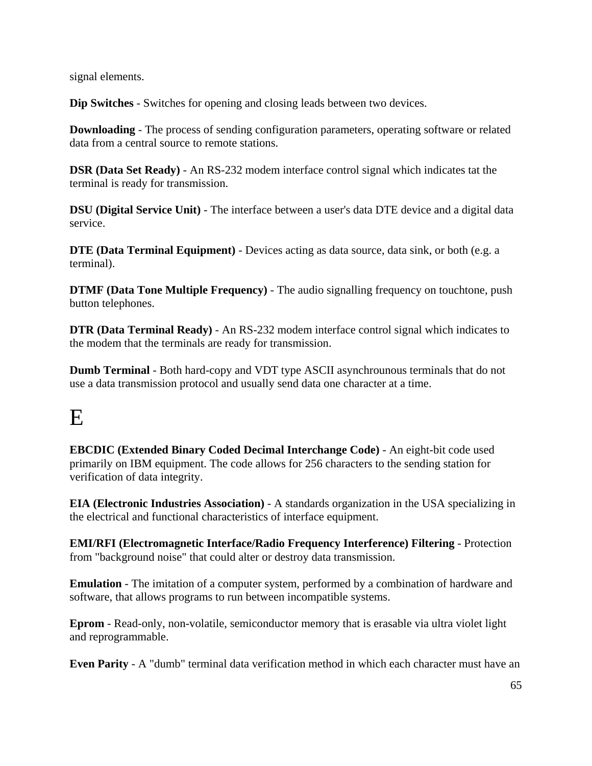signal elements.

**Dip Switches** - Switches for opening and closing leads between two devices.

**Downloading** - The process of sending configuration parameters, operating software or related data from a central source to remote stations.

**DSR (Data Set Ready)** - An RS-232 modem interface control signal which indicates tat the terminal is ready for transmission.

**DSU (Digital Service Unit)** - The interface between a user's data DTE device and a digital data service.

**DTE (Data Terminal Equipment)** - Devices acting as data source, data sink, or both (e.g. a terminal).

**DTMF (Data Tone Multiple Frequency)** - The audio signalling frequency on touchtone, push button telephones.

**DTR (Data Terminal Ready)** - An RS-232 modem interface control signal which indicates to the modem that the terminals are ready for transmission.

**Dumb Terminal** - Both hard-copy and VDT type ASCII asynchrounous terminals that do not use a data transmission protocol and usually send data one character at a time.

# E

**EBCDIC (Extended Binary Coded Decimal Interchange Code)** - An eight-bit code used primarily on IBM equipment. The code allows for 256 characters to the sending station for verification of data integrity.

**EIA (Electronic Industries Association)** - A standards organization in the USA specializing in the electrical and functional characteristics of interface equipment.

**EMI/RFI (Electromagnetic Interface/Radio Frequency Interference) Filtering** - Protection from "background noise" that could alter or destroy data transmission.

**Emulation** - The imitation of a computer system, performed by a combination of hardware and software, that allows programs to run between incompatible systems.

**Eprom** - Read-only, non-volatile, semiconductor memory that is erasable via ultra violet light and reprogrammable.

**Even Parity** - A "dumb" terminal data verification method in which each character must have an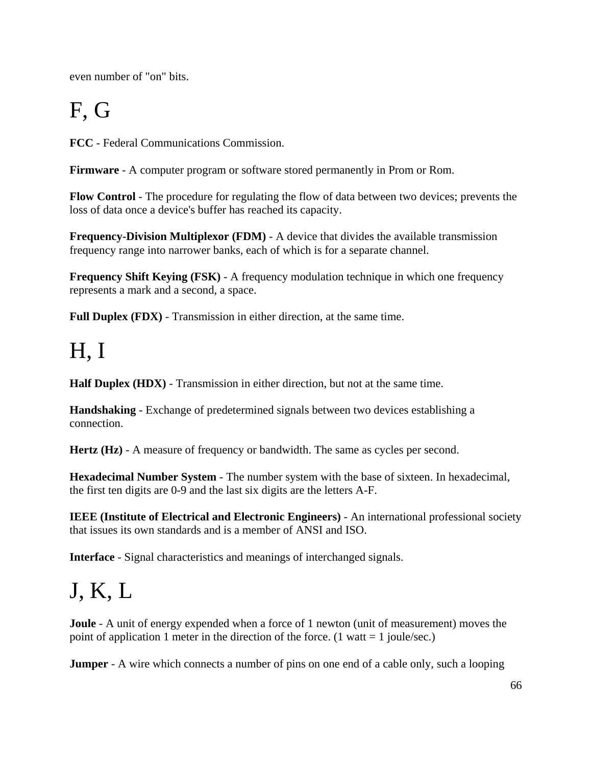even number of "on" bits.

# F, G

**FCC** - Federal Communications Commission.

**Firmware** - A computer program or software stored permanently in Prom or Rom.

**Flow Control** - The procedure for regulating the flow of data between two devices; prevents the loss of data once a device's buffer has reached its capacity.

**Frequency-Division Multiplexor (FDM)** - A device that divides the available transmission frequency range into narrower banks, each of which is for a separate channel.

**Frequency Shift Keying (FSK)** - A frequency modulation technique in which one frequency represents a mark and a second, a space.

**Full Duplex (FDX)** - Transmission in either direction, at the same time.

# H, I

**Half Duplex (HDX)** - Transmission in either direction, but not at the same time.

**Handshaking** - Exchange of predetermined signals between two devices establishing a connection.

**Hertz (Hz)** - A measure of frequency or bandwidth. The same as cycles per second.

**Hexadecimal Number System** - The number system with the base of sixteen. In hexadecimal, the first ten digits are 0-9 and the last six digits are the letters A-F.

**IEEE (Institute of Electrical and Electronic Engineers)** - An international professional society that issues its own standards and is a member of ANSI and ISO.

**Interface** - Signal characteristics and meanings of interchanged signals.

# J, K, L

**Joule** - A unit of energy expended when a force of 1 newton (unit of measurement) moves the point of application 1 meter in the direction of the force. (1 watt  $= 1$  joule/sec.)

**Jumper** - A wire which connects a number of pins on one end of a cable only, such a looping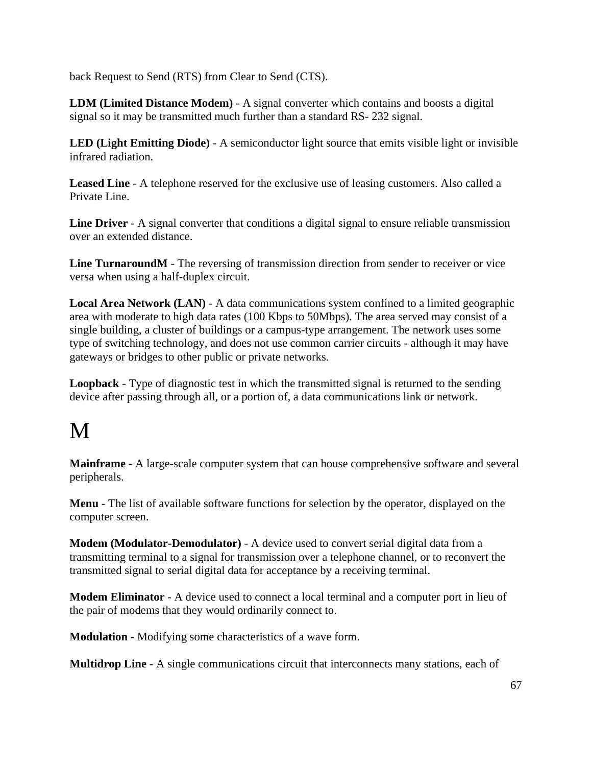back Request to Send (RTS) from Clear to Send (CTS).

**LDM (Limited Distance Modem)** - A signal converter which contains and boosts a digital signal so it may be transmitted much further than a standard RS- 232 signal.

**LED (Light Emitting Diode)** - A semiconductor light source that emits visible light or invisible infrared radiation.

**Leased Line** - A telephone reserved for the exclusive use of leasing customers. Also called a Private Line.

**Line Driver** - A signal converter that conditions a digital signal to ensure reliable transmission over an extended distance.

**Line TurnaroundM** - The reversing of transmission direction from sender to receiver or vice versa when using a half-duplex circuit.

**Local Area Network (LAN)** - A data communications system confined to a limited geographic area with moderate to high data rates (100 Kbps to 50Mbps). The area served may consist of a single building, a cluster of buildings or a campus-type arrangement. The network uses some type of switching technology, and does not use common carrier circuits - although it may have gateways or bridges to other public or private networks.

**Loopback** - Type of diagnostic test in which the transmitted signal is returned to the sending device after passing through all, or a portion of, a data communications link or network.

# M

**Mainframe** - A large-scale computer system that can house comprehensive software and several peripherals.

**Menu** - The list of available software functions for selection by the operator, displayed on the computer screen.

**Modem (Modulator-Demodulator)** - A device used to convert serial digital data from a transmitting terminal to a signal for transmission over a telephone channel, or to reconvert the transmitted signal to serial digital data for acceptance by a receiving terminal.

**Modem Eliminator** - A device used to connect a local terminal and a computer port in lieu of the pair of modems that they would ordinarily connect to.

**Modulation** - Modifying some characteristics of a wave form.

**Multidrop Line** - A single communications circuit that interconnects many stations, each of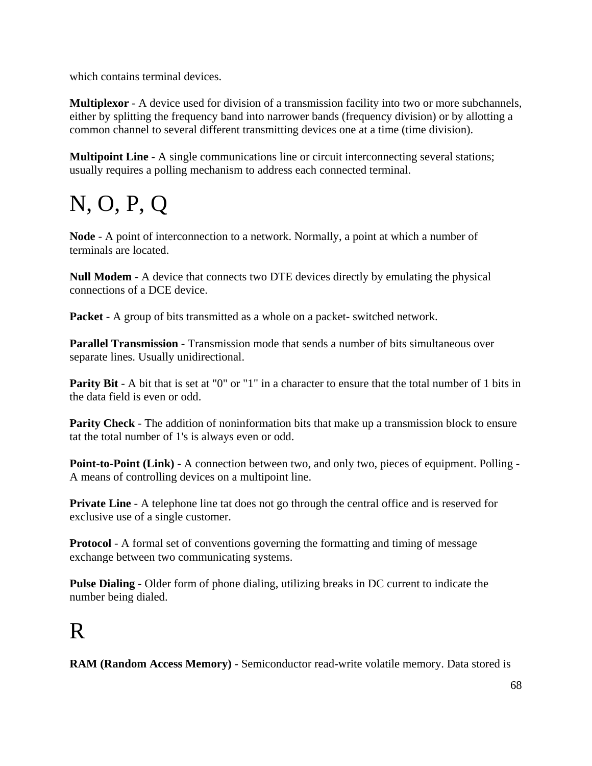which contains terminal devices.

**Multiplexor** - A device used for division of a transmission facility into two or more subchannels, either by splitting the frequency band into narrower bands (frequency division) or by allotting a common channel to several different transmitting devices one at a time (time division).

**Multipoint Line** - A single communications line or circuit interconnecting several stations; usually requires a polling mechanism to address each connected terminal.

# N, O, P, Q

**Node** - A point of interconnection to a network. Normally, a point at which a number of terminals are located.

**Null Modem** - A device that connects two DTE devices directly by emulating the physical connections of a DCE device.

**Packet** - A group of bits transmitted as a whole on a packet- switched network.

**Parallel Transmission** - Transmission mode that sends a number of bits simultaneous over separate lines. Usually unidirectional.

**Parity Bit** - A bit that is set at "0" or "1" in a character to ensure that the total number of 1 bits in the data field is even or odd.

**Parity Check** - The addition of noninformation bits that make up a transmission block to ensure tat the total number of 1's is always even or odd.

**Point-to-Point (Link)** - A connection between two, and only two, pieces of equipment. Polling -A means of controlling devices on a multipoint line.

**Private Line** - A telephone line tat does not go through the central office and is reserved for exclusive use of a single customer.

**Protocol** - A formal set of conventions governing the formatting and timing of message exchange between two communicating systems.

**Pulse Dialing** - Older form of phone dialing, utilizing breaks in DC current to indicate the number being dialed.

# R

**RAM (Random Access Memory)** - Semiconductor read-write volatile memory. Data stored is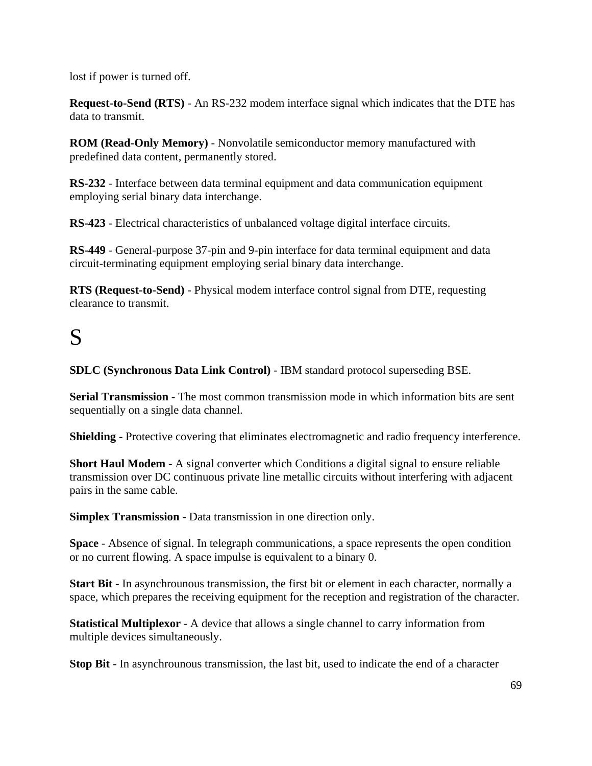lost if power is turned off.

**Request-to-Send (RTS)** - An RS-232 modem interface signal which indicates that the DTE has data to transmit.

**ROM (Read-Only Memory)** - Nonvolatile semiconductor memory manufactured with predefined data content, permanently stored.

**RS-232** - Interface between data terminal equipment and data communication equipment employing serial binary data interchange.

**RS-423** - Electrical characteristics of unbalanced voltage digital interface circuits.

**RS-449** - General-purpose 37-pin and 9-pin interface for data terminal equipment and data circuit-terminating equipment employing serial binary data interchange.

**RTS (Request-to-Send)** - Physical modem interface control signal from DTE, requesting clearance to transmit.

# S

**SDLC (Synchronous Data Link Control)** - IBM standard protocol superseding BSE.

**Serial Transmission** - The most common transmission mode in which information bits are sent sequentially on a single data channel.

**Shielding** - Protective covering that eliminates electromagnetic and radio frequency interference.

**Short Haul Modem** - A signal converter which Conditions a digital signal to ensure reliable transmission over DC continuous private line metallic circuits without interfering with adjacent pairs in the same cable.

**Simplex Transmission** - Data transmission in one direction only.

**Space** - Absence of signal. In telegraph communications, a space represents the open condition or no current flowing. A space impulse is equivalent to a binary 0.

**Start Bit** - In asynchrounous transmission, the first bit or element in each character, normally a space, which prepares the receiving equipment for the reception and registration of the character.

**Statistical Multiplexor** - A device that allows a single channel to carry information from multiple devices simultaneously.

**Stop Bit** - In asynchrounous transmission, the last bit, used to indicate the end of a character